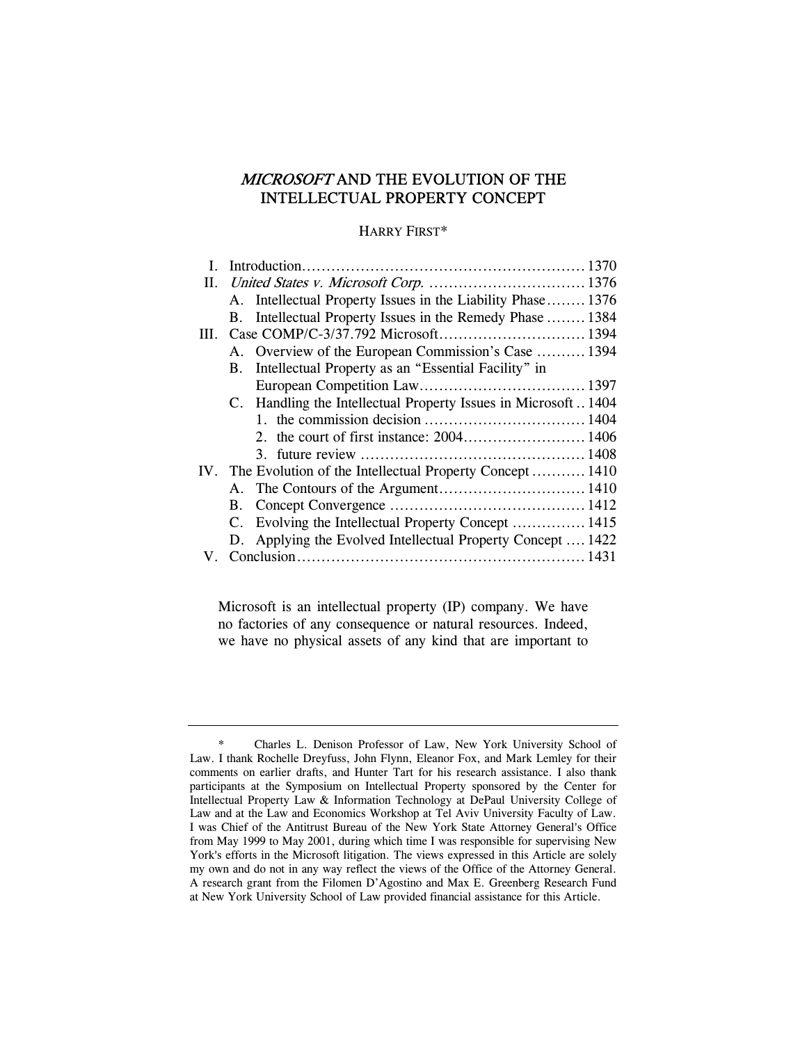# MICROSOFT AND THE EVOLUTION OF THE INTELLECTUAL PROPERTY CONCEPT

## HARRY FIRST\*

|    |             | A. Intellectual Property Issues in the Liability Phase 1376   |  |
|----|-------------|---------------------------------------------------------------|--|
|    | <b>B.</b>   | Intellectual Property Issues in the Remedy Phase  1384        |  |
| Ш. |             |                                                               |  |
|    |             | A. Overview of the European Commission's Case  1394           |  |
|    | <b>B</b> .  | Intellectual Property as an "Essential Facility" in           |  |
|    |             |                                                               |  |
|    |             | C. Handling the Intellectual Property Issues in Microsoft1404 |  |
|    |             |                                                               |  |
|    |             |                                                               |  |
|    |             |                                                               |  |
|    |             | IV. The Evolution of the Intellectual Property Concept 1410   |  |
|    |             |                                                               |  |
|    | <b>B.</b>   |                                                               |  |
|    | $C_{\cdot}$ | Evolving the Intellectual Property Concept  1415              |  |
|    |             | D. Applying the Evolved Intellectual Property Concept  1422   |  |
|    |             |                                                               |  |

Microsoft is an intellectual property (IP) company. We have no factories of any consequence or natural resources. Indeed, we have no physical assets of any kind that are important to

<sup>\*</sup> Charles L. Denison Professor of Law, New York University School of Law. I thank Rochelle Dreyfuss, John Flynn, Eleanor Fox, and Mark Lemley for their comments on earlier drafts, and Hunter Tart for his research assistance. I also thank participants at the Symposium on Intellectual Property sponsored by the Center for Intellectual Property Law & Information Technology at DePaul University College of Law and at the Law and Economics Workshop at Tel Aviv University Faculty of Law. I was Chief of the Antitrust Bureau of the New York State Attorney General's Office from May 1999 to May 2001, during which time I was responsible for supervising New York's efforts in the Microsoft litigation. The views expressed in this Article are solely my own and do not in any way reflect the views of the Office of the Attorney General. A research grant from the Filomen D'Agostino and Max E. Greenberg Research Fund at New York University School of Law provided financial assistance for this Article.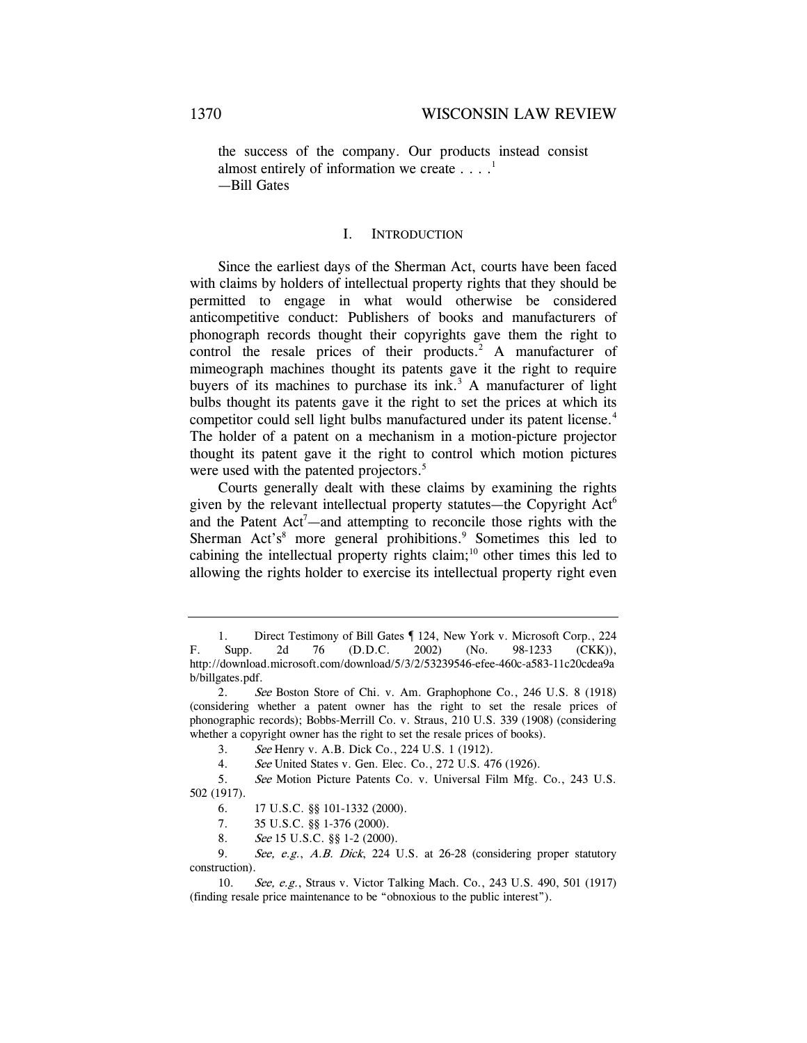the success of the company. Our products instead consist almost entirely of information we create  $\dots$ <sup>1</sup> —Bill Gates

#### I. INTRODUCTION

Since the earliest days of the Sherman Act, courts have been faced with claims by holders of intellectual property rights that they should be permitted to engage in what would otherwise be considered anticompetitive conduct: Publishers of books and manufacturers of phonograph records thought their copyrights gave them the right to control the resale prices of their products.<sup>2</sup> A manufacturer of mimeograph machines thought its patents gave it the right to require buyers of its machines to purchase its  $ink<sup>3</sup>$ . A manufacturer of light bulbs thought its patents gave it the right to set the prices at which its competitor could sell light bulbs manufactured under its patent license.<sup>4</sup> The holder of a patent on a mechanism in a motion-picture projector thought its patent gave it the right to control which motion pictures were used with the patented projectors.<sup>5</sup>

Courts generally dealt with these claims by examining the rights given by the relevant intellectual property statutes—the Copyright Act<sup>6</sup> and the Patent Act<sup>7</sup>—and attempting to reconcile those rights with the Sherman Act's<sup>8</sup> more general prohibitions.<sup>9</sup> Sometimes this led to cabining the intellectual property rights claim;<sup>10</sup> other times this led to allowing the rights holder to exercise its intellectual property right even

- 7. 35 U.S.C. §§ 1-376 (2000).
- 8. See 15 U.S.C. §§ 1-2 (2000).

9. See, e.g., A.B. Dick, 224 U.S. at 26-28 (considering proper statutory construction).

<sup>1.</sup> Direct Testimony of Bill Gates ¶ 124, New York v. Microsoft Corp., 224 F. Supp. 2d 76 (D.D.C. 2002) (No. 98-1233 (CKK)), http://download.microsoft.com/download/5/3/2/53239546-efee-460c-a583-11c20cdea9a b/billgates.pdf.

<sup>2.</sup> See Boston Store of Chi. v. Am. Graphophone Co., 246 U.S. 8 (1918) (considering whether a patent owner has the right to set the resale prices of phonographic records); Bobbs-Merrill Co. v. Straus, 210 U.S. 339 (1908) (considering whether a copyright owner has the right to set the resale prices of books).

<sup>3.</sup> See Henry v. A.B. Dick Co., 224 U.S. 1 (1912).

<sup>4.</sup> See United States v. Gen. Elec. Co., 272 U.S. 476 (1926).

<sup>5.</sup> See Motion Picture Patents Co. v. Universal Film Mfg. Co., 243 U.S. 502 (1917).

<sup>6. 17</sup> U.S.C. §§ 101-1332 (2000).

<sup>10.</sup> See, e.g., Straus v. Victor Talking Mach. Co., 243 U.S. 490, 501 (1917) (finding resale price maintenance to be "obnoxious to the public interest").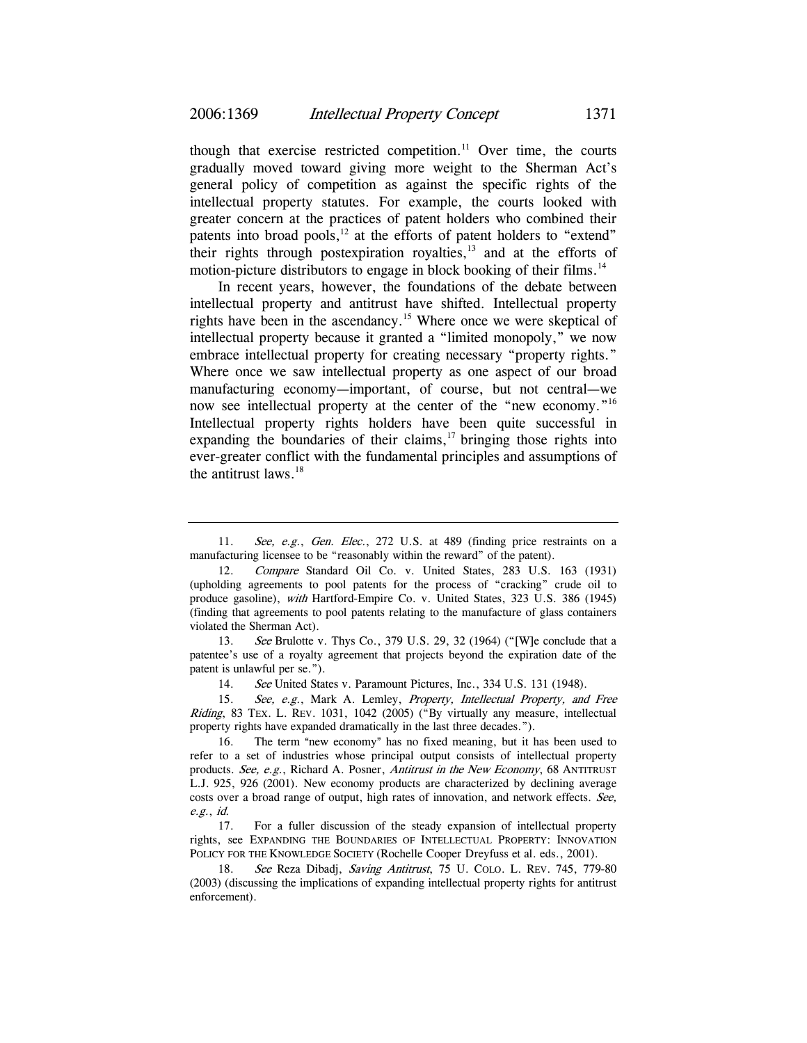though that exercise restricted competition.<sup>11</sup> Over time, the courts gradually moved toward giving more weight to the Sherman Act's general policy of competition as against the specific rights of the intellectual property statutes. For example, the courts looked with greater concern at the practices of patent holders who combined their patents into broad pools,<sup>12</sup> at the efforts of patent holders to "extend" their rights through postexpiration royalties, $13$  and at the efforts of motion-picture distributors to engage in block booking of their films.<sup>14</sup>

In recent years, however, the foundations of the debate between intellectual property and antitrust have shifted. Intellectual property rights have been in the ascendancy.<sup>15</sup> Where once we were skeptical of intellectual property because it granted a "limited monopoly," we now embrace intellectual property for creating necessary "property rights." Where once we saw intellectual property as one aspect of our broad manufacturing economy—important, of course, but not central—we now see intellectual property at the center of the "new economy."<sup>16</sup> Intellectual property rights holders have been quite successful in expanding the boundaries of their claims, $^{17}$  bringing those rights into ever-greater conflict with the fundamental principles and assumptions of the antitrust laws. $18$ 

13. See Brulotte v. Thys Co., 379 U.S. 29, 32 (1964) ("[W]e conclude that a patentee's use of a royalty agreement that projects beyond the expiration date of the patent is unlawful per se.").

14. See United States v. Paramount Pictures, Inc., 334 U.S. 131 (1948).

15. See, e.g., Mark A. Lemley, Property, Intellectual Property, and Free Riding, 83 TEX. L. REV. 1031, 1042 (2005) ("By virtually any measure, intellectual property rights have expanded dramatically in the last three decades.").

16. The term "new economy" has no fixed meaning, but it has been used to refer to a set of industries whose principal output consists of intellectual property products. See, e.g., Richard A. Posner, Antitrust in the New Economy, 68 ANTITRUST L.J. 925, 926 (2001). New economy products are characterized by declining average costs over a broad range of output, high rates of innovation, and network effects. See, e.g., id.

17. For a fuller discussion of the steady expansion of intellectual property rights, see EXPANDING THE BOUNDARIES OF INTELLECTUAL PROPERTY: INNOVATION POLICY FOR THE KNOWLEDGE SOCIETY (Rochelle Cooper Dreyfuss et al. eds., 2001).

18. See Reza Dibadj, Saving Antitrust, 75 U. COLO. L. REV. 745, 779-80 (2003) (discussing the implications of expanding intellectual property rights for antitrust enforcement).

<sup>11.</sup> See, e.g., Gen. Elec., 272 U.S. at 489 (finding price restraints on a manufacturing licensee to be "reasonably within the reward" of the patent).

<sup>12.</sup> Compare Standard Oil Co. v. United States, 283 U.S. 163 (1931) (upholding agreements to pool patents for the process of "cracking" crude oil to produce gasoline), with Hartford-Empire Co. v. United States, 323 U.S. 386 (1945) (finding that agreements to pool patents relating to the manufacture of glass containers violated the Sherman Act).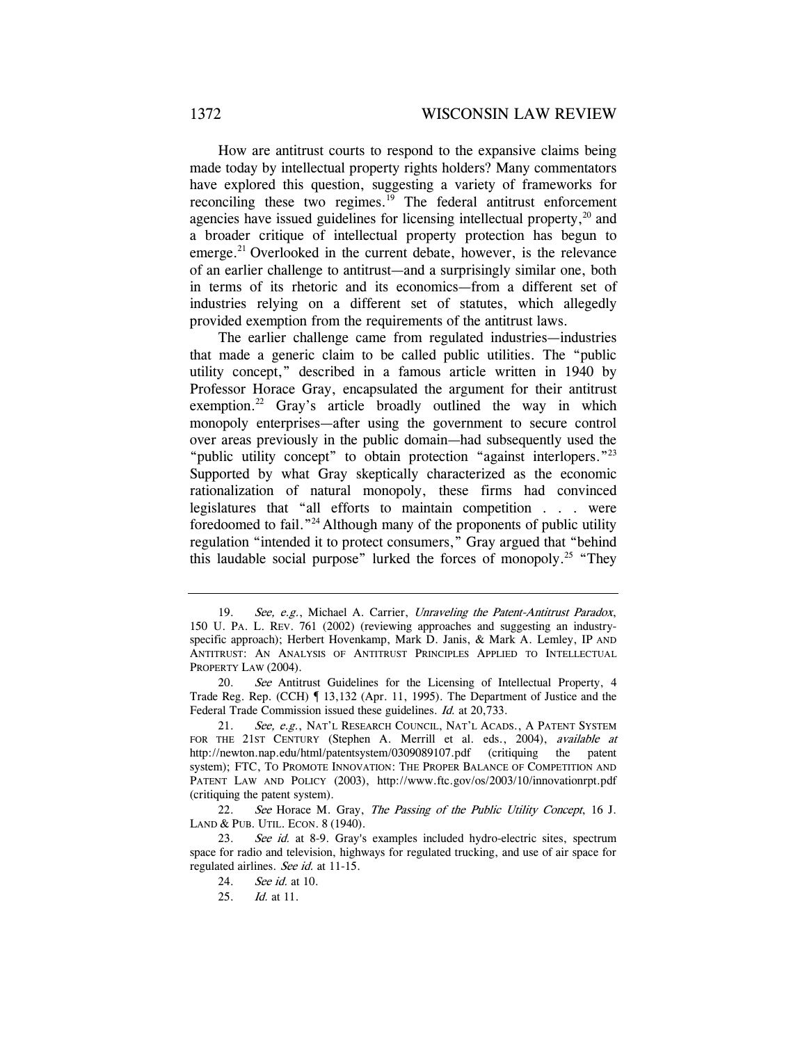How are antitrust courts to respond to the expansive claims being made today by intellectual property rights holders? Many commentators have explored this question, suggesting a variety of frameworks for reconciling these two regimes.<sup>19</sup> The federal antitrust enforcement agencies have issued guidelines for licensing intellectual property, $2<sup>0</sup>$  and a broader critique of intellectual property protection has begun to emerge.<sup>21</sup> Overlooked in the current debate, however, is the relevance of an earlier challenge to antitrust—and a surprisingly similar one, both in terms of its rhetoric and its economics—from a different set of industries relying on a different set of statutes, which allegedly provided exemption from the requirements of the antitrust laws.

The earlier challenge came from regulated industries—industries that made a generic claim to be called public utilities. The "public utility concept," described in a famous article written in 1940 by Professor Horace Gray, encapsulated the argument for their antitrust exemption.<sup>22</sup> Gray's article broadly outlined the way in which monopoly enterprises—after using the government to secure control over areas previously in the public domain—had subsequently used the "public utility concept" to obtain protection "against interlopers."<sup>23</sup> Supported by what Gray skeptically characterized as the economic rationalization of natural monopoly, these firms had convinced legislatures that "all efforts to maintain competition . . . were foredoomed to fail."24 Although many of the proponents of public utility regulation "intended it to protect consumers," Gray argued that "behind this laudable social purpose" lurked the forces of monopoly.<sup>25</sup> "They

<sup>19.</sup> See, e.g., Michael A. Carrier, Unraveling the Patent-Antitrust Paradox, 150 U. PA. L. REV. 761 (2002) (reviewing approaches and suggesting an industryspecific approach); Herbert Hovenkamp, Mark D. Janis, & Mark A. Lemley, IP AND ANTITRUST: AN ANALYSIS OF ANTITRUST PRINCIPLES APPLIED TO INTELLECTUAL PROPERTY LAW (2004).

<sup>20.</sup> See Antitrust Guidelines for the Licensing of Intellectual Property, 4 Trade Reg. Rep. (CCH) ¶ 13,132 (Apr. 11, 1995). The Department of Justice and the Federal Trade Commission issued these guidelines. Id. at 20,733.

<sup>21.</sup> See, e.g., NAT'L RESEARCH COUNCIL, NAT'L ACADS., A PATENT SYSTEM FOR THE 21ST CENTURY (Stephen A. Merrill et al. eds., 2004), available at http://newton.nap.edu/html/patentsystem/0309089107.pdf (critiquing the patent system); FTC, TO PROMOTE INNOVATION: THE PROPER BALANCE OF COMPETITION AND PATENT LAW AND POLICY (2003), http://www.ftc.gov/os/2003/10/innovationrpt.pdf (critiquing the patent system).

<sup>22.</sup> See Horace M. Gray, The Passing of the Public Utility Concept, 16 J. LAND & PUB. UTIL. ECON. 8 (1940).

<sup>23.</sup> See id. at 8-9. Gray's examples included hydro-electric sites, spectrum space for radio and television, highways for regulated trucking, and use of air space for regulated airlines. See id. at 11-15.

<sup>24.</sup> See id. at 10.

<sup>25.</sup> Id. at 11.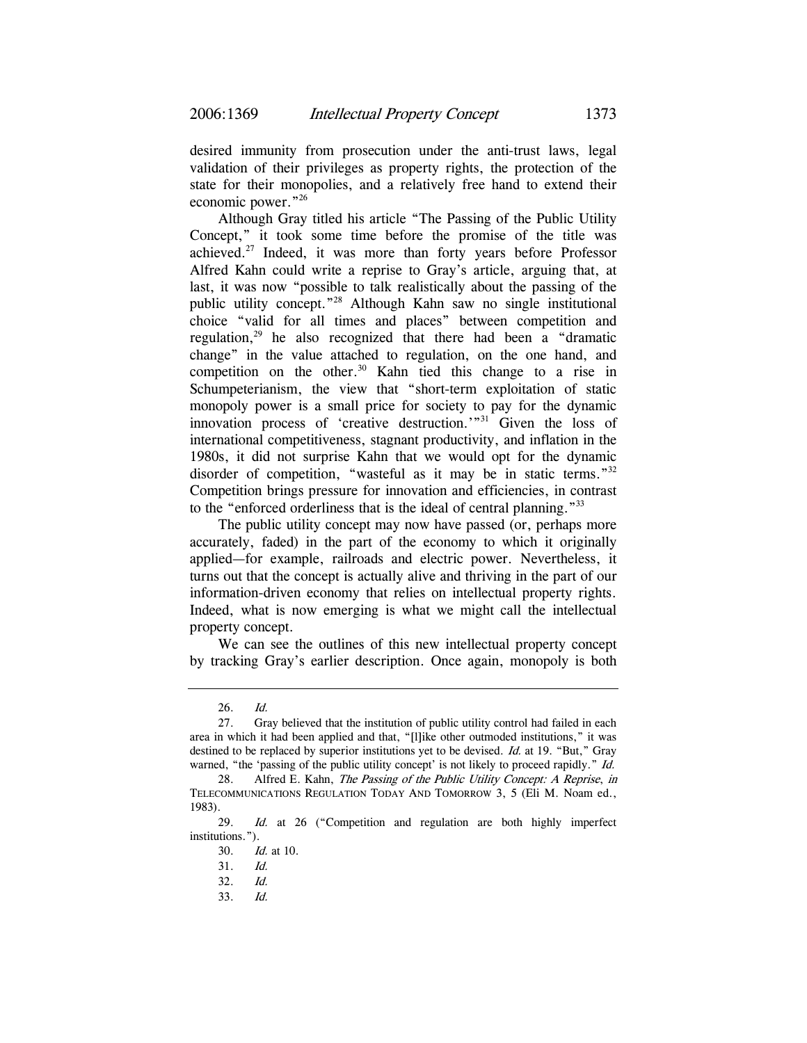desired immunity from prosecution under the anti-trust laws, legal validation of their privileges as property rights, the protection of the state for their monopolies, and a relatively free hand to extend their economic power."26

Although Gray titled his article "The Passing of the Public Utility Concept," it took some time before the promise of the title was achieved.27 Indeed, it was more than forty years before Professor Alfred Kahn could write a reprise to Gray's article, arguing that, at last, it was now "possible to talk realistically about the passing of the public utility concept."28 Although Kahn saw no single institutional choice "valid for all times and places" between competition and regulation,<sup>29</sup> he also recognized that there had been a "dramatic change" in the value attached to regulation, on the one hand, and competition on the other.<sup>30</sup> Kahn tied this change to a rise in Schumpeterianism, the view that "short-term exploitation of static monopoly power is a small price for society to pay for the dynamic innovation process of 'creative destruction.'"31 Given the loss of international competitiveness, stagnant productivity, and inflation in the 1980s, it did not surprise Kahn that we would opt for the dynamic disorder of competition, "wasteful as it may be in static terms."<sup>32</sup> Competition brings pressure for innovation and efficiencies, in contrast to the "enforced orderliness that is the ideal of central planning."<sup>33</sup>

The public utility concept may now have passed (or, perhaps more accurately, faded) in the part of the economy to which it originally applied—for example, railroads and electric power. Nevertheless, it turns out that the concept is actually alive and thriving in the part of our information-driven economy that relies on intellectual property rights. Indeed, what is now emerging is what we might call the intellectual property concept.

We can see the outlines of this new intellectual property concept by tracking Gray's earlier description. Once again, monopoly is both

<sup>26.</sup> Id.

<sup>27.</sup> Gray believed that the institution of public utility control had failed in each area in which it had been applied and that, "[l]ike other outmoded institutions," it was destined to be replaced by superior institutions yet to be devised. Id. at 19. "But," Gray warned, "the 'passing of the public utility concept' is not likely to proceed rapidly." *Id.* 

<sup>28.</sup> Alfred E. Kahn, The Passing of the Public Utility Concept: A Reprise, in TELECOMMUNICATIONS REGULATION TODAY AND TOMORROW 3, 5 (Eli M. Noam ed., 1983).

<sup>29.</sup> Id. at 26 ("Competition and regulation are both highly imperfect institutions.").

<sup>30.</sup> Id. at 10.

<sup>31.</sup> Id.

<sup>32.</sup> Id.

<sup>33.</sup> Id.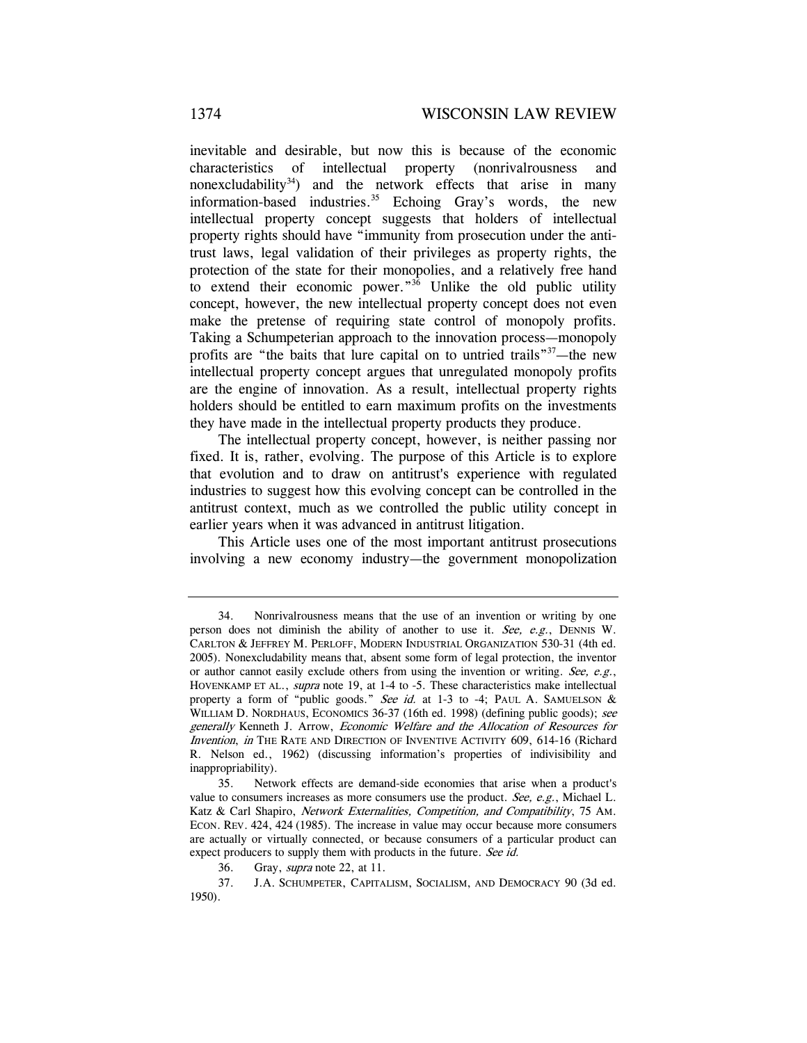inevitable and desirable, but now this is because of the economic characteristics of intellectual property (nonrivalrousness and nonexcludability<sup>34</sup>) and the network effects that arise in many information-based industries.<sup>35</sup> Echoing Gray's words, the new intellectual property concept suggests that holders of intellectual property rights should have "immunity from prosecution under the antitrust laws, legal validation of their privileges as property rights, the protection of the state for their monopolies, and a relatively free hand to extend their economic power." $3\overline{6}$  Unlike the old public utility concept, however, the new intellectual property concept does not even make the pretense of requiring state control of monopoly profits. Taking a Schumpeterian approach to the innovation process—monopoly profits are "the baits that lure capital on to untried trails"<sup>37</sup>—the new intellectual property concept argues that unregulated monopoly profits are the engine of innovation. As a result, intellectual property rights holders should be entitled to earn maximum profits on the investments they have made in the intellectual property products they produce.

The intellectual property concept, however, is neither passing nor fixed. It is, rather, evolving. The purpose of this Article is to explore that evolution and to draw on antitrust's experience with regulated industries to suggest how this evolving concept can be controlled in the antitrust context, much as we controlled the public utility concept in earlier years when it was advanced in antitrust litigation.

This Article uses one of the most important antitrust prosecutions involving a new economy industry—the government monopolization

<sup>34.</sup> Nonrivalrousness means that the use of an invention or writing by one person does not diminish the ability of another to use it. See, e.g., DENNIS W. CARLTON & JEFFREY M. PERLOFF, MODERN INDUSTRIAL ORGANIZATION 530-31 (4th ed. 2005). Nonexcludability means that, absent some form of legal protection, the inventor or author cannot easily exclude others from using the invention or writing. See, e.g., HOVENKAMP ET AL., supra note 19, at 1-4 to -5. These characteristics make intellectual property a form of "public goods." See id. at 1-3 to -4; PAUL A. SAMUELSON & WILLIAM D. NORDHAUS, ECONOMICS 36-37 (16th ed. 1998) (defining public goods); see generally Kenneth J. Arrow, Economic Welfare and the Allocation of Resources for Invention, in THE RATE AND DIRECTION OF INVENTIVE ACTIVITY 609, 614-16 (Richard R. Nelson ed., 1962) (discussing information's properties of indivisibility and inappropriability).

<sup>35.</sup> Network effects are demand-side economies that arise when a product's value to consumers increases as more consumers use the product. See, e.g., Michael L. Katz & Carl Shapiro, Network Externalities, Competition, and Compatibility, 75 AM. ECON. REV. 424, 424 (1985). The increase in value may occur because more consumers are actually or virtually connected, or because consumers of a particular product can expect producers to supply them with products in the future. See id.

<sup>36.</sup> Gray, supra note 22, at 11.

<sup>37.</sup> J.A. SCHUMPETER, CAPITALISM, SOCIALISM, AND DEMOCRACY 90 (3d ed. 1950).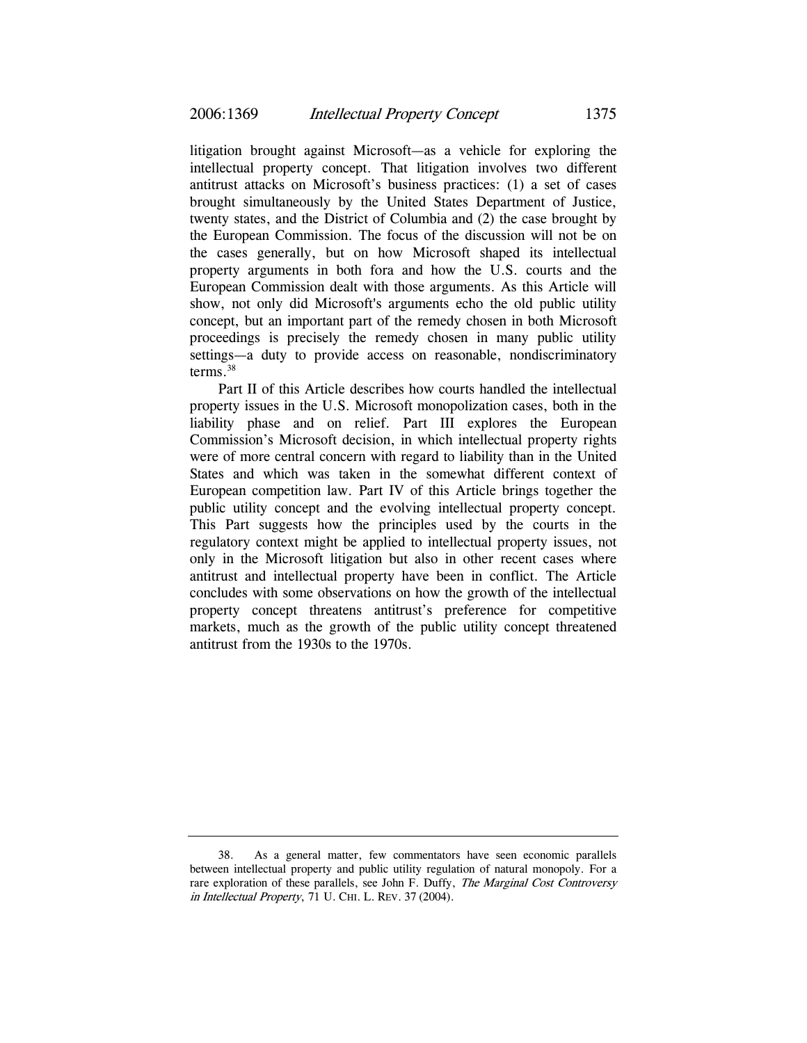litigation brought against Microsoft—as a vehicle for exploring the intellectual property concept. That litigation involves two different antitrust attacks on Microsoft's business practices: (1) a set of cases brought simultaneously by the United States Department of Justice, twenty states, and the District of Columbia and (2) the case brought by the European Commission. The focus of the discussion will not be on the cases generally, but on how Microsoft shaped its intellectual property arguments in both fora and how the U.S. courts and the European Commission dealt with those arguments. As this Article will show, not only did Microsoft's arguments echo the old public utility concept, but an important part of the remedy chosen in both Microsoft proceedings is precisely the remedy chosen in many public utility settings—a duty to provide access on reasonable, nondiscriminatory terms.38

Part II of this Article describes how courts handled the intellectual property issues in the U.S. Microsoft monopolization cases, both in the liability phase and on relief. Part III explores the European Commission's Microsoft decision, in which intellectual property rights were of more central concern with regard to liability than in the United States and which was taken in the somewhat different context of European competition law. Part IV of this Article brings together the public utility concept and the evolving intellectual property concept. This Part suggests how the principles used by the courts in the regulatory context might be applied to intellectual property issues, not only in the Microsoft litigation but also in other recent cases where antitrust and intellectual property have been in conflict. The Article concludes with some observations on how the growth of the intellectual property concept threatens antitrust's preference for competitive markets, much as the growth of the public utility concept threatened antitrust from the 1930s to the 1970s.

<sup>38.</sup> As a general matter, few commentators have seen economic parallels between intellectual property and public utility regulation of natural monopoly. For a rare exploration of these parallels, see John F. Duffy, *The Marginal Cost Controversy* in Intellectual Property, 71 U. CHI. L. REV. 37 (2004).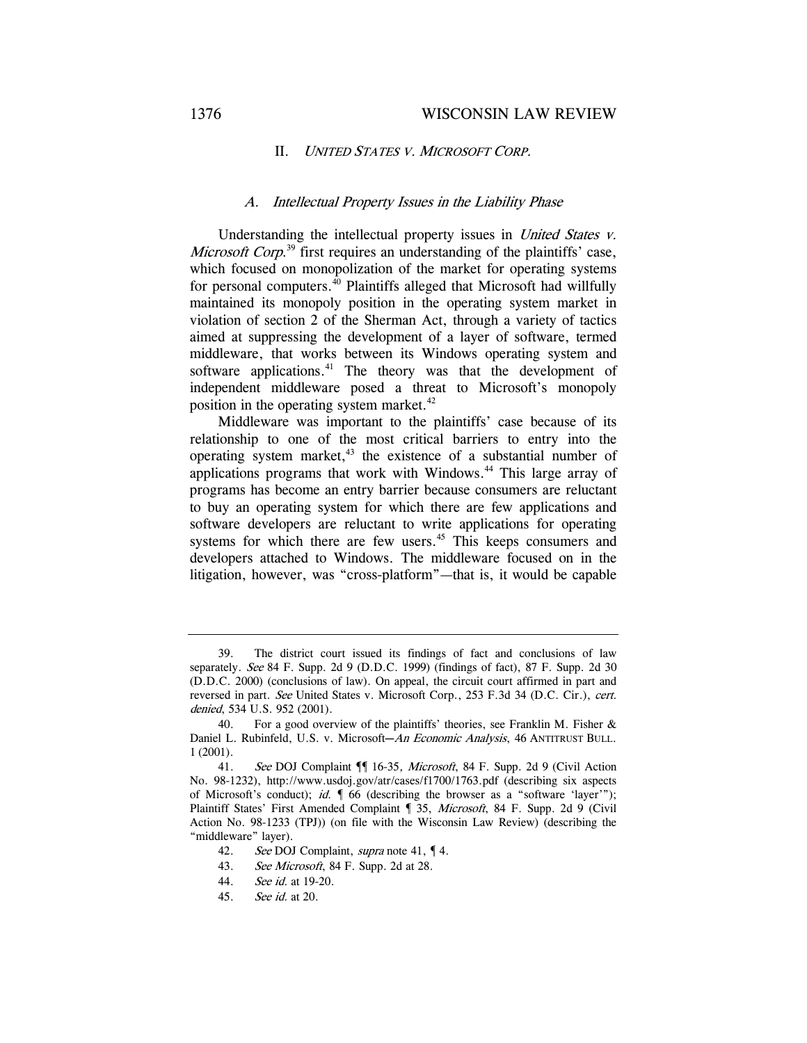### II. UNITED STATES V. MICROSOFT CORP.

## A. Intellectual Property Issues in the Liability Phase

Understanding the intellectual property issues in *United States v.* Microsoft Corp.<sup>39</sup> first requires an understanding of the plaintiffs' case, which focused on monopolization of the market for operating systems for personal computers. $40$  Plaintiffs alleged that Microsoft had willfully maintained its monopoly position in the operating system market in violation of section 2 of the Sherman Act, through a variety of tactics aimed at suppressing the development of a layer of software, termed middleware, that works between its Windows operating system and software applications.<sup>41</sup> The theory was that the development of independent middleware posed a threat to Microsoft's monopoly position in the operating system market.<sup>42</sup>

Middleware was important to the plaintiffs' case because of its relationship to one of the most critical barriers to entry into the operating system market, $43$  the existence of a substantial number of applications programs that work with Windows.<sup>44</sup> This large array of programs has become an entry barrier because consumers are reluctant to buy an operating system for which there are few applications and software developers are reluctant to write applications for operating systems for which there are few users.<sup>45</sup> This keeps consumers and developers attached to Windows. The middleware focused on in the litigation, however, was "cross-platform"—that is, it would be capable

<sup>39.</sup> The district court issued its findings of fact and conclusions of law separately. See 84 F. Supp. 2d 9 (D.D.C. 1999) (findings of fact), 87 F. Supp. 2d 30 (D.D.C. 2000) (conclusions of law). On appeal, the circuit court affirmed in part and reversed in part. See United States v. Microsoft Corp., 253 F.3d 34 (D.C. Cir.), cert. denied, 534 U.S. 952 (2001).

<sup>40.</sup> For a good overview of the plaintiffs' theories, see Franklin M. Fisher & Daniel L. Rubinfeld, U.S. v. Microsoft-An Economic Analysis, 46 ANTITRUST BULL. 1 (2001).

<sup>41.</sup> See DOJ Complaint  $\P$  16-35, Microsoft, 84 F. Supp. 2d 9 (Civil Action No. 98-1232), http://www.usdoj.gov/atr/cases/f1700/1763.pdf (describing six aspects of Microsoft's conduct); id.  $\parallel$  66 (describing the browser as a "software 'layer'"); Plaintiff States' First Amended Complaint 1 35, Microsoft, 84 F. Supp. 2d 9 (Civil Action No. 98-1233 (TPJ)) (on file with the Wisconsin Law Review) (describing the "middleware" layer).

<sup>42.</sup> See DOJ Complaint, *supra* note 41,  $\P$  4.

<sup>43.</sup> See Microsoft, 84 F. Supp. 2d at 28.

<sup>44.</sup> See id. at 19-20.

<sup>45.</sup> See id. at 20.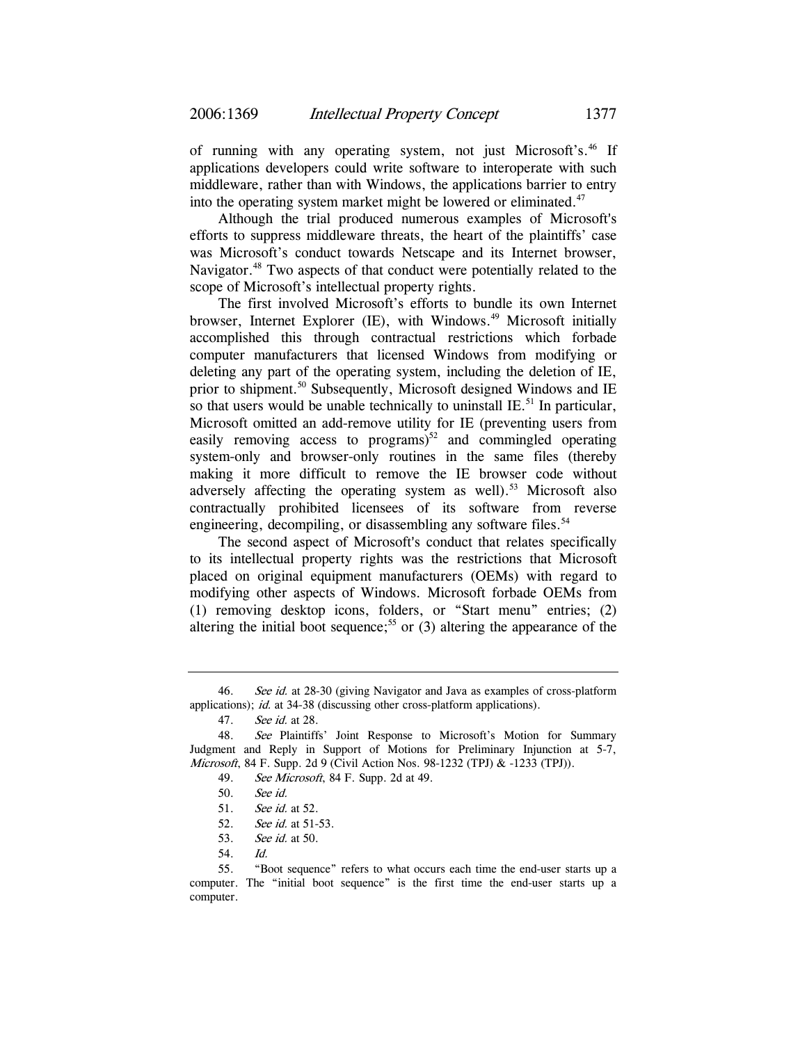of running with any operating system, not just Microsoft's.<sup>46</sup> If applications developers could write software to interoperate with such middleware, rather than with Windows, the applications barrier to entry into the operating system market might be lowered or eliminated.<sup>47</sup>

Although the trial produced numerous examples of Microsoft's efforts to suppress middleware threats, the heart of the plaintiffs' case was Microsoft's conduct towards Netscape and its Internet browser, Navigator.<sup>48</sup> Two aspects of that conduct were potentially related to the scope of Microsoft's intellectual property rights.

The first involved Microsoft's efforts to bundle its own Internet browser, Internet Explorer (IE), with Windows.<sup>49</sup> Microsoft initially accomplished this through contractual restrictions which forbade computer manufacturers that licensed Windows from modifying or deleting any part of the operating system, including the deletion of IE, prior to shipment.<sup>50</sup> Subsequently, Microsoft designed Windows and IE so that users would be unable technically to uninstall  $IE$ .<sup>51</sup> In particular, Microsoft omitted an add-remove utility for IE (preventing users from easily removing access to programs) $52$  and commingled operating system-only and browser-only routines in the same files (thereby making it more difficult to remove the IE browser code without adversely affecting the operating system as well).<sup>53</sup> Microsoft also contractually prohibited licensees of its software from reverse engineering, decompiling, or disassembling any software files.<sup>54</sup>

The second aspect of Microsoft's conduct that relates specifically to its intellectual property rights was the restrictions that Microsoft placed on original equipment manufacturers (OEMs) with regard to modifying other aspects of Windows. Microsoft forbade OEMs from (1) removing desktop icons, folders, or "Start menu" entries; (2) altering the initial boot sequence;<sup>55</sup> or  $(3)$  altering the appearance of the

<sup>46.</sup> See id. at 28-30 (giving Navigator and Java as examples of cross-platform applications); id. at 34-38 (discussing other cross-platform applications).

<sup>47.</sup> See id. at 28.

<sup>48.</sup> See Plaintiffs' Joint Response to Microsoft's Motion for Summary Judgment and Reply in Support of Motions for Preliminary Injunction at 5-7, *Microsoft*, 84 F. Supp. 2d 9 (Civil Action Nos. 98-1232 (TPJ) & -1233 (TPJ)).

<sup>49.</sup> See Microsoft, 84 F. Supp. 2d at 49.

<sup>50.</sup> See id.

<sup>51.</sup> See id. at 52.

<sup>52.</sup> See id. at 51-53.

<sup>53.</sup> See id. at 50.

<sup>54.</sup> Id.

<sup>55. &</sup>quot;Boot sequence" refers to what occurs each time the end-user starts up a computer. The "initial boot sequence" is the first time the end-user starts up a computer.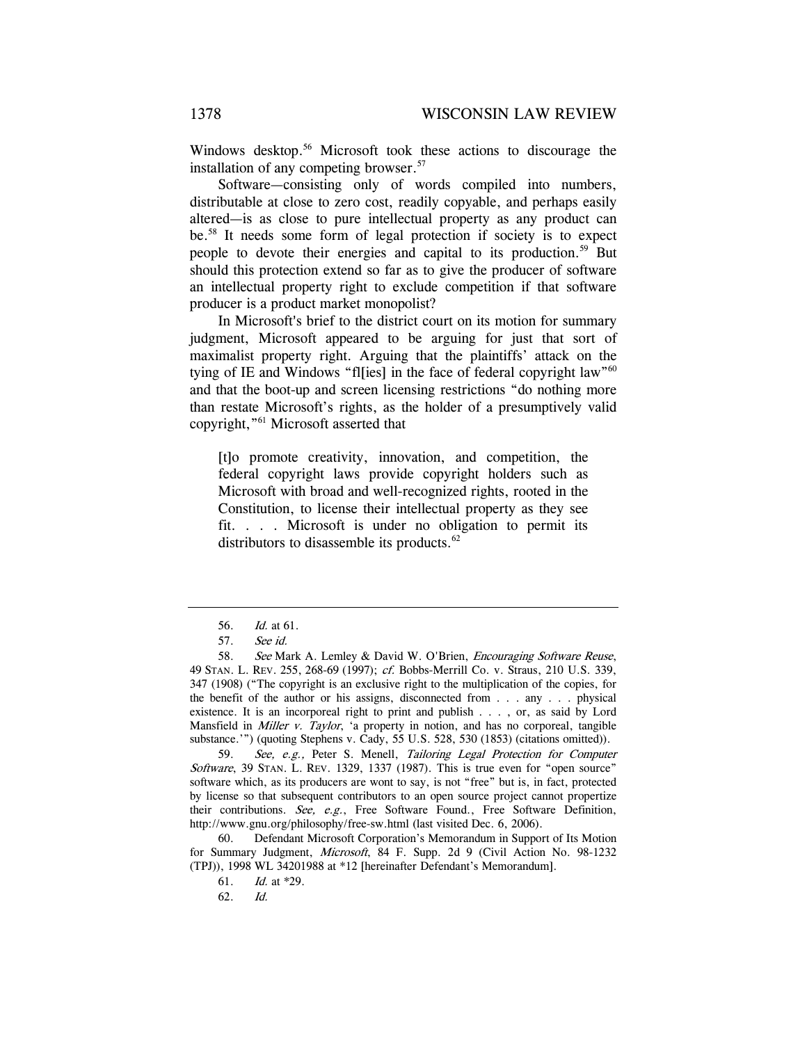Windows desktop.<sup>56</sup> Microsoft took these actions to discourage the installation of any competing browser.<sup>57</sup>

Software—consisting only of words compiled into numbers, distributable at close to zero cost, readily copyable, and perhaps easily altered—is as close to pure intellectual property as any product can be.58 It needs some form of legal protection if society is to expect people to devote their energies and capital to its production.<sup>59</sup> But should this protection extend so far as to give the producer of software an intellectual property right to exclude competition if that software producer is a product market monopolist?

In Microsoft's brief to the district court on its motion for summary judgment, Microsoft appeared to be arguing for just that sort of maximalist property right. Arguing that the plaintiffs' attack on the tying of IE and Windows "fl[ies] in the face of federal copyright law"<sup>60</sup> and that the boot-up and screen licensing restrictions "do nothing more than restate Microsoft's rights, as the holder of a presumptively valid copyright,"61 Microsoft asserted that

[t]o promote creativity, innovation, and competition, the federal copyright laws provide copyright holders such as Microsoft with broad and well-recognized rights, rooted in the Constitution, to license their intellectual property as they see fit. . . . Microsoft is under no obligation to permit its distributors to disassemble its products. $62$ 

59. See, e.g., Peter S. Menell, Tailoring Legal Protection for Computer Software, 39 STAN. L. REV. 1329, 1337 (1987). This is true even for "open source" software which, as its producers are wont to say, is not "free" but is, in fact, protected by license so that subsequent contributors to an open source project cannot propertize their contributions. See, e.g., Free Software Found., Free Software Definition, http://www.gnu.org/philosophy/free-sw.html (last visited Dec. 6, 2006).

60. Defendant Microsoft Corporation's Memorandum in Support of Its Motion for Summary Judgment, Microsoft, 84 F. Supp. 2d 9 (Civil Action No. 98-1232 (TPJ)), 1998 WL 34201988 at \*12 [hereinafter Defendant's Memorandum].

<sup>56.</sup> Id. at 61.

<sup>57.</sup> See id.

<sup>58.</sup> See Mark A. Lemley & David W. O'Brien, *Encouraging Software Reuse*, 49 STAN. L. REV. 255, 268-69 (1997); cf. Bobbs-Merrill Co. v. Straus, 210 U.S. 339, 347 (1908) ("The copyright is an exclusive right to the multiplication of the copies, for the benefit of the author or his assigns, disconnected from . . . any . . . physical existence. It is an incorporeal right to print and publish . . . , or, as said by Lord Mansfield in *Miller v. Taylor*, 'a property in notion, and has no corporeal, tangible substance.'") (quoting Stephens v. Cady, 55 U.S. 528, 530 (1853) (citations omitted)).

<sup>61.</sup> Id. at \*29.

<sup>62.</sup> Id.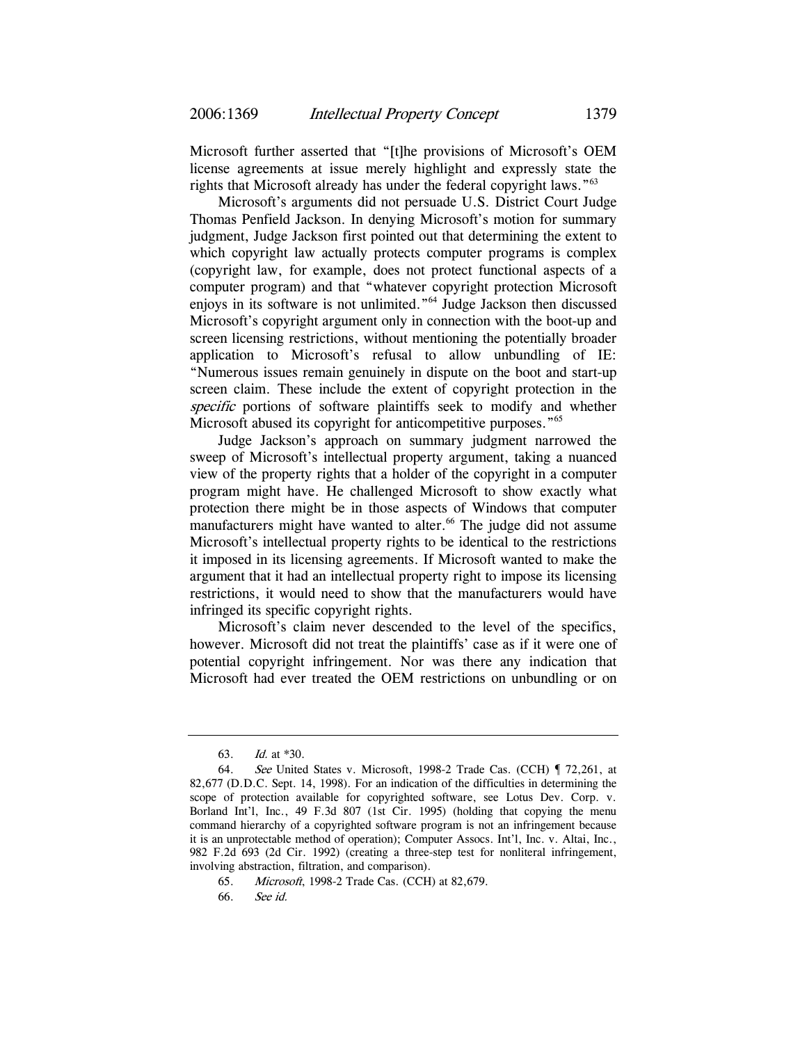Microsoft further asserted that "[t]he provisions of Microsoft's OEM license agreements at issue merely highlight and expressly state the rights that Microsoft already has under the federal copyright laws."63

Microsoft's arguments did not persuade U.S. District Court Judge Thomas Penfield Jackson. In denying Microsoft's motion for summary judgment, Judge Jackson first pointed out that determining the extent to which copyright law actually protects computer programs is complex (copyright law, for example, does not protect functional aspects of a computer program) and that "whatever copyright protection Microsoft enjoys in its software is not unlimited."64 Judge Jackson then discussed Microsoft's copyright argument only in connection with the boot-up and screen licensing restrictions, without mentioning the potentially broader application to Microsoft's refusal to allow unbundling of IE: "Numerous issues remain genuinely in dispute on the boot and start-up screen claim. These include the extent of copyright protection in the specific portions of software plaintiffs seek to modify and whether Microsoft abused its copyright for anticompetitive purposes.<sup>"65</sup>

Judge Jackson's approach on summary judgment narrowed the sweep of Microsoft's intellectual property argument, taking a nuanced view of the property rights that a holder of the copyright in a computer program might have. He challenged Microsoft to show exactly what protection there might be in those aspects of Windows that computer manufacturers might have wanted to alter.<sup>66</sup> The judge did not assume Microsoft's intellectual property rights to be identical to the restrictions it imposed in its licensing agreements. If Microsoft wanted to make the argument that it had an intellectual property right to impose its licensing restrictions, it would need to show that the manufacturers would have infringed its specific copyright rights.

Microsoft's claim never descended to the level of the specifics, however. Microsoft did not treat the plaintiffs' case as if it were one of potential copyright infringement. Nor was there any indication that Microsoft had ever treated the OEM restrictions on unbundling or on

<sup>63.</sup> Id. at \*30.

<sup>64.</sup> See United States v. Microsoft, 1998-2 Trade Cas. (CCH) ¶ 72,261, at 82,677 (D.D.C. Sept. 14, 1998). For an indication of the difficulties in determining the scope of protection available for copyrighted software, see Lotus Dev. Corp. v. Borland Int'l, Inc., 49 F.3d 807 (1st Cir. 1995) (holding that copying the menu command hierarchy of a copyrighted software program is not an infringement because it is an unprotectable method of operation); Computer Assocs. Int'l, Inc. v. Altai, Inc., 982 F.2d 693 (2d Cir. 1992) (creating a three-step test for nonliteral infringement, involving abstraction, filtration, and comparison).

<sup>65.</sup> Microsoft, 1998-2 Trade Cas. (CCH) at 82,679.

<sup>66.</sup> See id.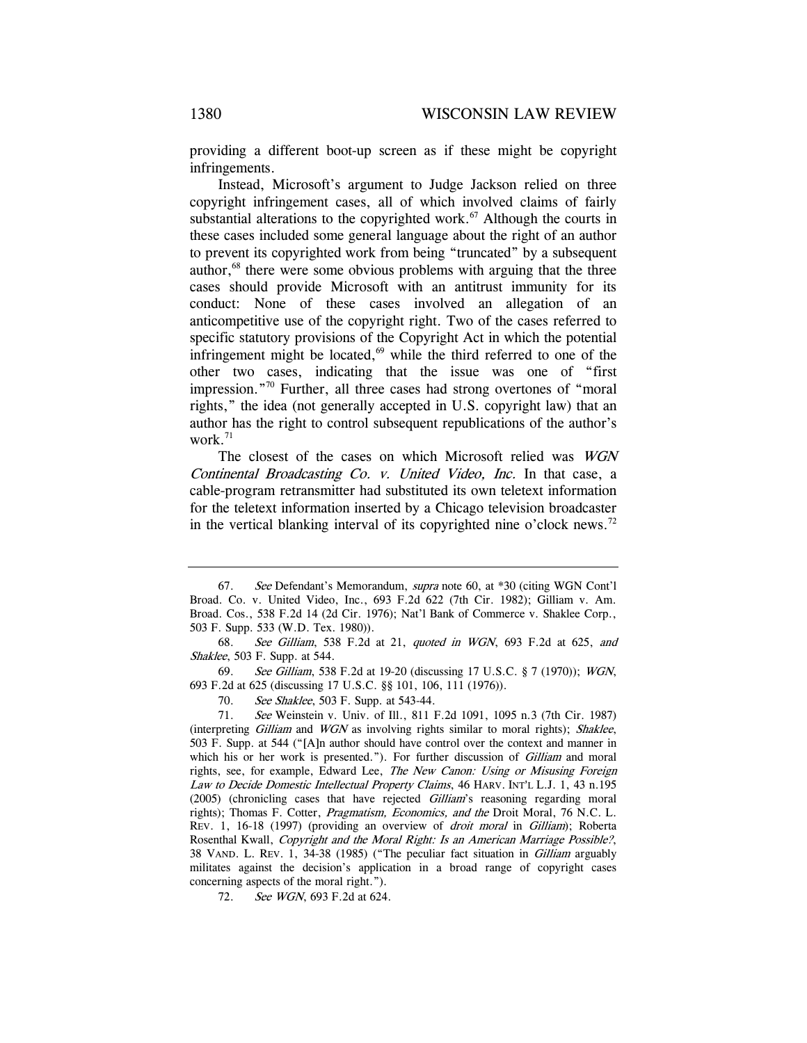providing a different boot-up screen as if these might be copyright infringements.

Instead, Microsoft's argument to Judge Jackson relied on three copyright infringement cases, all of which involved claims of fairly substantial alterations to the copyrighted work.<sup>67</sup> Although the courts in these cases included some general language about the right of an author to prevent its copyrighted work from being "truncated" by a subsequent author,<sup>68</sup> there were some obvious problems with arguing that the three cases should provide Microsoft with an antitrust immunity for its conduct: None of these cases involved an allegation of an anticompetitive use of the copyright right. Two of the cases referred to specific statutory provisions of the Copyright Act in which the potential infringement might be located, $69$  while the third referred to one of the other two cases, indicating that the issue was one of "first impression."70 Further, all three cases had strong overtones of "moral rights," the idea (not generally accepted in U.S. copyright law) that an author has the right to control subsequent republications of the author's work. $71$ 

The closest of the cases on which Microsoft relied was WGN Continental Broadcasting Co. v. United Video, Inc. In that case, a cable-program retransmitter had substituted its own teletext information for the teletext information inserted by a Chicago television broadcaster in the vertical blanking interval of its copyrighted nine o'clock news.<sup>72</sup>

69. See Gilliam, 538 F.2d at 19-20 (discussing 17 U.S.C. § 7 (1970)); WGN, 693 F.2d at 625 (discussing 17 U.S.C. §§ 101, 106, 111 (1976)).

70. See Shaklee, 503 F. Supp. at 543-44.

71. See Weinstein v. Univ. of Ill., 811 F.2d 1091, 1095 n.3 (7th Cir. 1987) (interpreting Gilliam and WGN as involving rights similar to moral rights); Shaklee, 503 F. Supp. at 544 ("[A]n author should have control over the context and manner in which his or her work is presented."). For further discussion of *Gilliam* and moral rights, see, for example, Edward Lee, The New Canon: Using or Misusing Foreign Law to Decide Domestic Intellectual Property Claims, 46 HARV. INT'L L.J. 1, 43 n.195 (2005) (chronicling cases that have rejected Gilliam's reasoning regarding moral rights); Thomas F. Cotter, Pragmatism, Economics, and the Droit Moral, 76 N.C. L. REV. 1, 16-18 (1997) (providing an overview of *droit moral* in *Gilliam*); Roberta Rosenthal Kwall, Copyright and the Moral Right: Is an American Marriage Possible?, 38 VAND. L. REV. 1, 34-38 (1985) ("The peculiar fact situation in Gilliam arguably militates against the decision's application in a broad range of copyright cases concerning aspects of the moral right.").

72. See WGN, 693 F.2d at 624.

<sup>67.</sup> See Defendant's Memorandum, supra note 60, at \*30 (citing WGN Cont'l Broad. Co. v. United Video, Inc., 693 F.2d 622 (7th Cir. 1982); Gilliam v. Am. Broad. Cos., 538 F.2d 14 (2d Cir. 1976); Nat'l Bank of Commerce v. Shaklee Corp., 503 F. Supp. 533 (W.D. Tex. 1980)).

<sup>68.</sup> See Gilliam, 538 F.2d at 21, quoted in WGN, 693 F.2d at 625, and Shaklee, 503 F. Supp. at 544.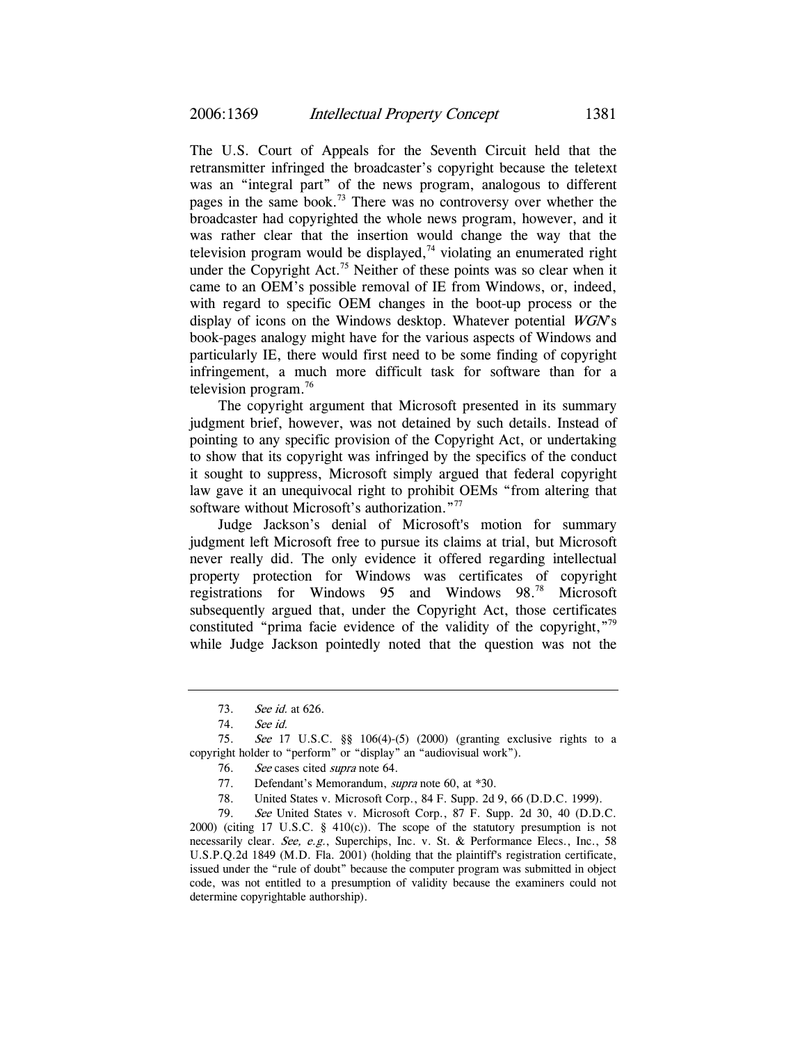The U.S. Court of Appeals for the Seventh Circuit held that the retransmitter infringed the broadcaster's copyright because the teletext was an "integral part" of the news program, analogous to different pages in the same book.73 There was no controversy over whether the broadcaster had copyrighted the whole news program, however, and it was rather clear that the insertion would change the way that the television program would be displayed,<sup> $74$ </sup> violating an enumerated right under the Copyright Act.<sup>75</sup> Neither of these points was so clear when it came to an OEM's possible removal of IE from Windows, or, indeed, with regard to specific OEM changes in the boot-up process or the display of icons on the Windows desktop. Whatever potential WGN's book-pages analogy might have for the various aspects of Windows and particularly IE, there would first need to be some finding of copyright infringement, a much more difficult task for software than for a television program.76

The copyright argument that Microsoft presented in its summary judgment brief, however, was not detained by such details. Instead of pointing to any specific provision of the Copyright Act, or undertaking to show that its copyright was infringed by the specifics of the conduct it sought to suppress, Microsoft simply argued that federal copyright law gave it an unequivocal right to prohibit OEMs "from altering that software without Microsoft's authorization."<sup>77</sup>

Judge Jackson's denial of Microsoft's motion for summary judgment left Microsoft free to pursue its claims at trial, but Microsoft never really did. The only evidence it offered regarding intellectual property protection for Windows was certificates of copyright registrations for Windows 95 and Windows 98.78 Microsoft subsequently argued that, under the Copyright Act, those certificates constituted "prima facie evidence of the validity of the copyright,"<sup>79</sup> while Judge Jackson pointedly noted that the question was not the

<sup>73.</sup> See id. at 626.

<sup>74.</sup> See id.

<sup>75.</sup> See 17 U.S.C. §§ 106(4)-(5) (2000) (granting exclusive rights to a copyright holder to "perform" or "display" an "audiovisual work").

<sup>76.</sup> See cases cited *supra* note 64.

<sup>77.</sup> Defendant's Memorandum, *supra* note 60, at \*30.

<sup>78.</sup> United States v. Microsoft Corp., 84 F. Supp. 2d 9, 66 (D.D.C. 1999).

<sup>79.</sup> See United States v. Microsoft Corp., 87 F. Supp. 2d 30, 40 (D.D.C. 2000) (citing 17 U.S.C.  $\S$  410(c)). The scope of the statutory presumption is not necessarily clear. See, e.g., Superchips, Inc. v. St. & Performance Elecs., Inc., 58 U.S.P.Q.2d 1849 (M.D. Fla. 2001) (holding that the plaintiff's registration certificate, issued under the "rule of doubt" because the computer program was submitted in object code, was not entitled to a presumption of validity because the examiners could not determine copyrightable authorship).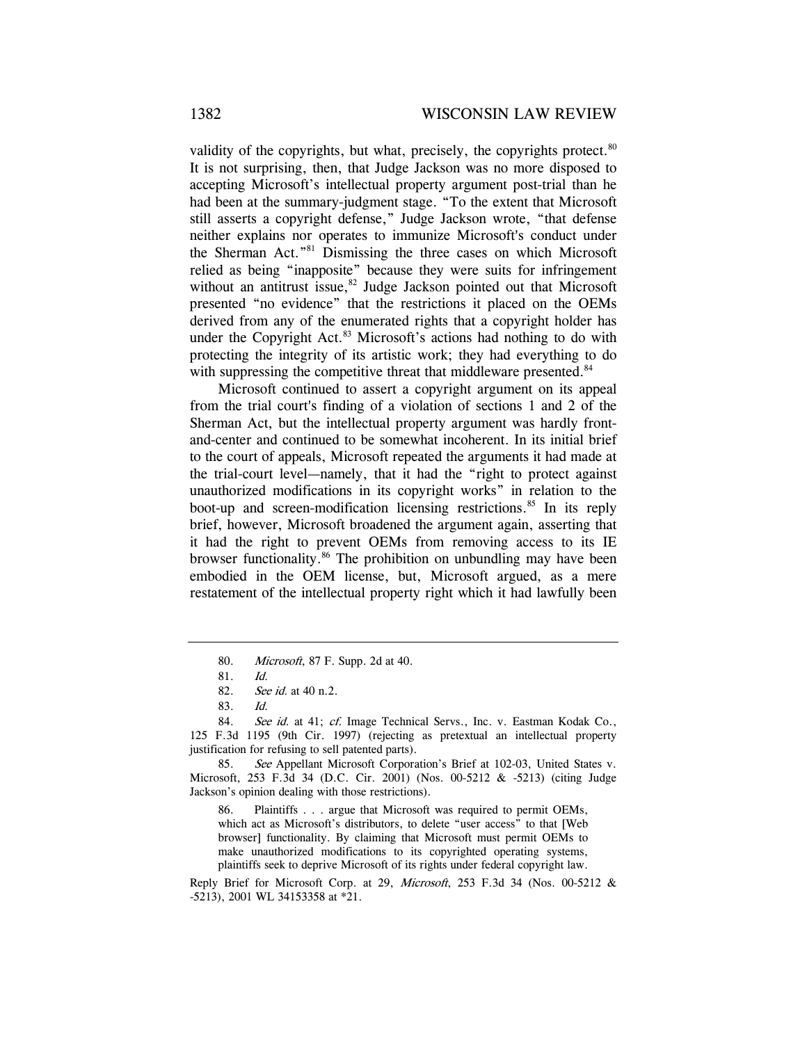validity of the copyrights, but what, precisely, the copyrights protect. $80$ It is not surprising, then, that Judge Jackson was no more disposed to accepting Microsoft's intellectual property argument post-trial than he had been at the summary-judgment stage. "To the extent that Microsoft still asserts a copyright defense," Judge Jackson wrote, "that defense neither explains nor operates to immunize Microsoft's conduct under the Sherman Act."81 Dismissing the three cases on which Microsoft relied as being "inapposite" because they were suits for infringement without an antitrust issue, $82$  Judge Jackson pointed out that Microsoft presented "no evidence" that the restrictions it placed on the OEMs derived from any of the enumerated rights that a copyright holder has under the Copyright Act.<sup>83</sup> Microsoft's actions had nothing to do with protecting the integrity of its artistic work; they had everything to do with suppressing the competitive threat that middleware presented.<sup>84</sup>

Microsoft continued to assert a copyright argument on its appeal from the trial court's finding of a violation of sections 1 and 2 of the Sherman Act, but the intellectual property argument was hardly frontand-center and continued to be somewhat incoherent. In its initial brief to the court of appeals, Microsoft repeated the arguments it had made at the trial-court level—namely, that it had the "right to protect against unauthorized modifications in its copyright works" in relation to the boot-up and screen-modification licensing restrictions.<sup>85</sup> In its reply brief, however, Microsoft broadened the argument again, asserting that it had the right to prevent OEMs from removing access to its IE browser functionality.86 The prohibition on unbundling may have been embodied in the OEM license, but, Microsoft argued, as a mere restatement of the intellectual property right which it had lawfully been

<sup>80.</sup> Microsoft, 87 F. Supp. 2d at 40.

<sup>81.</sup> Id.

<sup>82.</sup> See id. at 40 n.2.

<sup>83.</sup> Id.

<sup>84.</sup> See id. at 41; cf. Image Technical Servs., Inc. v. Eastman Kodak Co., 125 F.3d 1195 (9th Cir. 1997) (rejecting as pretextual an intellectual property justification for refusing to sell patented parts).

<sup>85.</sup> See Appellant Microsoft Corporation's Brief at 102-03, United States v. Microsoft, 253 F.3d 34 (D.C. Cir. 2001) (Nos. 00-5212 & -5213) (citing Judge Jackson's opinion dealing with those restrictions).

<sup>86.</sup> Plaintiffs . . . argue that Microsoft was required to permit OEMs, which act as Microsoft's distributors, to delete "user access" to that [Web browser] functionality. By claiming that Microsoft must permit OEMs to make unauthorized modifications to its copyrighted operating systems, plaintiffs seek to deprive Microsoft of its rights under federal copyright law.

Reply Brief for Microsoft Corp. at 29, Microsoft, 253 F.3d 34 (Nos. 00-5212 & -5213), 2001 WL 34153358 at \*21.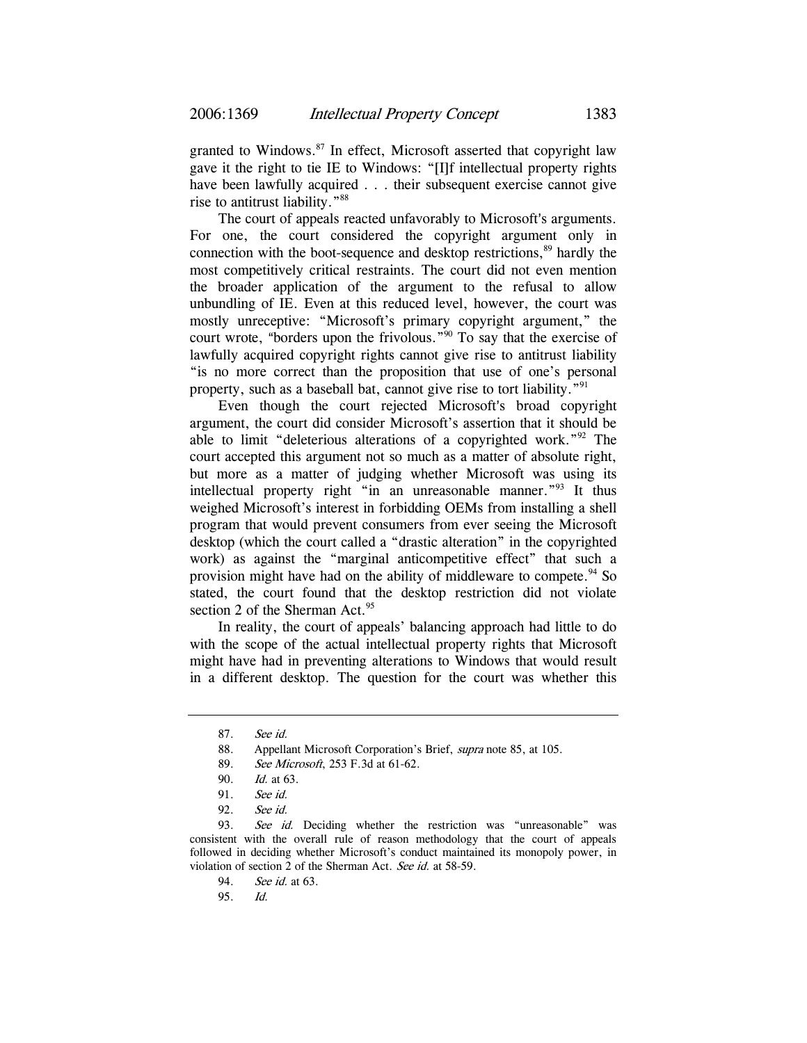granted to Windows. $87$  In effect, Microsoft asserted that copyright law gave it the right to tie IE to Windows: "[I]f intellectual property rights have been lawfully acquired . . . their subsequent exercise cannot give rise to antitrust liability."88

The court of appeals reacted unfavorably to Microsoft's arguments. For one, the court considered the copyright argument only in connection with the boot-sequence and desktop restrictions,<sup>89</sup> hardly the most competitively critical restraints. The court did not even mention the broader application of the argument to the refusal to allow unbundling of IE. Even at this reduced level, however, the court was mostly unreceptive: "Microsoft's primary copyright argument," the court wrote, "borders upon the frivolous."<sup>90</sup> To say that the exercise of lawfully acquired copyright rights cannot give rise to antitrust liability "is no more correct than the proposition that use of one's personal property, such as a baseball bat, cannot give rise to tort liability."<sup>91</sup>

Even though the court rejected Microsoft's broad copyright argument, the court did consider Microsoft's assertion that it should be able to limit "deleterious alterations of a copyrighted work."92 The court accepted this argument not so much as a matter of absolute right, but more as a matter of judging whether Microsoft was using its intellectual property right "in an unreasonable manner."93 It thus weighed Microsoft's interest in forbidding OEMs from installing a shell program that would prevent consumers from ever seeing the Microsoft desktop (which the court called a "drastic alteration" in the copyrighted work) as against the "marginal anticompetitive effect" that such a provision might have had on the ability of middleware to compete.<sup>94</sup> So stated, the court found that the desktop restriction did not violate section 2 of the Sherman Act.<sup>95</sup>

In reality, the court of appeals' balancing approach had little to do with the scope of the actual intellectual property rights that Microsoft might have had in preventing alterations to Windows that would result in a different desktop. The question for the court was whether this

<sup>87.</sup> See id.

<sup>88.</sup> Appellant Microsoft Corporation's Brief, *supra* note 85, at 105.

<sup>89.</sup> See Microsoft, 253 F.3d at 61-62.

<sup>90.</sup> Id. at 63.

<sup>91.</sup> See id.

<sup>92.</sup> See id.

<sup>93.</sup> See id. Deciding whether the restriction was "unreasonable" was consistent with the overall rule of reason methodology that the court of appeals followed in deciding whether Microsoft's conduct maintained its monopoly power, in violation of section 2 of the Sherman Act. See id. at 58-59.

<sup>94.</sup> See id. at 63.

<sup>95.</sup> Id.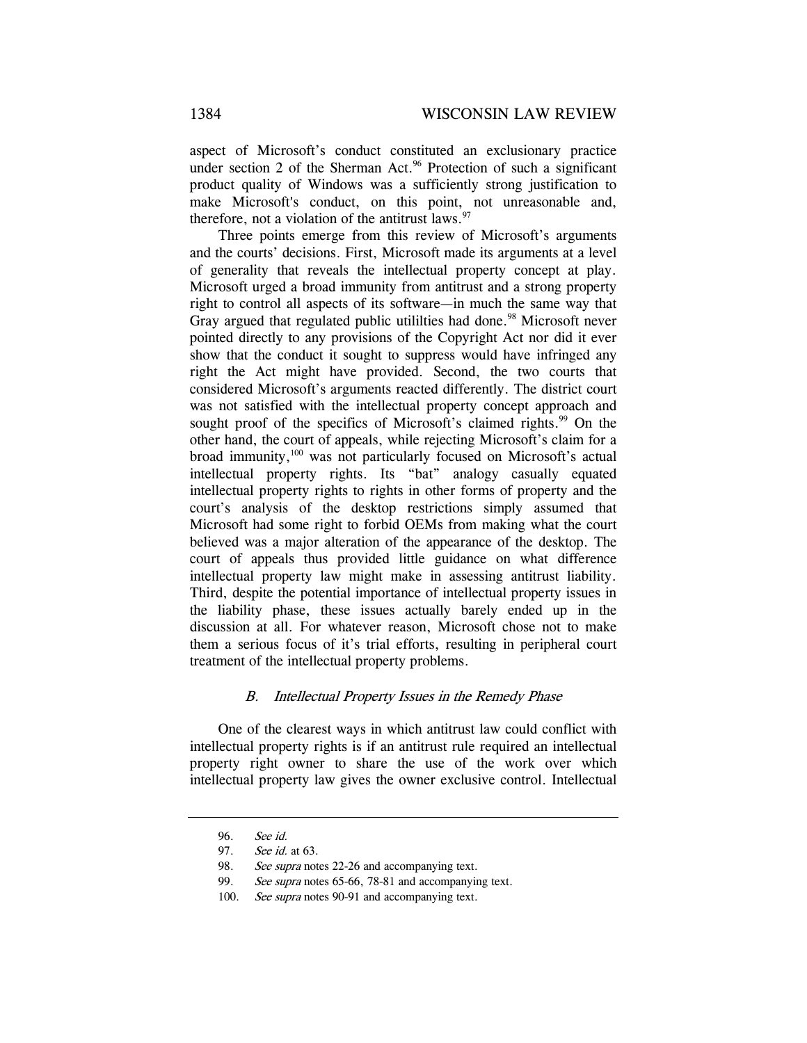aspect of Microsoft's conduct constituted an exclusionary practice under section 2 of the Sherman Act.<sup>96</sup> Protection of such a significant product quality of Windows was a sufficiently strong justification to make Microsoft's conduct, on this point, not unreasonable and, therefore, not a violation of the antitrust laws. $97$ 

Three points emerge from this review of Microsoft's arguments and the courts' decisions. First, Microsoft made its arguments at a level of generality that reveals the intellectual property concept at play. Microsoft urged a broad immunity from antitrust and a strong property right to control all aspects of its software—in much the same way that Gray argued that regulated public utililties had done.<sup>98</sup> Microsoft never pointed directly to any provisions of the Copyright Act nor did it ever show that the conduct it sought to suppress would have infringed any right the Act might have provided. Second, the two courts that considered Microsoft's arguments reacted differently. The district court was not satisfied with the intellectual property concept approach and sought proof of the specifics of Microsoft's claimed rights.<sup>99</sup> On the other hand, the court of appeals, while rejecting Microsoft's claim for a broad immunity,<sup>100</sup> was not particularly focused on Microsoft's actual intellectual property rights. Its "bat" analogy casually equated intellectual property rights to rights in other forms of property and the court's analysis of the desktop restrictions simply assumed that Microsoft had some right to forbid OEMs from making what the court believed was a major alteration of the appearance of the desktop. The court of appeals thus provided little guidance on what difference intellectual property law might make in assessing antitrust liability. Third, despite the potential importance of intellectual property issues in the liability phase, these issues actually barely ended up in the discussion at all. For whatever reason, Microsoft chose not to make them a serious focus of it's trial efforts, resulting in peripheral court treatment of the intellectual property problems.

## B. Intellectual Property Issues in the Remedy Phase

One of the clearest ways in which antitrust law could conflict with intellectual property rights is if an antitrust rule required an intellectual property right owner to share the use of the work over which intellectual property law gives the owner exclusive control. Intellectual

<sup>96.</sup> See id.

<sup>97.</sup> See id. at 63.

<sup>98.</sup> See supra notes 22-26 and accompanying text.

<sup>99.</sup> See supra notes 65-66, 78-81 and accompanying text.

<sup>100.</sup> See supra notes 90-91 and accompanying text.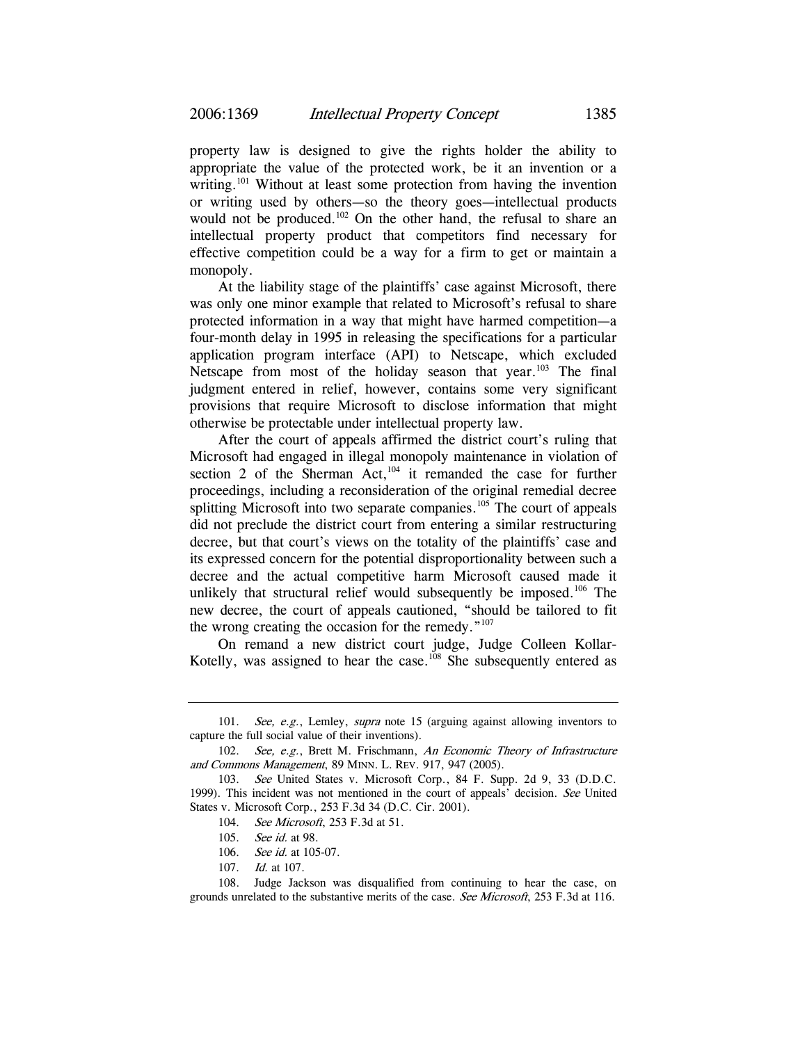property law is designed to give the rights holder the ability to appropriate the value of the protected work, be it an invention or a writing.<sup>101</sup> Without at least some protection from having the invention or writing used by others—so the theory goes—intellectual products would not be produced.<sup>102</sup> On the other hand, the refusal to share an intellectual property product that competitors find necessary for effective competition could be a way for a firm to get or maintain a monopoly.

At the liability stage of the plaintiffs' case against Microsoft, there was only one minor example that related to Microsoft's refusal to share protected information in a way that might have harmed competition—a four-month delay in 1995 in releasing the specifications for a particular application program interface (API) to Netscape, which excluded Netscape from most of the holiday season that year.<sup>103</sup> The final judgment entered in relief, however, contains some very significant provisions that require Microsoft to disclose information that might otherwise be protectable under intellectual property law.

After the court of appeals affirmed the district court's ruling that Microsoft had engaged in illegal monopoly maintenance in violation of section 2 of the Sherman Act, $104$  it remanded the case for further proceedings, including a reconsideration of the original remedial decree splitting Microsoft into two separate companies.<sup>105</sup> The court of appeals did not preclude the district court from entering a similar restructuring decree, but that court's views on the totality of the plaintiffs' case and its expressed concern for the potential disproportionality between such a decree and the actual competitive harm Microsoft caused made it unlikely that structural relief would subsequently be imposed.<sup>106</sup> The new decree, the court of appeals cautioned, "should be tailored to fit the wrong creating the occasion for the remedy."<sup>107</sup>

On remand a new district court judge, Judge Colleen Kollar-Kotelly, was assigned to hear the case.<sup>108</sup> She subsequently entered as

<sup>101.</sup> See, e.g., Lemley, supra note 15 (arguing against allowing inventors to capture the full social value of their inventions).

<sup>102.</sup> See, e.g., Brett M. Frischmann, An Economic Theory of Infrastructure and Commons Management, 89 MINN. L. REV. 917, 947 (2005).

<sup>103.</sup> See United States v. Microsoft Corp., 84 F. Supp. 2d 9, 33 (D.D.C. 1999). This incident was not mentioned in the court of appeals' decision. See United States v. Microsoft Corp., 253 F.3d 34 (D.C. Cir. 2001).

<sup>104.</sup> *See Microsoft*, 253 F.3d at 51.

<sup>105.</sup> See id. at 98.

<sup>106.</sup> *See id.* at 105-07.

<sup>107.</sup> Id. at 107.

<sup>108.</sup> Judge Jackson was disqualified from continuing to hear the case, on grounds unrelated to the substantive merits of the case. See Microsoft, 253 F.3d at 116.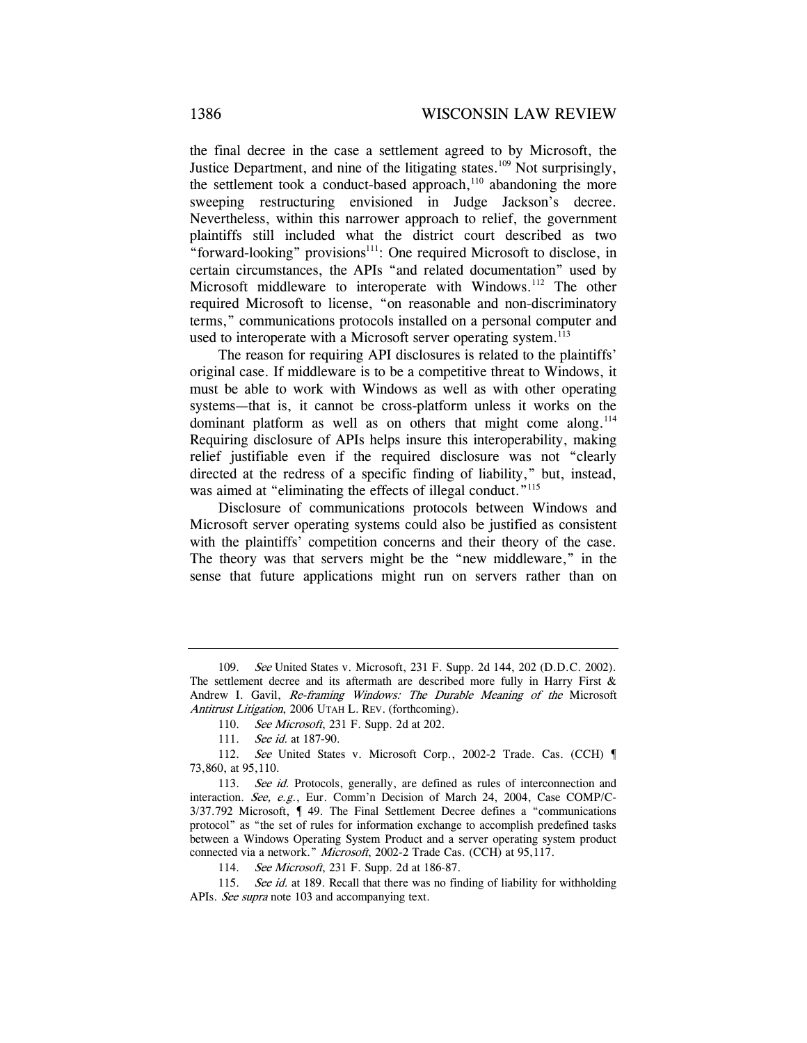the final decree in the case a settlement agreed to by Microsoft, the Justice Department, and nine of the litigating states.<sup>109</sup> Not surprisingly, the settlement took a conduct-based approach,<sup>110</sup> abandoning the more sweeping restructuring envisioned in Judge Jackson's decree. Nevertheless, within this narrower approach to relief, the government plaintiffs still included what the district court described as two "forward-looking" provisions<sup>111</sup>: One required Microsoft to disclose, in certain circumstances, the APIs "and related documentation" used by Microsoft middleware to interoperate with Windows.<sup>112</sup> The other required Microsoft to license, "on reasonable and non-discriminatory terms," communications protocols installed on a personal computer and used to interoperate with a Microsoft server operating system.<sup>113</sup>

The reason for requiring API disclosures is related to the plaintiffs' original case. If middleware is to be a competitive threat to Windows, it must be able to work with Windows as well as with other operating systems—that is, it cannot be cross-platform unless it works on the dominant platform as well as on others that might come along. $114$ Requiring disclosure of APIs helps insure this interoperability, making relief justifiable even if the required disclosure was not "clearly directed at the redress of a specific finding of liability," but, instead, was aimed at "eliminating the effects of illegal conduct."<sup>115</sup>

Disclosure of communications protocols between Windows and Microsoft server operating systems could also be justified as consistent with the plaintiffs' competition concerns and their theory of the case. The theory was that servers might be the "new middleware," in the sense that future applications might run on servers rather than on

<sup>109.</sup> See United States v. Microsoft, 231 F. Supp. 2d 144, 202 (D.D.C. 2002). The settlement decree and its aftermath are described more fully in Harry First  $\&$ Andrew I. Gavil, Re-framing Windows: The Durable Meaning of the Microsoft Antitrust Litigation, 2006 UTAH L. REV. (forthcoming).

<sup>110.</sup> See Microsoft, 231 F. Supp. 2d at 202.

<sup>111.</sup> *See id.* at 187-90.

<sup>112.</sup> See United States v. Microsoft Corp., 2002-2 Trade. Cas. (CCH) 73,860, at 95,110.

<sup>113.</sup> See id. Protocols, generally, are defined as rules of interconnection and interaction. See, e.g., Eur. Comm'n Decision of March 24, 2004, Case COMP/C-3/37.792 Microsoft, ¶ 49. The Final Settlement Decree defines a "communications protocol" as "the set of rules for information exchange to accomplish predefined tasks between a Windows Operating System Product and a server operating system product connected via a network." Microsoft, 2002-2 Trade Cas. (CCH) at 95,117.

<sup>114.</sup> See Microsoft, 231 F. Supp. 2d at 186-87.

<sup>115.</sup> See id. at 189. Recall that there was no finding of liability for withholding APIs. See supra note 103 and accompanying text.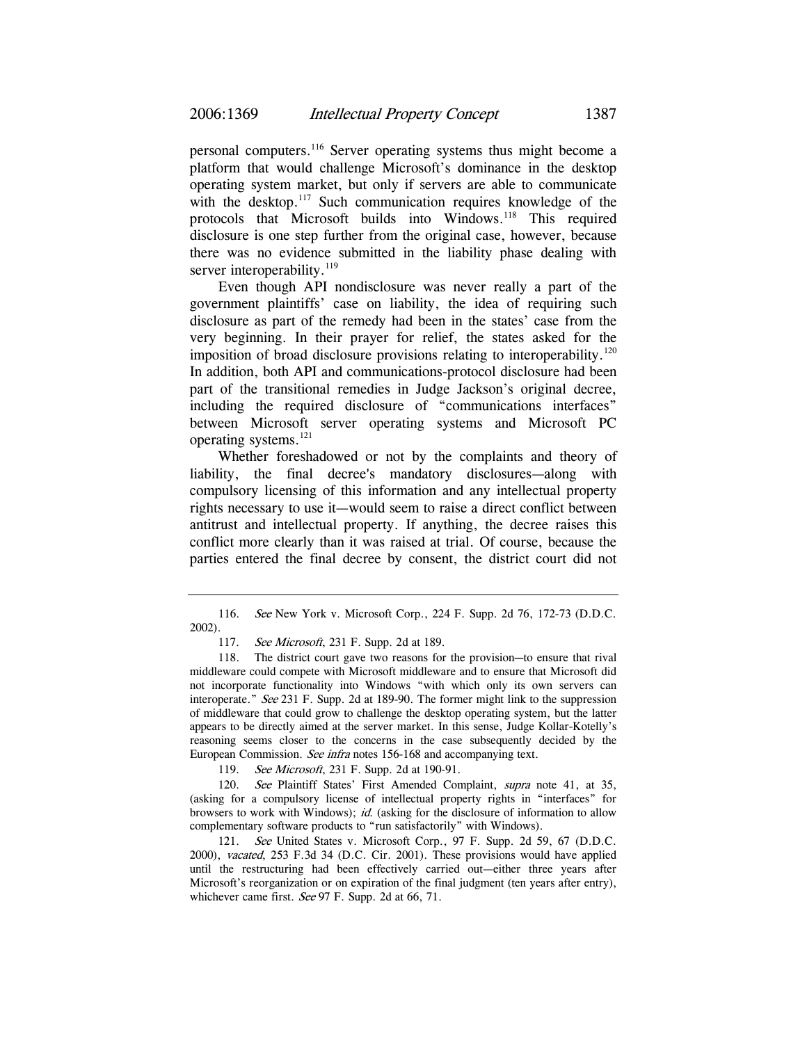personal computers.116 Server operating systems thus might become a platform that would challenge Microsoft's dominance in the desktop operating system market, but only if servers are able to communicate with the desktop.<sup>117</sup> Such communication requires knowledge of the protocols that Microsoft builds into Windows.<sup>118</sup> This required disclosure is one step further from the original case, however, because there was no evidence submitted in the liability phase dealing with server interoperability.<sup>119</sup>

Even though API nondisclosure was never really a part of the government plaintiffs' case on liability, the idea of requiring such disclosure as part of the remedy had been in the states' case from the very beginning. In their prayer for relief, the states asked for the imposition of broad disclosure provisions relating to interoperability.<sup>120</sup> In addition, both API and communications-protocol disclosure had been part of the transitional remedies in Judge Jackson's original decree, including the required disclosure of "communications interfaces" between Microsoft server operating systems and Microsoft PC operating systems.121

Whether foreshadowed or not by the complaints and theory of liability, the final decree's mandatory disclosures—along with compulsory licensing of this information and any intellectual property rights necessary to use it—would seem to raise a direct conflict between antitrust and intellectual property. If anything, the decree raises this conflict more clearly than it was raised at trial. Of course, because the parties entered the final decree by consent, the district court did not

119. See Microsoft, 231 F. Supp. 2d at 190-91.

120. See Plaintiff States' First Amended Complaint, supra note 41, at 35, (asking for a compulsory license of intellectual property rights in "interfaces" for browsers to work with Windows); *id.* (asking for the disclosure of information to allow complementary software products to "run satisfactorily" with Windows).

121. See United States v. Microsoft Corp., 97 F. Supp. 2d 59, 67 (D.D.C. 2000), vacated, 253 F.3d 34 (D.C. Cir. 2001). These provisions would have applied until the restructuring had been effectively carried out—either three years after Microsoft's reorganization or on expiration of the final judgment (ten years after entry), whichever came first. See 97 F. Supp. 2d at 66, 71.

<sup>116.</sup> See New York v. Microsoft Corp., 224 F. Supp. 2d 76, 172-73 (D.D.C. 2002).

<sup>117.</sup> See Microsoft, 231 F. Supp. 2d at 189.

<sup>118.</sup> The district court gave two reasons for the provision-to ensure that rival middleware could compete with Microsoft middleware and to ensure that Microsoft did not incorporate functionality into Windows "with which only its own servers can interoperate." See 231 F. Supp. 2d at 189-90. The former might link to the suppression of middleware that could grow to challenge the desktop operating system, but the latter appears to be directly aimed at the server market. In this sense, Judge Kollar-Kotelly's reasoning seems closer to the concerns in the case subsequently decided by the European Commission. See infra notes 156-168 and accompanying text.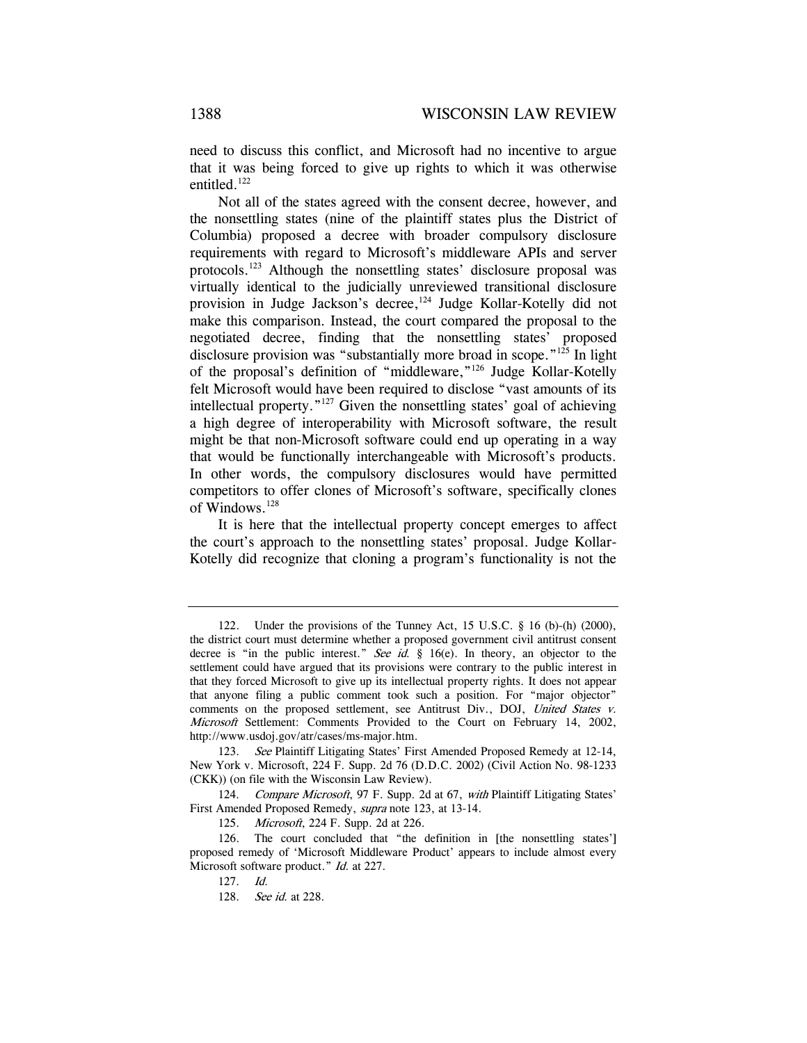need to discuss this conflict, and Microsoft had no incentive to argue that it was being forced to give up rights to which it was otherwise entitled.<sup>122</sup>

Not all of the states agreed with the consent decree, however, and the nonsettling states (nine of the plaintiff states plus the District of Columbia) proposed a decree with broader compulsory disclosure requirements with regard to Microsoft's middleware APIs and server protocols.123 Although the nonsettling states' disclosure proposal was virtually identical to the judicially unreviewed transitional disclosure provision in Judge Jackson's decree,<sup>124</sup> Judge Kollar-Kotelly did not make this comparison. Instead, the court compared the proposal to the negotiated decree, finding that the nonsettling states' proposed disclosure provision was "substantially more broad in scope."<sup>125</sup> In light of the proposal's definition of "middleware,"126 Judge Kollar-Kotelly felt Microsoft would have been required to disclose "vast amounts of its intellectual property."127 Given the nonsettling states' goal of achieving a high degree of interoperability with Microsoft software, the result might be that non-Microsoft software could end up operating in a way that would be functionally interchangeable with Microsoft's products. In other words, the compulsory disclosures would have permitted competitors to offer clones of Microsoft's software, specifically clones of Windows.<sup>128</sup>

It is here that the intellectual property concept emerges to affect the court's approach to the nonsettling states' proposal. Judge Kollar-Kotelly did recognize that cloning a program's functionality is not the

<sup>122.</sup> Under the provisions of the Tunney Act, 15 U.S.C. § 16 (b)-(h) (2000), the district court must determine whether a proposed government civil antitrust consent decree is "in the public interest." See id. § 16(e). In theory, an objector to the settlement could have argued that its provisions were contrary to the public interest in that they forced Microsoft to give up its intellectual property rights. It does not appear that anyone filing a public comment took such a position. For "major objector" comments on the proposed settlement, see Antitrust Div., DOJ, United States v. Microsoft Settlement: Comments Provided to the Court on February 14, 2002, http://www.usdoj.gov/atr/cases/ms-major.htm.

<sup>123.</sup> See Plaintiff Litigating States' First Amended Proposed Remedy at 12-14, New York v. Microsoft, 224 F. Supp. 2d 76 (D.D.C. 2002) (Civil Action No. 98-1233 (CKK)) (on file with the Wisconsin Law Review).

<sup>124.</sup> Compare Microsoft, 97 F. Supp. 2d at 67, with Plaintiff Litigating States' First Amended Proposed Remedy, supra note 123, at 13-14.

<sup>125.</sup> Microsoft, 224 F. Supp. 2d at 226.

<sup>126.</sup> The court concluded that "the definition in [the nonsettling states'] proposed remedy of 'Microsoft Middleware Product' appears to include almost every Microsoft software product." *Id.* at 227.

<sup>127.</sup> Id.

<sup>128.</sup> See id. at 228.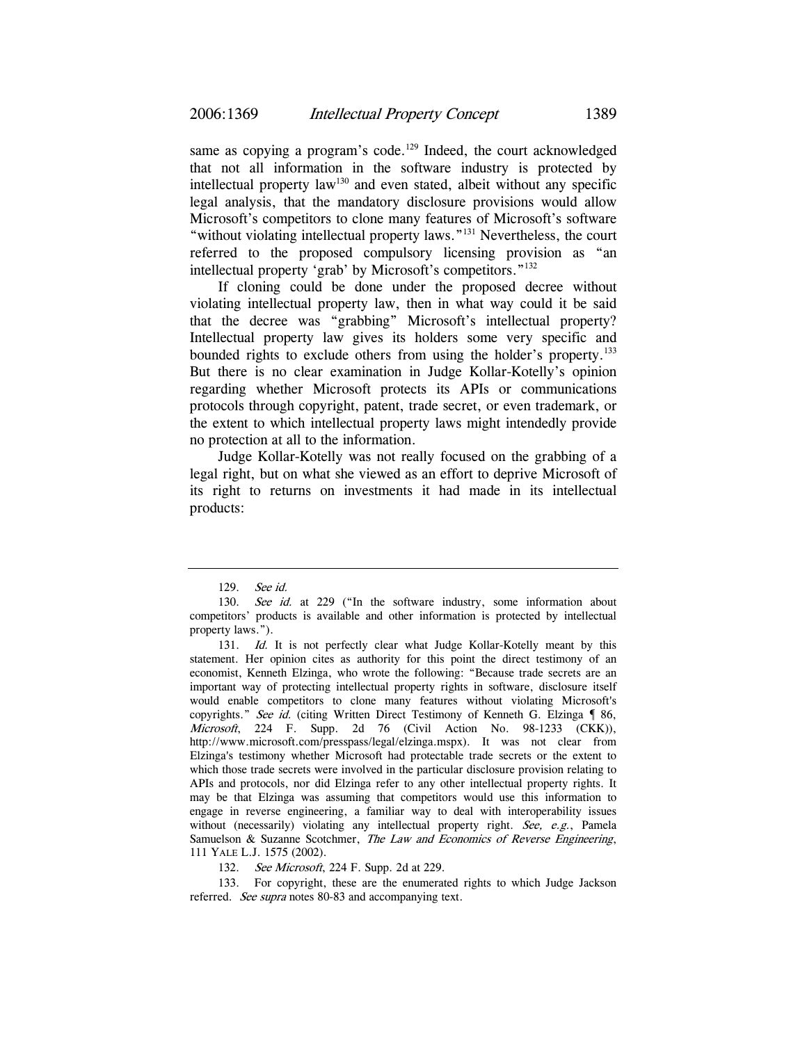same as copying a program's code.<sup>129</sup> Indeed, the court acknowledged that not all information in the software industry is protected by intellectual property  $law<sup>130</sup>$  and even stated, albeit without any specific legal analysis, that the mandatory disclosure provisions would allow Microsoft's competitors to clone many features of Microsoft's software "without violating intellectual property laws."<sup>131</sup> Nevertheless, the court referred to the proposed compulsory licensing provision as "an intellectual property 'grab' by Microsoft's competitors."132

If cloning could be done under the proposed decree without violating intellectual property law, then in what way could it be said that the decree was "grabbing" Microsoft's intellectual property? Intellectual property law gives its holders some very specific and bounded rights to exclude others from using the holder's property.<sup>133</sup> But there is no clear examination in Judge Kollar-Kotelly's opinion regarding whether Microsoft protects its APIs or communications protocols through copyright, patent, trade secret, or even trademark, or the extent to which intellectual property laws might intendedly provide no protection at all to the information.

Judge Kollar-Kotelly was not really focused on the grabbing of a legal right, but on what she viewed as an effort to deprive Microsoft of its right to returns on investments it had made in its intellectual products:

<sup>129.</sup> See id.

<sup>130.</sup> See id. at 229 ("In the software industry, some information about competitors' products is available and other information is protected by intellectual property laws.").

<sup>131.</sup> Id. It is not perfectly clear what Judge Kollar-Kotelly meant by this statement. Her opinion cites as authority for this point the direct testimony of an economist, Kenneth Elzinga, who wrote the following: "Because trade secrets are an important way of protecting intellectual property rights in software, disclosure itself would enable competitors to clone many features without violating Microsoft's copyrights." See id. (citing Written Direct Testimony of Kenneth G. Elzinga  $\lceil 86, \rceil$ Microsoft, 224 F. Supp. 2d 76 (Civil Action No. 98-1233 (CKK)), http://www.microsoft.com/presspass/legal/elzinga.mspx). It was not clear from Elzinga's testimony whether Microsoft had protectable trade secrets or the extent to which those trade secrets were involved in the particular disclosure provision relating to APIs and protocols, nor did Elzinga refer to any other intellectual property rights. It may be that Elzinga was assuming that competitors would use this information to engage in reverse engineering, a familiar way to deal with interoperability issues without (necessarily) violating any intellectual property right. See, e.g., Pamela Samuelson & Suzanne Scotchmer, The Law and Economics of Reverse Engineering, 111 YALE L.J. 1575 (2002).

<sup>132.</sup> See Microsoft, 224 F. Supp. 2d at 229.

<sup>133.</sup> For copyright, these are the enumerated rights to which Judge Jackson referred. See supra notes 80-83 and accompanying text.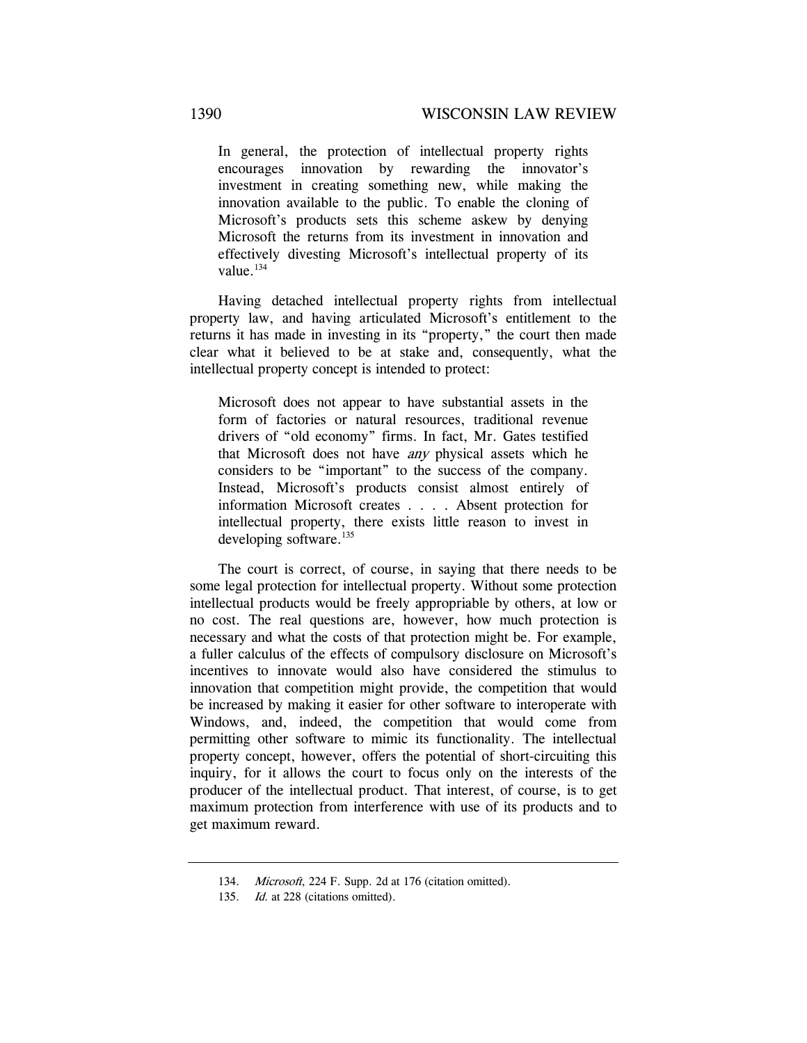In general, the protection of intellectual property rights encourages innovation by rewarding the innovator's investment in creating something new, while making the innovation available to the public. To enable the cloning of Microsoft's products sets this scheme askew by denying Microsoft the returns from its investment in innovation and effectively divesting Microsoft's intellectual property of its value.<sup>134</sup>

Having detached intellectual property rights from intellectual property law, and having articulated Microsoft's entitlement to the returns it has made in investing in its "property," the court then made clear what it believed to be at stake and, consequently, what the intellectual property concept is intended to protect:

Microsoft does not appear to have substantial assets in the form of factories or natural resources, traditional revenue drivers of "old economy" firms. In fact, Mr. Gates testified that Microsoft does not have any physical assets which he considers to be "important" to the success of the company. Instead, Microsoft's products consist almost entirely of information Microsoft creates . . . . Absent protection for intellectual property, there exists little reason to invest in developing software. $135$ 

The court is correct, of course, in saying that there needs to be some legal protection for intellectual property. Without some protection intellectual products would be freely appropriable by others, at low or no cost. The real questions are, however, how much protection is necessary and what the costs of that protection might be. For example, a fuller calculus of the effects of compulsory disclosure on Microsoft's incentives to innovate would also have considered the stimulus to innovation that competition might provide, the competition that would be increased by making it easier for other software to interoperate with Windows, and, indeed, the competition that would come from permitting other software to mimic its functionality. The intellectual property concept, however, offers the potential of short-circuiting this inquiry, for it allows the court to focus only on the interests of the producer of the intellectual product. That interest, of course, is to get maximum protection from interference with use of its products and to get maximum reward.

<sup>134.</sup> Microsoft, 224 F. Supp. 2d at 176 (citation omitted).

<sup>135.</sup> Id. at 228 (citations omitted).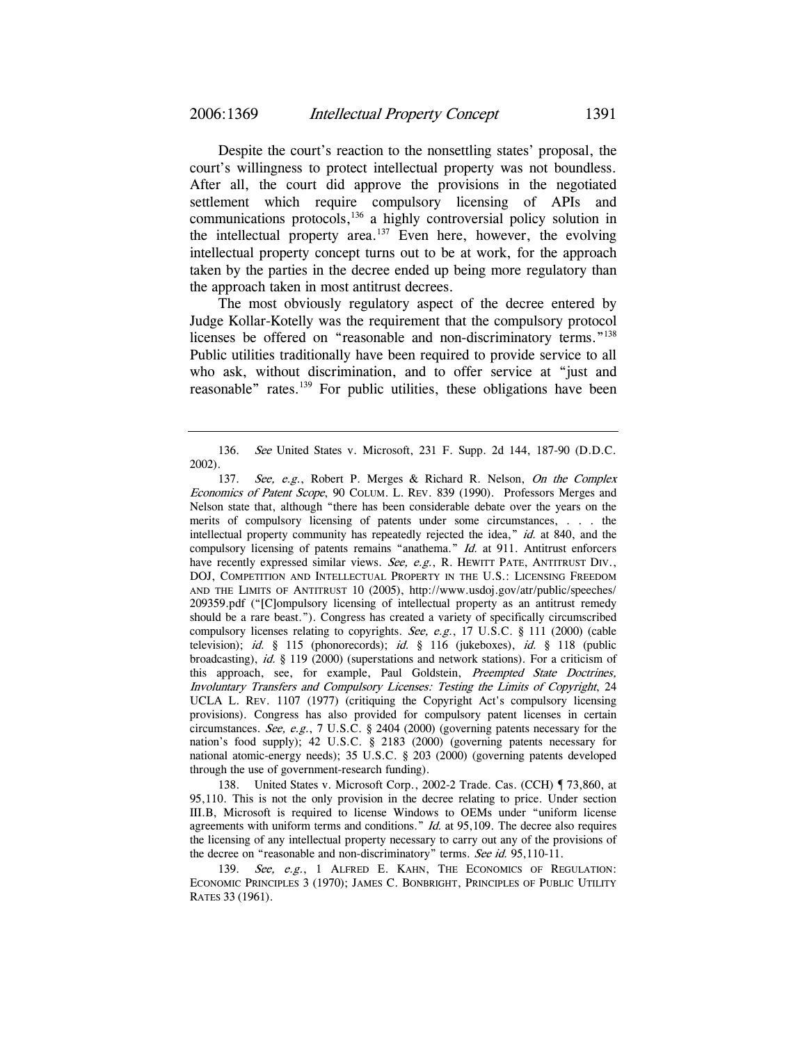Despite the court's reaction to the nonsettling states' proposal, the court's willingness to protect intellectual property was not boundless. After all, the court did approve the provisions in the negotiated settlement which require compulsory licensing of APIs and communications protocols,136 a highly controversial policy solution in the intellectual property area.<sup>137</sup> Even here, however, the evolving intellectual property concept turns out to be at work, for the approach taken by the parties in the decree ended up being more regulatory than the approach taken in most antitrust decrees.

The most obviously regulatory aspect of the decree entered by Judge Kollar-Kotelly was the requirement that the compulsory protocol licenses be offered on "reasonable and non-discriminatory terms."<sup>138</sup> Public utilities traditionally have been required to provide service to all who ask, without discrimination, and to offer service at "just and reasonable" rates.<sup>139</sup> For public utilities, these obligations have been

138. United States v. Microsoft Corp., 2002-2 Trade. Cas. (CCH) ¶ 73,860, at 95,110. This is not the only provision in the decree relating to price. Under section III.B, Microsoft is required to license Windows to OEMs under "uniform license agreements with uniform terms and conditions." Id. at 95,109. The decree also requires the licensing of any intellectual property necessary to carry out any of the provisions of the decree on "reasonable and non-discriminatory" terms. See id. 95,110-11.

139. See, e.g., 1 ALFRED E. KAHN, THE ECONOMICS OF REGULATION: ECONOMIC PRINCIPLES 3 (1970); JAMES C. BONBRIGHT, PRINCIPLES OF PUBLIC UTILITY RATES 33 (1961).

<sup>136.</sup> See United States v. Microsoft, 231 F. Supp. 2d 144, 187-90 (D.D.C. 2002).

<sup>137.</sup> See, e.g., Robert P. Merges & Richard R. Nelson, On the Complex Economics of Patent Scope, 90 COLUM. L. REV. 839 (1990). Professors Merges and Nelson state that, although "there has been considerable debate over the years on the merits of compulsory licensing of patents under some circumstances, . . . the intellectual property community has repeatedly rejected the idea," id. at 840, and the compulsory licensing of patents remains "anathema." Id. at 911. Antitrust enforcers have recently expressed similar views. See, e.g., R. HEWITT PATE, ANTITRUST DIV., DOJ, COMPETITION AND INTELLECTUAL PROPERTY IN THE U.S.: LICENSING FREEDOM AND THE LIMITS OF ANTITRUST 10 (2005), http://www.usdoj.gov/atr/public/speeches/ 209359.pdf ("[C]ompulsory licensing of intellectual property as an antitrust remedy should be a rare beast."). Congress has created a variety of specifically circumscribed compulsory licenses relating to copyrights. See, e.g., 17 U.S.C. § 111 (2000) (cable television); id. § 115 (phonorecords); id. § 116 (jukeboxes), id. § 118 (public broadcasting), id.  $\S$  119 (2000) (superstations and network stations). For a criticism of this approach, see, for example, Paul Goldstein, Preempted State Doctrines, Involuntary Transfers and Compulsory Licenses: Testing the Limits of Copyright, 24 UCLA L. REV. 1107 (1977) (critiquing the Copyright Act's compulsory licensing provisions). Congress has also provided for compulsory patent licenses in certain circumstances. See, e.g., 7 U.S.C. § 2404 (2000) (governing patents necessary for the nation's food supply); 42 U.S.C. § 2183 (2000) (governing patents necessary for national atomic-energy needs); 35 U.S.C. § 203 (2000) (governing patents developed through the use of government-research funding).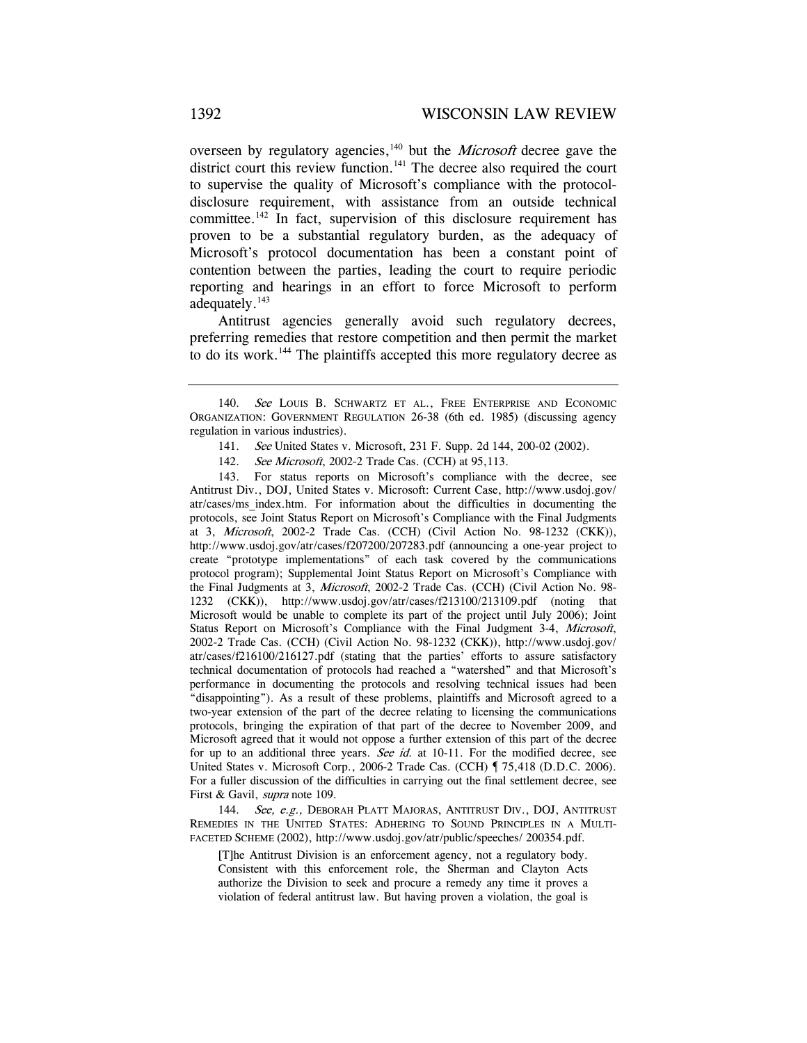overseen by regulatory agencies, $140$  but the *Microsoft* decree gave the district court this review function. $141$  The decree also required the court to supervise the quality of Microsoft's compliance with the protocoldisclosure requirement, with assistance from an outside technical committee.<sup>142</sup> In fact, supervision of this disclosure requirement has proven to be a substantial regulatory burden, as the adequacy of Microsoft's protocol documentation has been a constant point of contention between the parties, leading the court to require periodic reporting and hearings in an effort to force Microsoft to perform adequately.<sup>143</sup>

Antitrust agencies generally avoid such regulatory decrees, preferring remedies that restore competition and then permit the market to do its work.<sup>144</sup> The plaintiffs accepted this more regulatory decree as

- 141. See United States v. Microsoft, 231 F. Supp. 2d 144, 200-02 (2002).
- 142. See Microsoft, 2002-2 Trade Cas. (CCH) at 95,113.

143. For status reports on Microsoft's compliance with the decree, see Antitrust Div., DOJ, United States v. Microsoft: Current Case, http://www.usdoj.gov/ atr/cases/ms\_index.htm. For information about the difficulties in documenting the protocols, see Joint Status Report on Microsoft's Compliance with the Final Judgments at 3, Microsoft, 2002-2 Trade Cas. (CCH) (Civil Action No. 98-1232 (CKK)), http://www.usdoj.gov/atr/cases/f207200/207283.pdf (announcing a one-year project to create "prototype implementations" of each task covered by the communications protocol program); Supplemental Joint Status Report on Microsoft's Compliance with the Final Judgments at 3, Microsoft, 2002-2 Trade Cas. (CCH) (Civil Action No. 98- 1232 (CKK)), http://www.usdoj.gov/atr/cases/f213100/213109.pdf (noting that Microsoft would be unable to complete its part of the project until July 2006); Joint Status Report on Microsoft's Compliance with the Final Judgment 3-4, Microsoft, 2002-2 Trade Cas. (CCH) (Civil Action No. 98-1232 (CKK)), http://www.usdoj.gov/ atr/cases/f216100/216127.pdf (stating that the parties' efforts to assure satisfactory technical documentation of protocols had reached a "watershed" and that Microsoft's performance in documenting the protocols and resolving technical issues had been "disappointing"). As a result of these problems, plaintiffs and Microsoft agreed to a two-year extension of the part of the decree relating to licensing the communications protocols, bringing the expiration of that part of the decree to November 2009, and Microsoft agreed that it would not oppose a further extension of this part of the decree for up to an additional three years. See id. at 10-11. For the modified decree, see United States v. Microsoft Corp., 2006-2 Trade Cas. (CCH)  $\sqrt{75,418}$  (D.D.C. 2006). For a fuller discussion of the difficulties in carrying out the final settlement decree, see First & Gavil, *supra* note 109.

144. See, e.g., DEBORAH PLATT MAJORAS, ANTITRUST DIV., DOJ, ANTITRUST REMEDIES IN THE UNITED STATES: ADHERING TO SOUND PRINCIPLES IN A MULTI-FACETED SCHEME (2002), http://www.usdoj.gov/atr/public/speeches/ 200354.pdf.

[T]he Antitrust Division is an enforcement agency, not a regulatory body. Consistent with this enforcement role, the Sherman and Clayton Acts authorize the Division to seek and procure a remedy any time it proves a violation of federal antitrust law. But having proven a violation, the goal is

<sup>140.</sup> See LOUIS B. SCHWARTZ ET AL., FREE ENTERPRISE AND ECONOMIC ORGANIZATION: GOVERNMENT REGULATION 26-38 (6th ed. 1985) (discussing agency regulation in various industries).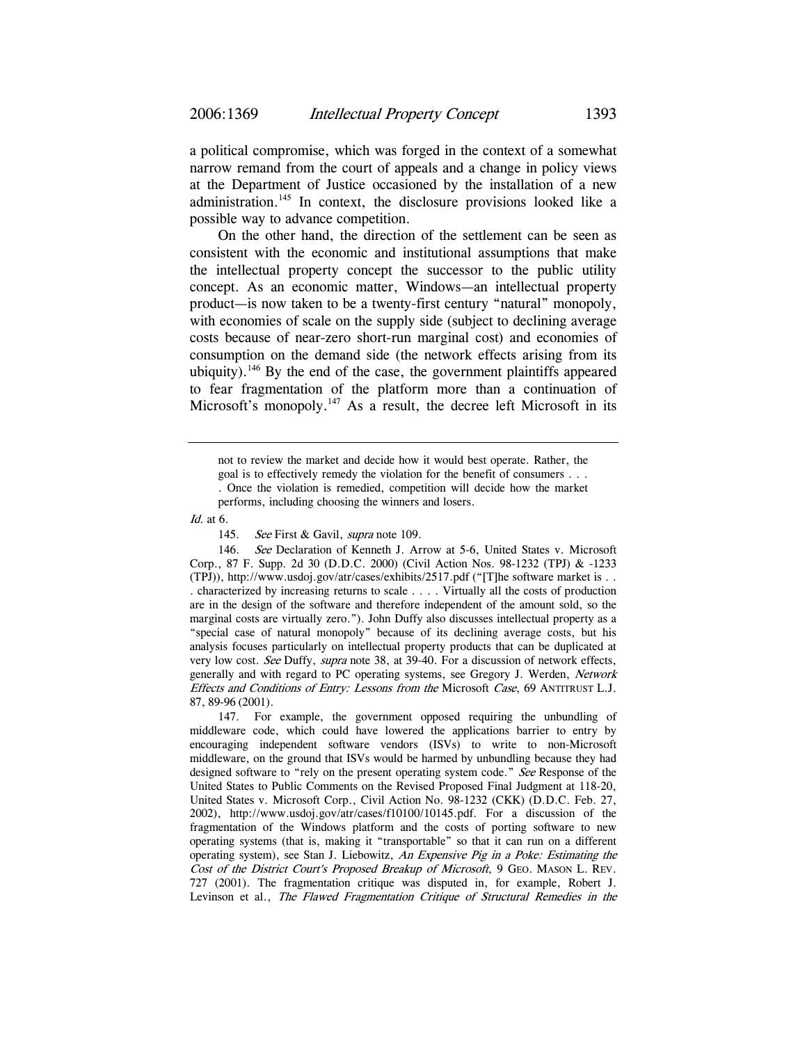a political compromise, which was forged in the context of a somewhat narrow remand from the court of appeals and a change in policy views at the Department of Justice occasioned by the installation of a new administration.<sup>145</sup> In context, the disclosure provisions looked like a possible way to advance competition.

On the other hand, the direction of the settlement can be seen as consistent with the economic and institutional assumptions that make the intellectual property concept the successor to the public utility concept. As an economic matter, Windows—an intellectual property product—is now taken to be a twenty-first century "natural" monopoly, with economies of scale on the supply side (subject to declining average costs because of near-zero short-run marginal cost) and economies of consumption on the demand side (the network effects arising from its ubiquity).<sup>146</sup> By the end of the case, the government plaintiffs appeared to fear fragmentation of the platform more than a continuation of Microsoft's monopoly.<sup>147</sup> As a result, the decree left Microsoft in its

Id. at 6.

145. See First & Gavil, supra note 109.

146. See Declaration of Kenneth J. Arrow at 5-6, United States v. Microsoft Corp., 87 F. Supp. 2d 30 (D.D.C. 2000) (Civil Action Nos. 98-1232 (TPJ) & -1233 (TPJ)), http://www.usdoj.gov/atr/cases/exhibits/2517.pdf ("[T]he software market is . . . characterized by increasing returns to scale . . . . Virtually all the costs of production are in the design of the software and therefore independent of the amount sold, so the marginal costs are virtually zero."). John Duffy also discusses intellectual property as a "special case of natural monopoly" because of its declining average costs, but his analysis focuses particularly on intellectual property products that can be duplicated at very low cost. See Duffy, supra note 38, at 39-40. For a discussion of network effects, generally and with regard to PC operating systems, see Gregory J. Werden, Network Effects and Conditions of Entry: Lessons from the Microsoft Case, 69 ANTITRUST L.J. 87, 89-96 (2001).

147. For example, the government opposed requiring the unbundling of middleware code, which could have lowered the applications barrier to entry by encouraging independent software vendors (ISVs) to write to non-Microsoft middleware, on the ground that ISVs would be harmed by unbundling because they had designed software to "rely on the present operating system code." See Response of the United States to Public Comments on the Revised Proposed Final Judgment at 118-20, United States v. Microsoft Corp., Civil Action No. 98-1232 (CKK) (D.D.C. Feb. 27, 2002), http://www.usdoj.gov/atr/cases/f10100/10145.pdf. For a discussion of the fragmentation of the Windows platform and the costs of porting software to new operating systems (that is, making it "transportable" so that it can run on a different operating system), see Stan J. Liebowitz, An Expensive Pig in a Poke: Estimating the Cost of the District Court's Proposed Breakup of Microsoft, 9 GEO. MASON L. REV. 727 (2001). The fragmentation critique was disputed in, for example, Robert J. Levinson et al., The Flawed Fragmentation Critique of Structural Remedies in the

not to review the market and decide how it would best operate. Rather, the goal is to effectively remedy the violation for the benefit of consumers . . . . Once the violation is remedied, competition will decide how the market performs, including choosing the winners and losers.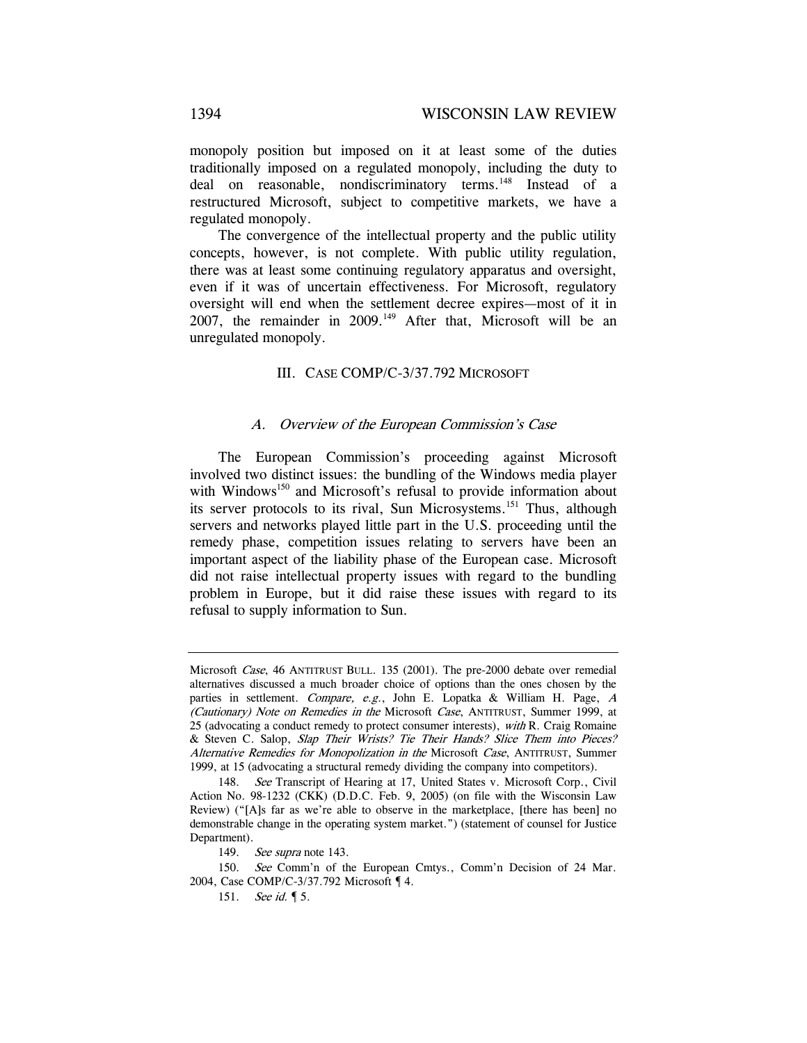monopoly position but imposed on it at least some of the duties traditionally imposed on a regulated monopoly, including the duty to deal on reasonable, nondiscriminatory terms.<sup>148</sup> Instead of a restructured Microsoft, subject to competitive markets, we have a regulated monopoly.

The convergence of the intellectual property and the public utility concepts, however, is not complete. With public utility regulation, there was at least some continuing regulatory apparatus and oversight, even if it was of uncertain effectiveness. For Microsoft, regulatory oversight will end when the settlement decree expires—most of it in 2007, the remainder in 2009.<sup>149</sup> After that, Microsoft will be an unregulated monopoly.

## III. CASE COMP/C-3/37.792 MICROSOFT

#### A. Overview of the European Commission's Case

The European Commission's proceeding against Microsoft involved two distinct issues: the bundling of the Windows media player with Windows<sup>150</sup> and Microsoft's refusal to provide information about its server protocols to its rival, Sun Microsystems.<sup>151</sup> Thus, although servers and networks played little part in the U.S. proceeding until the remedy phase, competition issues relating to servers have been an important aspect of the liability phase of the European case. Microsoft did not raise intellectual property issues with regard to the bundling problem in Europe, but it did raise these issues with regard to its refusal to supply information to Sun.

Microsoft Case, 46 ANTITRUST BULL. 135 (2001). The pre-2000 debate over remedial alternatives discussed a much broader choice of options than the ones chosen by the parties in settlement. Compare, e.g., John E. Lopatka & William H. Page, <sup>A</sup> (Cautionary) Note on Remedies in the Microsoft Case, ANTITRUST, Summer 1999, at 25 (advocating a conduct remedy to protect consumer interests), with R. Craig Romaine & Steven C. Salop, Slap Their Wrists? Tie Their Hands? Slice Them into Pieces? Alternative Remedies for Monopolization in the Microsoft Case, ANTITRUST, Summer 1999, at 15 (advocating a structural remedy dividing the company into competitors).

<sup>148.</sup> See Transcript of Hearing at 17, United States v. Microsoft Corp., Civil Action No. 98-1232 (CKK) (D.D.C. Feb. 9, 2005) (on file with the Wisconsin Law Review) ("[A]s far as we're able to observe in the marketplace, [there has been] no demonstrable change in the operating system market.") (statement of counsel for Justice Department).

<sup>149.</sup> See supra note 143.

<sup>150.</sup> See Comm'n of the European Cmtys., Comm'n Decision of 24 Mar. 2004, Case COMP/C-3/37.792 Microsoft ¶ 4.

<sup>151.</sup> See id. **[5.**]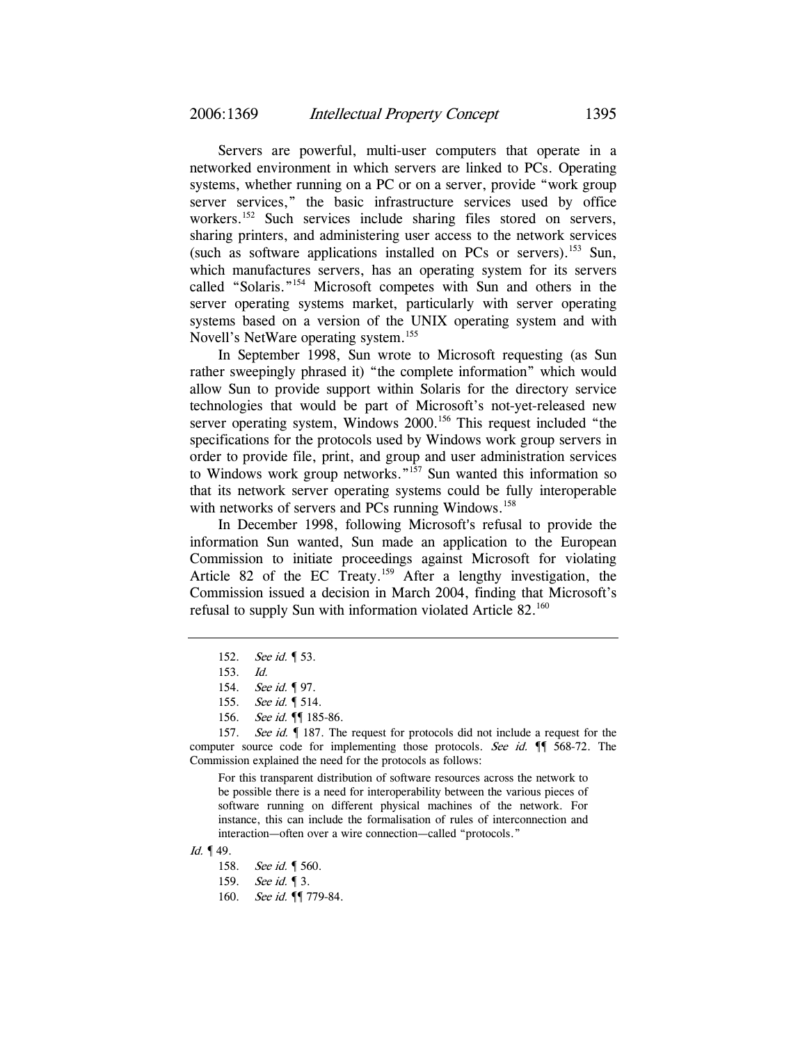Servers are powerful, multi-user computers that operate in a networked environment in which servers are linked to PCs. Operating systems, whether running on a PC or on a server, provide "work group server services," the basic infrastructure services used by office workers.<sup>152</sup> Such services include sharing files stored on servers, sharing printers, and administering user access to the network services (such as software applications installed on PCs or servers).<sup>153</sup> Sun, which manufactures servers, has an operating system for its servers called "Solaris."154 Microsoft competes with Sun and others in the server operating systems market, particularly with server operating systems based on a version of the UNIX operating system and with Novell's NetWare operating system.<sup>155</sup>

In September 1998, Sun wrote to Microsoft requesting (as Sun rather sweepingly phrased it) "the complete information" which would allow Sun to provide support within Solaris for the directory service technologies that would be part of Microsoft's not-yet-released new server operating system, Windows 2000.<sup>156</sup> This request included "the specifications for the protocols used by Windows work group servers in order to provide file, print, and group and user administration services to Windows work group networks."157 Sun wanted this information so that its network server operating systems could be fully interoperable with networks of servers and PCs running Windows.<sup>158</sup>

In December 1998, following Microsoft's refusal to provide the information Sun wanted, Sun made an application to the European Commission to initiate proceedings against Microsoft for violating Article 82 of the EC Treaty.159 After a lengthy investigation, the Commission issued a decision in March 2004, finding that Microsoft's refusal to supply Sun with information violated Article 82.<sup>160</sup>

For this transparent distribution of software resources across the network to be possible there is a need for interoperability between the various pieces of software running on different physical machines of the network. For instance, this can include the formalisation of rules of interconnection and interaction—often over a wire connection—called "protocols."

<sup>152.</sup> See id. **[**53.

<sup>153.</sup> Id.

<sup>154.</sup> See id. ¶ 97.

<sup>155.</sup> See id. **[** 514.

<sup>156.</sup> See id. ¶ 185-86.

<sup>157.</sup> See id.  $\oint$  187. The request for protocols did not include a request for the computer source code for implementing those protocols. See id.  $\P$  568-72. The Commission explained the need for the protocols as follows:

Id. ¶ 49.

<sup>158.</sup> See id. | 560.

<sup>159.</sup> See id. **[3.**]

<sup>160.</sup> See id. ¶ 779-84.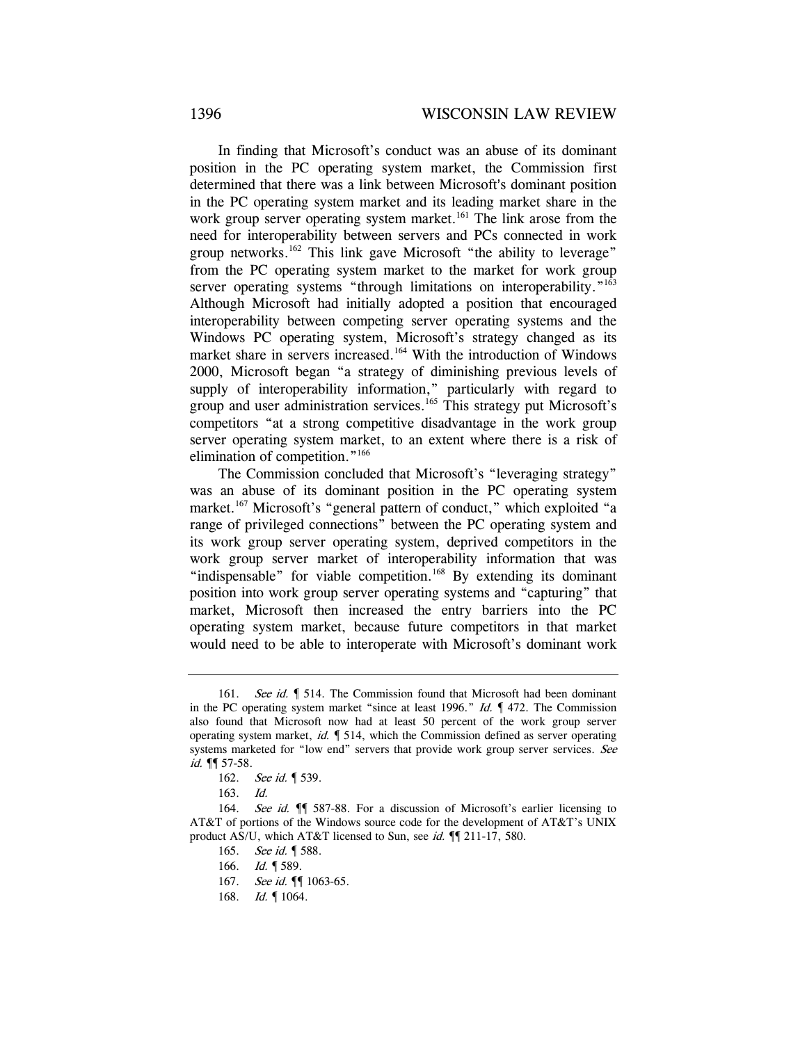In finding that Microsoft's conduct was an abuse of its dominant position in the PC operating system market, the Commission first determined that there was a link between Microsoft's dominant position in the PC operating system market and its leading market share in the work group server operating system market.<sup>161</sup> The link arose from the need for interoperability between servers and PCs connected in work group networks.<sup>162</sup> This link gave Microsoft "the ability to leverage" from the PC operating system market to the market for work group server operating systems "through limitations on interoperability."<sup>163</sup> Although Microsoft had initially adopted a position that encouraged interoperability between competing server operating systems and the Windows PC operating system, Microsoft's strategy changed as its market share in servers increased.<sup>164</sup> With the introduction of Windows 2000, Microsoft began "a strategy of diminishing previous levels of supply of interoperability information," particularly with regard to group and user administration services.<sup>165</sup> This strategy put Microsoft's competitors "at a strong competitive disadvantage in the work group server operating system market, to an extent where there is a risk of elimination of competition."166

The Commission concluded that Microsoft's "leveraging strategy" was an abuse of its dominant position in the PC operating system market.<sup>167</sup> Microsoft's "general pattern of conduct," which exploited "a range of privileged connections" between the PC operating system and its work group server operating system, deprived competitors in the work group server market of interoperability information that was "indispensable" for viable competition.<sup>168</sup> By extending its dominant position into work group server operating systems and "capturing" that market, Microsoft then increased the entry barriers into the PC operating system market, because future competitors in that market would need to be able to interoperate with Microsoft's dominant work

<sup>161.</sup> See id. 1514. The Commission found that Microsoft had been dominant in the PC operating system market "since at least 1996." Id.  $\P$  472. The Commission also found that Microsoft now had at least 50 percent of the work group server operating system market, id. ¶ 514, which the Commission defined as server operating systems marketed for "low end" servers that provide work group server services. See id.  $\P$  57-58.

<sup>162.</sup> See id. **[** 539.

<sup>163.</sup> Id.

<sup>164.</sup> See id.  $\P$  587-88. For a discussion of Microsoft's earlier licensing to AT&T of portions of the Windows source code for the development of AT&T's UNIX product AS/U, which AT&T licensed to Sun, see *id.*  $\P$  211-17, 580.

<sup>165.</sup> See id. **[** 588.

<sup>166.</sup> *Id.* 1589.

<sup>167.</sup> See id. ¶ 1063-65.

<sup>168.</sup> *Id.* 1064.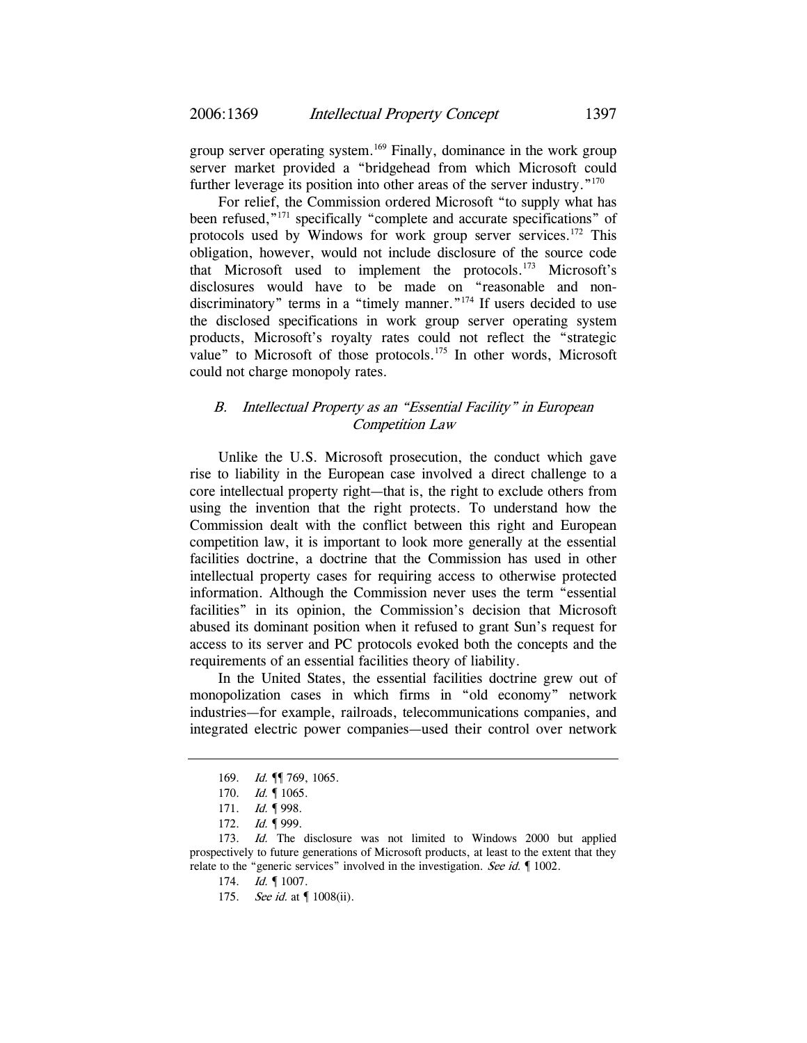group server operating system.<sup>169</sup> Finally, dominance in the work group server market provided a "bridgehead from which Microsoft could further leverage its position into other areas of the server industry. $170$ 

For relief, the Commission ordered Microsoft "to supply what has been refused,"171 specifically "complete and accurate specifications" of protocols used by Windows for work group server services.<sup>172</sup> This obligation, however, would not include disclosure of the source code that Microsoft used to implement the protocols.173 Microsoft's disclosures would have to be made on "reasonable and nondiscriminatory" terms in a "timely manner."<sup>174</sup> If users decided to use the disclosed specifications in work group server operating system products, Microsoft's royalty rates could not reflect the "strategic value" to Microsoft of those protocols.<sup>175</sup> In other words, Microsoft could not charge monopoly rates.

## B. Intellectual Property as an "Essential Facility" in European Competition Law

Unlike the U.S. Microsoft prosecution, the conduct which gave rise to liability in the European case involved a direct challenge to a core intellectual property right—that is, the right to exclude others from using the invention that the right protects. To understand how the Commission dealt with the conflict between this right and European competition law, it is important to look more generally at the essential facilities doctrine, a doctrine that the Commission has used in other intellectual property cases for requiring access to otherwise protected information. Although the Commission never uses the term "essential facilities" in its opinion, the Commission's decision that Microsoft abused its dominant position when it refused to grant Sun's request for access to its server and PC protocols evoked both the concepts and the requirements of an essential facilities theory of liability.

In the United States, the essential facilities doctrine grew out of monopolization cases in which firms in "old economy" network industries—for example, railroads, telecommunications companies, and integrated electric power companies—used their control over network

<sup>169.</sup> *Id.* **[1** 769, 1065.

<sup>170.</sup> *Id.* 1065.

<sup>171.</sup> *Id.* 1998.

<sup>172.</sup> *Id.* 1999.

<sup>173.</sup> Id. The disclosure was not limited to Windows 2000 but applied prospectively to future generations of Microsoft products, at least to the extent that they relate to the "generic services" involved in the investigation. See id.  $\llbracket$  1002.

<sup>174.</sup> *Id.* 1007.

<sup>175.</sup> See id. at [ 1008(ii).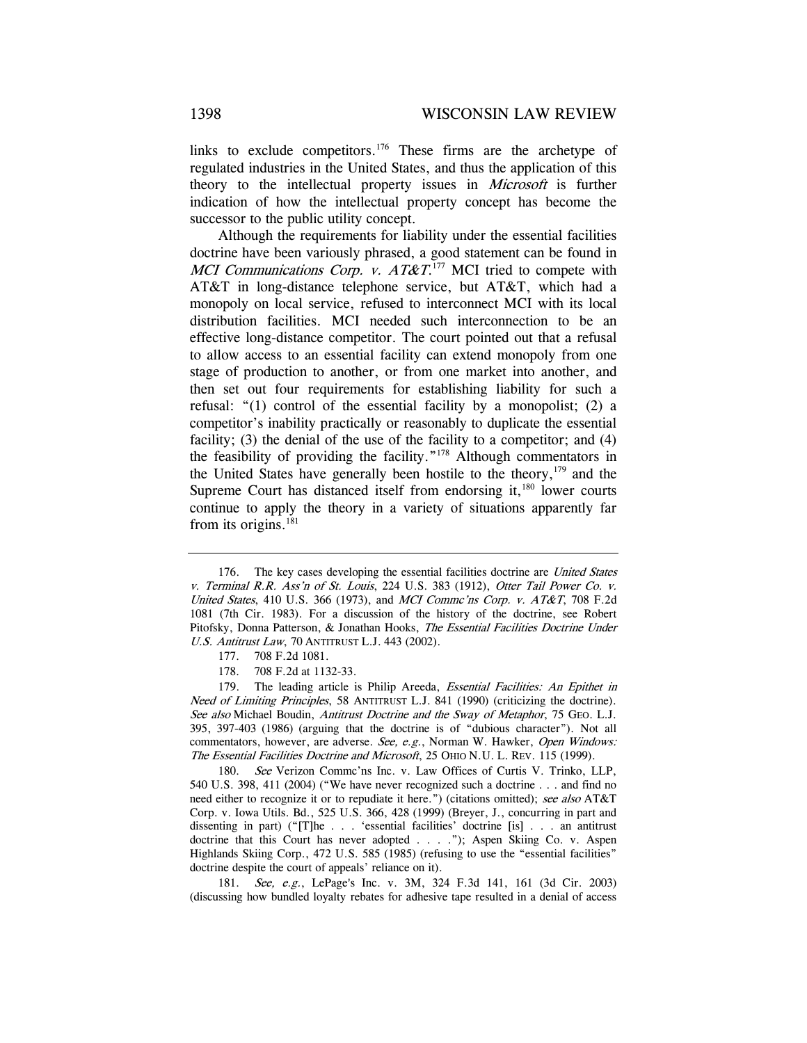links to exclude competitors.<sup>176</sup> These firms are the archetype of regulated industries in the United States, and thus the application of this theory to the intellectual property issues in Microsoft is further indication of how the intellectual property concept has become the successor to the public utility concept.

Although the requirements for liability under the essential facilities doctrine have been variously phrased, a good statement can be found in MCI Communications Corp. v.  $AT\&T^{177}$  MCI tried to compete with AT&T in long-distance telephone service, but AT&T, which had a monopoly on local service, refused to interconnect MCI with its local distribution facilities. MCI needed such interconnection to be an effective long-distance competitor. The court pointed out that a refusal to allow access to an essential facility can extend monopoly from one stage of production to another, or from one market into another, and then set out four requirements for establishing liability for such a refusal: "(1) control of the essential facility by a monopolist; (2) a competitor's inability practically or reasonably to duplicate the essential facility; (3) the denial of the use of the facility to a competitor; and (4) the feasibility of providing the facility."178 Although commentators in the United States have generally been hostile to the theory,  $179$  and the Supreme Court has distanced itself from endorsing it, $180$  lower courts continue to apply the theory in a variety of situations apparently far from its origins. $^{181}$ 

179. The leading article is Philip Areeda, Essential Facilities: An Epithet in Need of Limiting Principles, 58 ANTITRUST L.J. 841 (1990) (criticizing the doctrine). See also Michael Boudin, Antitrust Doctrine and the Sway of Metaphor, 75 GEO. L.J. 395, 397-403 (1986) (arguing that the doctrine is of "dubious character"). Not all commentators, however, are adverse. See, e.g., Norman W. Hawker, Open Windows: The Essential Facilities Doctrine and Microsoft, 25 OHIO N.U. L. REV. 115 (1999).

180. See Verizon Commc'ns Inc. v. Law Offices of Curtis V. Trinko, LLP, 540 U.S. 398, 411 (2004) ("We have never recognized such a doctrine . . . and find no need either to recognize it or to repudiate it here.") (citations omitted); see also AT&T Corp. v. Iowa Utils. Bd., 525 U.S. 366, 428 (1999) (Breyer, J., concurring in part and dissenting in part) ("[T]he . . . 'essential facilities' doctrine [is] . . . an antitrust doctrine that this Court has never adopted . . . ."); Aspen Skiing Co. v. Aspen Highlands Skiing Corp., 472 U.S. 585 (1985) (refusing to use the "essential facilities" doctrine despite the court of appeals' reliance on it).

181. See, e.g., LePage's Inc. v. 3M, 324 F.3d 141, 161 (3d Cir. 2003) (discussing how bundled loyalty rebates for adhesive tape resulted in a denial of access

<sup>176.</sup> The key cases developing the essential facilities doctrine are United States v. Terminal R.R. Ass'n of St. Louis, 224 U.S. 383 (1912), Otter Tail Power Co. v. United States, 410 U.S. 366 (1973), and MCI Commc'ns Corp. v.  $AT&T$ , 708 F.2d 1081 (7th Cir. 1983). For a discussion of the history of the doctrine, see Robert Pitofsky, Donna Patterson, & Jonathan Hooks, The Essential Facilities Doctrine Under U.S. Antitrust Law, 70 ANTITRUST L.J. 443 (2002).

<sup>177. 708</sup> F.2d 1081.

<sup>178. 708</sup> F.2d at 1132-33.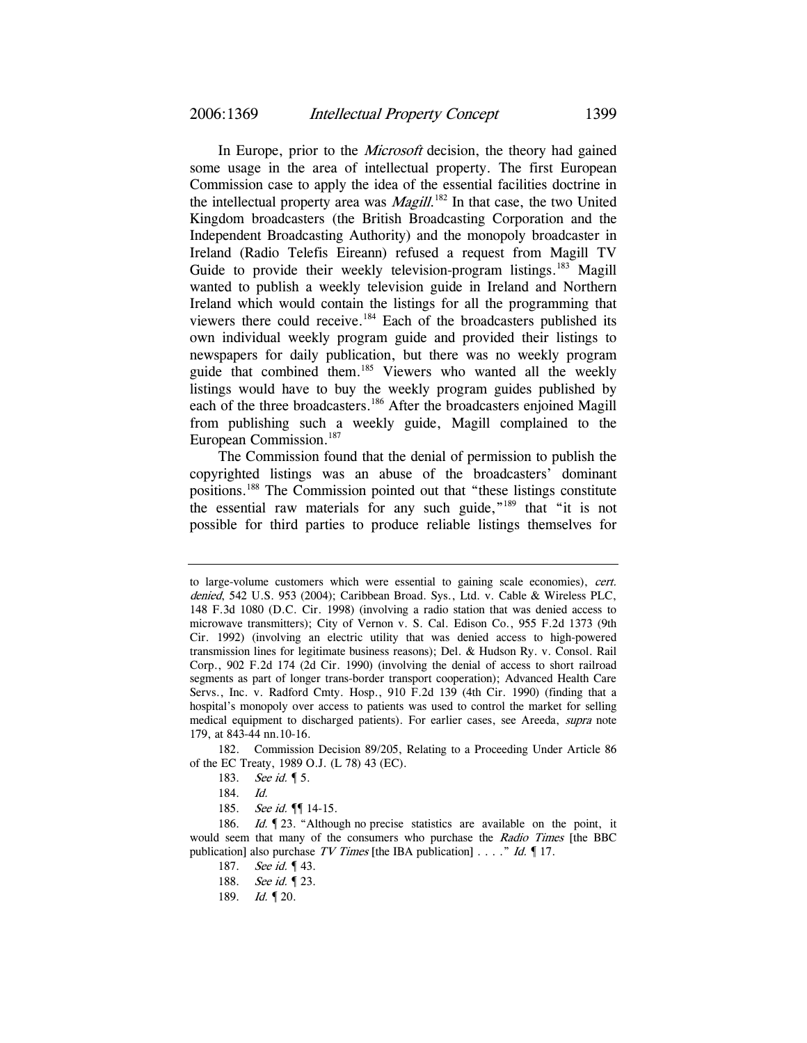In Europe, prior to the Microsoft decision, the theory had gained some usage in the area of intellectual property. The first European Commission case to apply the idea of the essential facilities doctrine in the intellectual property area was *Magill*.<sup>182</sup> In that case, the two United Kingdom broadcasters (the British Broadcasting Corporation and the Independent Broadcasting Authority) and the monopoly broadcaster in Ireland (Radio Telefis Eireann) refused a request from Magill TV Guide to provide their weekly television-program listings.<sup>183</sup> Magill wanted to publish a weekly television guide in Ireland and Northern Ireland which would contain the listings for all the programming that viewers there could receive.184 Each of the broadcasters published its own individual weekly program guide and provided their listings to newspapers for daily publication, but there was no weekly program guide that combined them.<sup>185</sup> Viewers who wanted all the weekly listings would have to buy the weekly program guides published by each of the three broadcasters.186 After the broadcasters enjoined Magill from publishing such a weekly guide, Magill complained to the European Commission.<sup>187</sup>

The Commission found that the denial of permission to publish the copyrighted listings was an abuse of the broadcasters' dominant positions.188 The Commission pointed out that "these listings constitute the essential raw materials for any such guide,"189 that "it is not possible for third parties to produce reliable listings themselves for

to large-volume customers which were essential to gaining scale economies), cert. denied, 542 U.S. 953 (2004); Caribbean Broad. Sys., Ltd. v. Cable & Wireless PLC, 148 F.3d 1080 (D.C. Cir. 1998) (involving a radio station that was denied access to microwave transmitters); City of Vernon v. S. Cal. Edison Co., 955 F.2d 1373 (9th Cir. 1992) (involving an electric utility that was denied access to high-powered transmission lines for legitimate business reasons); Del. & Hudson Ry. v. Consol. Rail Corp., 902 F.2d 174 (2d Cir. 1990) (involving the denial of access to short railroad segments as part of longer trans-border transport cooperation); Advanced Health Care Servs., Inc. v. Radford Cmty. Hosp., 910 F.2d 139 (4th Cir. 1990) (finding that a hospital's monopoly over access to patients was used to control the market for selling medical equipment to discharged patients). For earlier cases, see Areeda, supra note 179, at 843-44 nn.10-16.

<sup>182.</sup> Commission Decision 89/205, Relating to a Proceeding Under Article 86 of the EC Treaty, 1989 O.J. (L 78) 43 (EC).

<sup>183.</sup> See id. **15.** 

<sup>184.</sup> Id.

<sup>185.</sup> *See id.*  $\P$  14-15.

<sup>186.</sup> *Id.* 123. "Although no precise statistics are available on the point, it would seem that many of the consumers who purchase the Radio Times [the BBC publication] also purchase TV Times [the IBA publication] . . . ." Id.  $\P$  17.

<sup>187.</sup> See id. 143.

<sup>188.</sup> See id. 1 23.

<sup>189.</sup> *Id.* 120.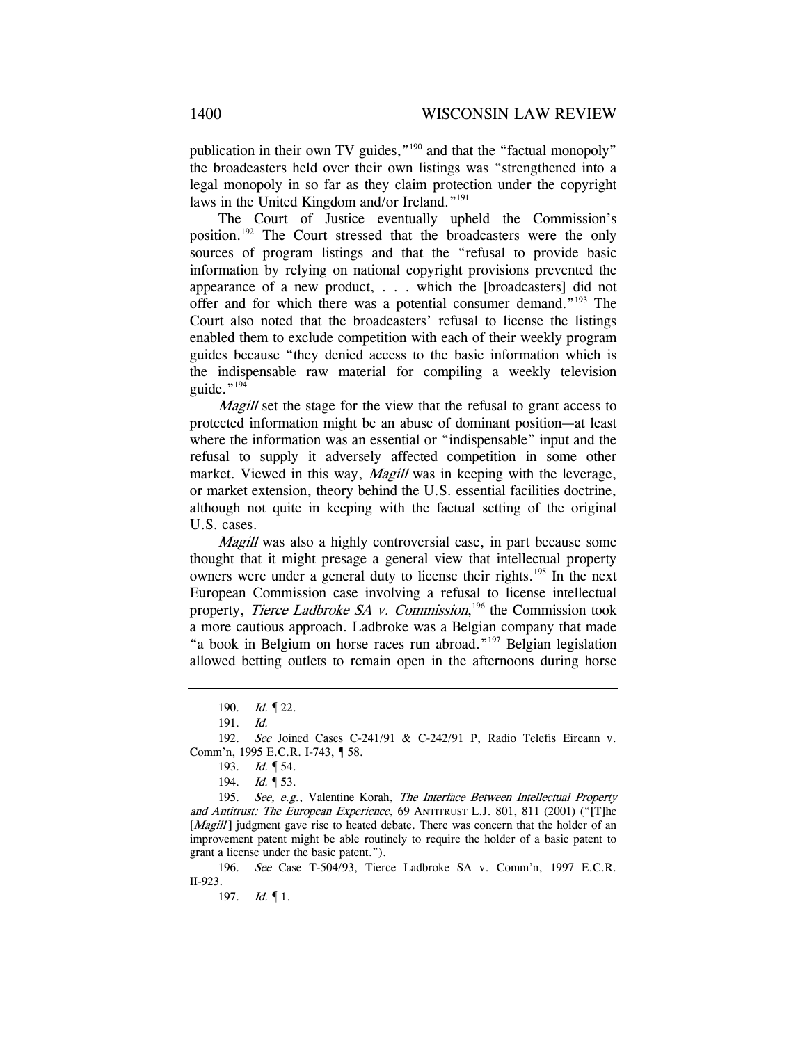publication in their own TV guides,"<sup>190</sup> and that the "factual monopoly" the broadcasters held over their own listings was "strengthened into a legal monopoly in so far as they claim protection under the copyright laws in the United Kingdom and/or Ireland."191

The Court of Justice eventually upheld the Commission's position.192 The Court stressed that the broadcasters were the only sources of program listings and that the "refusal to provide basic information by relying on national copyright provisions prevented the appearance of a new product, . . . which the [broadcasters] did not offer and for which there was a potential consumer demand."193 The Court also noted that the broadcasters' refusal to license the listings enabled them to exclude competition with each of their weekly program guides because "they denied access to the basic information which is the indispensable raw material for compiling a weekly television guide." $194$ 

Magill set the stage for the view that the refusal to grant access to protected information might be an abuse of dominant position—at least where the information was an essential or "indispensable" input and the refusal to supply it adversely affected competition in some other market. Viewed in this way, *Magill* was in keeping with the leverage, or market extension, theory behind the U.S. essential facilities doctrine, although not quite in keeping with the factual setting of the original U.S. cases.

Magill was also a highly controversial case, in part because some thought that it might presage a general view that intellectual property owners were under a general duty to license their rights.<sup>195</sup> In the next European Commission case involving a refusal to license intellectual property, Tierce Ladbroke SA v. Commission,<sup>196</sup> the Commission took a more cautious approach. Ladbroke was a Belgian company that made "a book in Belgium on horse races run abroad."<sup>197</sup> Belgian legislation allowed betting outlets to remain open in the afternoons during horse

195. See, e.g., Valentine Korah, The Interface Between Intellectual Property and Antitrust: The European Experience, 69 ANTITRUST L.J. 801, 811 (2001) ("[T]he [Magill] judgment gave rise to heated debate. There was concern that the holder of an improvement patent might be able routinely to require the holder of a basic patent to grant a license under the basic patent.").

196. See Case T-504/93, Tierce Ladbroke SA v. Comm'n, 1997 E.C.R. II-923.

197. Id. ¶ 1.

<sup>190.</sup> *Id.* 122.

<sup>191.</sup> Id.

<sup>192.</sup> See Joined Cases C-241/91 & C-242/91 P, Radio Telefis Eireann v. Comm'n, 1995 E.C.R. I-743, ¶ 58.

<sup>193.</sup> *Id.* 154.

<sup>194.</sup> *Id.* 153.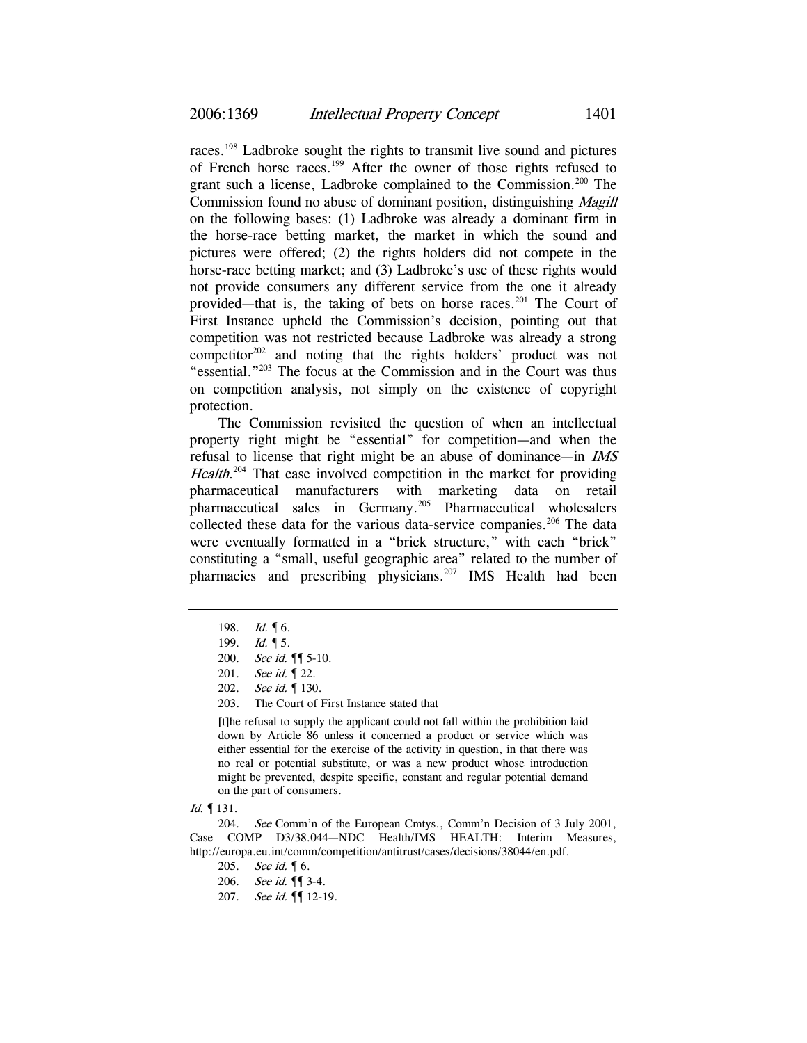races.198 Ladbroke sought the rights to transmit live sound and pictures of French horse races.199 After the owner of those rights refused to grant such a license, Ladbroke complained to the Commission.<sup>200</sup> The Commission found no abuse of dominant position, distinguishing Magill on the following bases: (1) Ladbroke was already a dominant firm in the horse-race betting market, the market in which the sound and pictures were offered; (2) the rights holders did not compete in the horse-race betting market; and (3) Ladbroke's use of these rights would not provide consumers any different service from the one it already provided—that is, the taking of bets on horse races.<sup>201</sup> The Court of First Instance upheld the Commission's decision, pointing out that competition was not restricted because Ladbroke was already a strong competitor<sup>202</sup> and noting that the rights holders' product was not "essential."203 The focus at the Commission and in the Court was thus on competition analysis, not simply on the existence of copyright protection.

The Commission revisited the question of when an intellectual property right might be "essential" for competition—and when the refusal to license that right might be an abuse of dominance—in IMS Health.<sup>204</sup> That case involved competition in the market for providing pharmaceutical manufacturers with marketing data on retail pharmaceutical sales in Germany.205 Pharmaceutical wholesalers collected these data for the various data-service companies.<sup>206</sup> The data were eventually formatted in a "brick structure," with each "brick" constituting a "small, useful geographic area" related to the number of pharmacies and prescribing physicians.<sup>207</sup> IMS Health had been

203. The Court of First Instance stated that

[t]he refusal to supply the applicant could not fall within the prohibition laid down by Article 86 unless it concerned a product or service which was either essential for the exercise of the activity in question, in that there was no real or potential substitute, or was a new product whose introduction might be prevented, despite specific, constant and regular potential demand on the part of consumers.

Id. ¶ 131.

204. See Comm'n of the European Cmtys., Comm'n Decision of 3 July 2001, Case COMP D3/38.044—NDC Health/IMS HEALTH: Interim Measures, http://europa.eu.int/comm/competition/antitrust/cases/decisions/38044/en.pdf.

<sup>198.</sup> *Id.* 16.

<sup>199.</sup> *Id.* 15.

<sup>200.</sup> See id. ¶ 5-10.

<sup>201.</sup> See id. 1 22.

<sup>202.</sup> See id. ¶ 130.

<sup>205.</sup> See id. 16.

<sup>206.</sup> See id. ¶ 3-4.

<sup>207.</sup> See id. ¶ 12-19.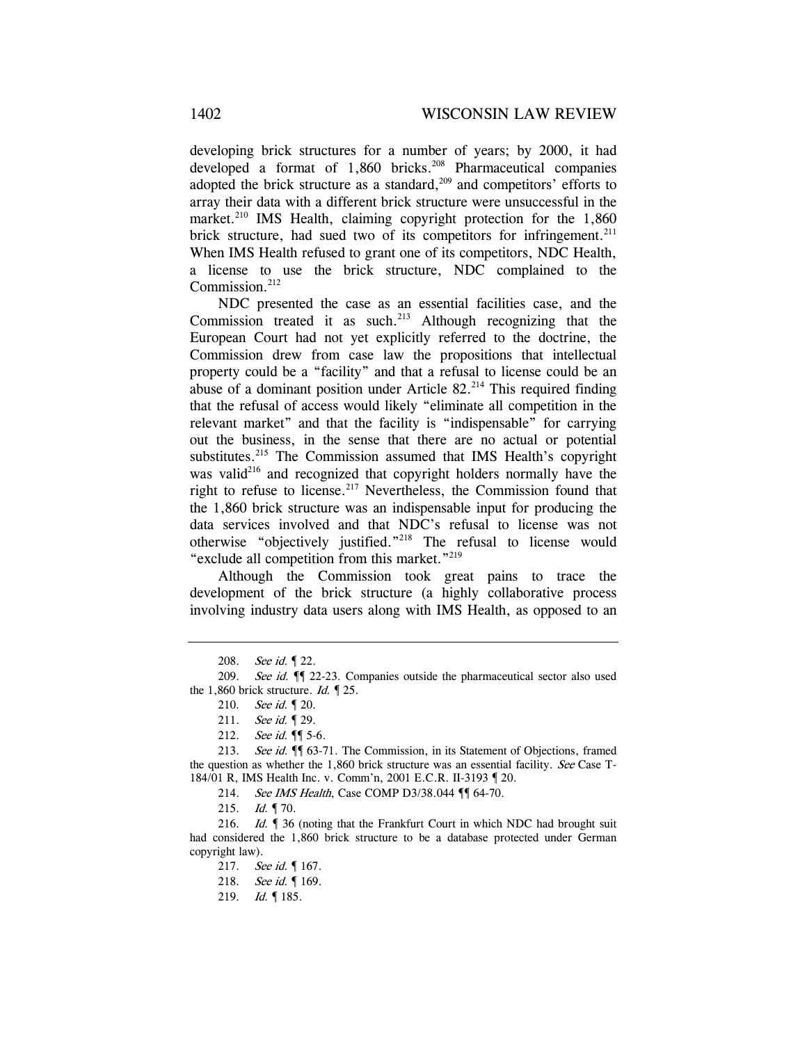developing brick structures for a number of years; by 2000, it had developed a format of  $1,860$  bricks.<sup>208</sup> Pharmaceutical companies adopted the brick structure as a standard, $209$  and competitors' efforts to array their data with a different brick structure were unsuccessful in the market.<sup>210</sup> IMS Health, claiming copyright protection for the  $1,860$ brick structure, had sued two of its competitors for infringement.<sup>211</sup> When IMS Health refused to grant one of its competitors, NDC Health, a license to use the brick structure, NDC complained to the Commission.<sup>212</sup>

NDC presented the case as an essential facilities case, and the Commission treated it as such. $213$  Although recognizing that the European Court had not yet explicitly referred to the doctrine, the Commission drew from case law the propositions that intellectual property could be a "facility" and that a refusal to license could be an abuse of a dominant position under Article  $82.^{214}$  This required finding that the refusal of access would likely "eliminate all competition in the relevant market" and that the facility is "indispensable" for carrying out the business, in the sense that there are no actual or potential substitutes.<sup>215</sup> The Commission assumed that IMS Health's copyright was valid<sup>216</sup> and recognized that copyright holders normally have the right to refuse to license. $217$  Nevertheless, the Commission found that the 1,860 brick structure was an indispensable input for producing the data services involved and that NDC's refusal to license was not otherwise "objectively justified."218 The refusal to license would "exclude all competition from this market."<sup>219</sup>

Although the Commission took great pains to trace the development of the brick structure (a highly collaborative process involving industry data users along with IMS Health, as opposed to an

<sup>208.</sup> See id. 122.

<sup>209.</sup> See id.  $\P$  22-23. Companies outside the pharmaceutical sector also used the 1,860 brick structure. *Id.*  $\sim$  25.

<sup>210.</sup> See id. 1 20.

<sup>211.</sup> See id. 1 29.

<sup>212.</sup> *See id.* **[** $\blacklozenge$  5-6.

<sup>213.</sup> See id.  $\P$  63-71. The Commission, in its Statement of Objections, framed the question as whether the 1,860 brick structure was an essential facility. See Case  $T$ -184/01 R, IMS Health Inc. v. Comm'n, 2001 E.C.R. II-3193 ¶ 20.

<sup>214.</sup> See IMS Health, Case COMP D3/38.044  $\P$  64-70.

<sup>215.</sup> *Id.* 170.

<sup>216.</sup> Id. <sup>¶</sup> 36 (noting that the Frankfurt Court in which NDC had brought suit had considered the 1,860 brick structure to be a database protected under German copyright law).

<sup>217.</sup> See id. 167.

<sup>218.</sup> See id. 169.

<sup>219.</sup> *Id.* 185.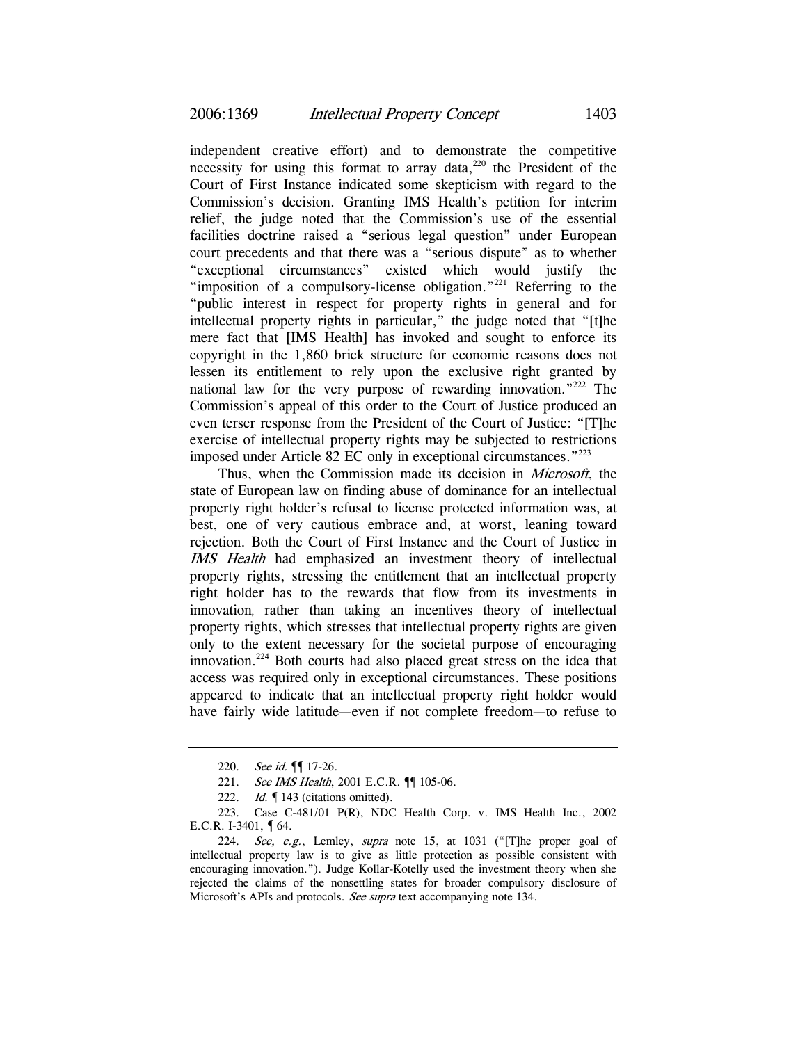independent creative effort) and to demonstrate the competitive necessity for using this format to array data, $220$  the President of the Court of First Instance indicated some skepticism with regard to the Commission's decision. Granting IMS Health's petition for interim relief, the judge noted that the Commission's use of the essential facilities doctrine raised a "serious legal question" under European court precedents and that there was a "serious dispute" as to whether "exceptional circumstances" existed which would justify the "imposition of a compulsory-license obligation."<sup>221</sup> Referring to the "public interest in respect for property rights in general and for intellectual property rights in particular," the judge noted that "[t]he mere fact that [IMS Health] has invoked and sought to enforce its copyright in the 1,860 brick structure for economic reasons does not lessen its entitlement to rely upon the exclusive right granted by national law for the very purpose of rewarding innovation."222 The Commission's appeal of this order to the Court of Justice produced an even terser response from the President of the Court of Justice: "[T]he exercise of intellectual property rights may be subjected to restrictions imposed under Article 82 EC only in exceptional circumstances."223

Thus, when the Commission made its decision in *Microsoft*, the state of European law on finding abuse of dominance for an intellectual property right holder's refusal to license protected information was, at best, one of very cautious embrace and, at worst, leaning toward rejection. Both the Court of First Instance and the Court of Justice in IMS Health had emphasized an investment theory of intellectual property rights, stressing the entitlement that an intellectual property right holder has to the rewards that flow from its investments in innovation, rather than taking an incentives theory of intellectual property rights, which stresses that intellectual property rights are given only to the extent necessary for the societal purpose of encouraging innovation.224 Both courts had also placed great stress on the idea that access was required only in exceptional circumstances. These positions appeared to indicate that an intellectual property right holder would have fairly wide latitude—even if not complete freedom—to refuse to

<sup>220.</sup> See id. **[**[ 17-26.

<sup>221.</sup> See IMS Health, 2001 E.C.R. <sup>[1]</sup> 105-06.

<sup>222.</sup> Id. | 143 (citations omitted).

<sup>223.</sup> Case C-481/01 P(R), NDC Health Corp. v. IMS Health Inc., 2002 E.C.R. I-3401, ¶ 64.

<sup>224.</sup> See, e.g., Lemley, supra note 15, at 1031 ("[T]he proper goal of intellectual property law is to give as little protection as possible consistent with encouraging innovation."). Judge Kollar-Kotelly used the investment theory when she rejected the claims of the nonsettling states for broader compulsory disclosure of Microsoft's APIs and protocols. See supra text accompanying note 134.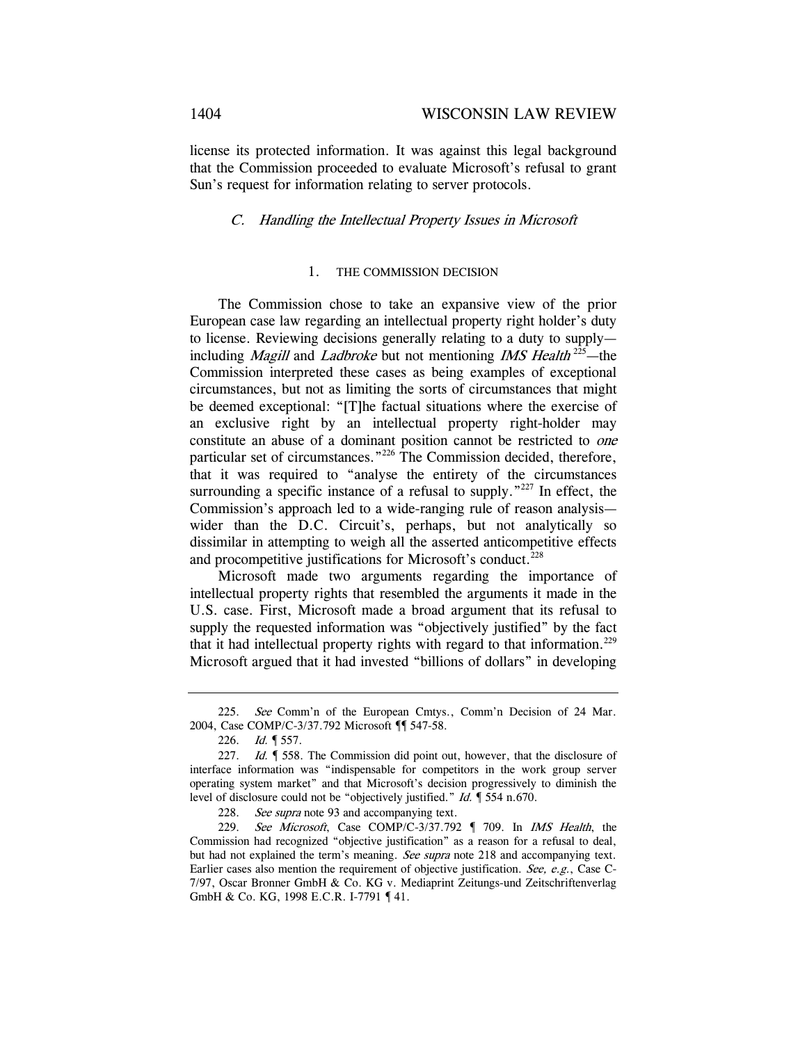license its protected information. It was against this legal background that the Commission proceeded to evaluate Microsoft's refusal to grant Sun's request for information relating to server protocols.

## C. Handling the Intellectual Property Issues in Microsoft

#### 1. THE COMMISSION DECISION

The Commission chose to take an expansive view of the prior European case law regarding an intellectual property right holder's duty to license. Reviewing decisions generally relating to a duty to supply including *Magill* and *Ladbroke* but not mentioning *IMS Health*<sup>225</sup>—the Commission interpreted these cases as being examples of exceptional circumstances, but not as limiting the sorts of circumstances that might be deemed exceptional: "[T]he factual situations where the exercise of an exclusive right by an intellectual property right-holder may constitute an abuse of a dominant position cannot be restricted to one particular set of circumstances."226 The Commission decided, therefore, that it was required to "analyse the entirety of the circumstances surrounding a specific instance of a refusal to supply."<sup>227</sup> In effect, the Commission's approach led to a wide-ranging rule of reason analysis wider than the D.C. Circuit's, perhaps, but not analytically so dissimilar in attempting to weigh all the asserted anticompetitive effects and procompetitive justifications for Microsoft's conduct.<sup>228</sup>

Microsoft made two arguments regarding the importance of intellectual property rights that resembled the arguments it made in the U.S. case. First, Microsoft made a broad argument that its refusal to supply the requested information was "objectively justified" by the fact that it had intellectual property rights with regard to that information.<sup>229</sup> Microsoft argued that it had invested "billions of dollars" in developing

<sup>225.</sup> See Comm'n of the European Cmtys., Comm'n Decision of 24 Mar. 2004, Case COMP/C-3/37.792 Microsoft ¶¶ 547-58.

<sup>226.</sup> Id. ¶ 557.

<sup>227.</sup> Id.  $\parallel$  558. The Commission did point out, however, that the disclosure of interface information was "indispensable for competitors in the work group server operating system market" and that Microsoft's decision progressively to diminish the level of disclosure could not be "objectively justified." *Id.*  $\sqrt{554}$  n.670.

<sup>228.</sup> See supra note 93 and accompanying text.

<sup>229.</sup> See Microsoft, Case COMP/C-3/37.792 ¶ 709. In IMS Health, the Commission had recognized "objective justification" as a reason for a refusal to deal, but had not explained the term's meaning. See supra note 218 and accompanying text. Earlier cases also mention the requirement of objective justification. See, e.g., Case C-7/97, Oscar Bronner GmbH & Co. KG v. Mediaprint Zeitungs-und Zeitschriftenverlag GmbH & Co. KG, 1998 E.C.R. I-7791 ¶ 41.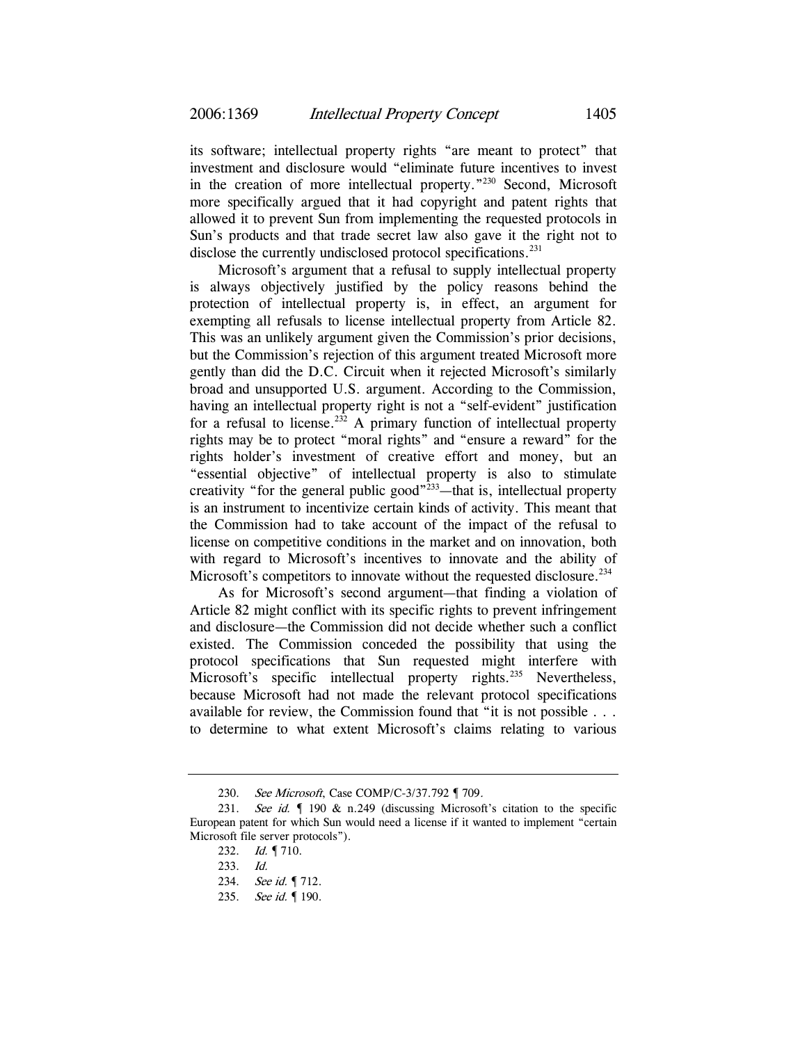its software; intellectual property rights "are meant to protect" that investment and disclosure would "eliminate future incentives to invest in the creation of more intellectual property."230 Second, Microsoft more specifically argued that it had copyright and patent rights that allowed it to prevent Sun from implementing the requested protocols in Sun's products and that trade secret law also gave it the right not to disclose the currently undisclosed protocol specifications.<sup>231</sup>

Microsoft's argument that a refusal to supply intellectual property is always objectively justified by the policy reasons behind the protection of intellectual property is, in effect, an argument for exempting all refusals to license intellectual property from Article 82. This was an unlikely argument given the Commission's prior decisions, but the Commission's rejection of this argument treated Microsoft more gently than did the D.C. Circuit when it rejected Microsoft's similarly broad and unsupported U.S. argument. According to the Commission, having an intellectual property right is not a "self-evident" justification for a refusal to license.<sup>232</sup> A primary function of intellectual property rights may be to protect "moral rights" and "ensure a reward" for the rights holder's investment of creative effort and money, but an "essential objective" of intellectual property is also to stimulate creativity "for the general public good"<sup>233</sup>—that is, intellectual property is an instrument to incentivize certain kinds of activity. This meant that the Commission had to take account of the impact of the refusal to license on competitive conditions in the market and on innovation, both with regard to Microsoft's incentives to innovate and the ability of Microsoft's competitors to innovate without the requested disclosure.<sup>234</sup>

As for Microsoft's second argument—that finding a violation of Article 82 might conflict with its specific rights to prevent infringement and disclosure—the Commission did not decide whether such a conflict existed. The Commission conceded the possibility that using the protocol specifications that Sun requested might interfere with Microsoft's specific intellectual property rights.<sup>235</sup> Nevertheless, because Microsoft had not made the relevant protocol specifications available for review, the Commission found that "it is not possible . . . to determine to what extent Microsoft's claims relating to various

<sup>230.</sup> See Microsoft, Case COMP/C-3/37.792 ¶ 709.

<sup>231.</sup> See id.  $\blacksquare$  190 & n.249 (discussing Microsoft's citation to the specific European patent for which Sun would need a license if it wanted to implement "certain Microsoft file server protocols").

<sup>232.</sup> *Id.* 1710.

<sup>233.</sup> Id.

<sup>234.</sup> See id. ¶ 712.

<sup>235.</sup> See id. ¶ 190.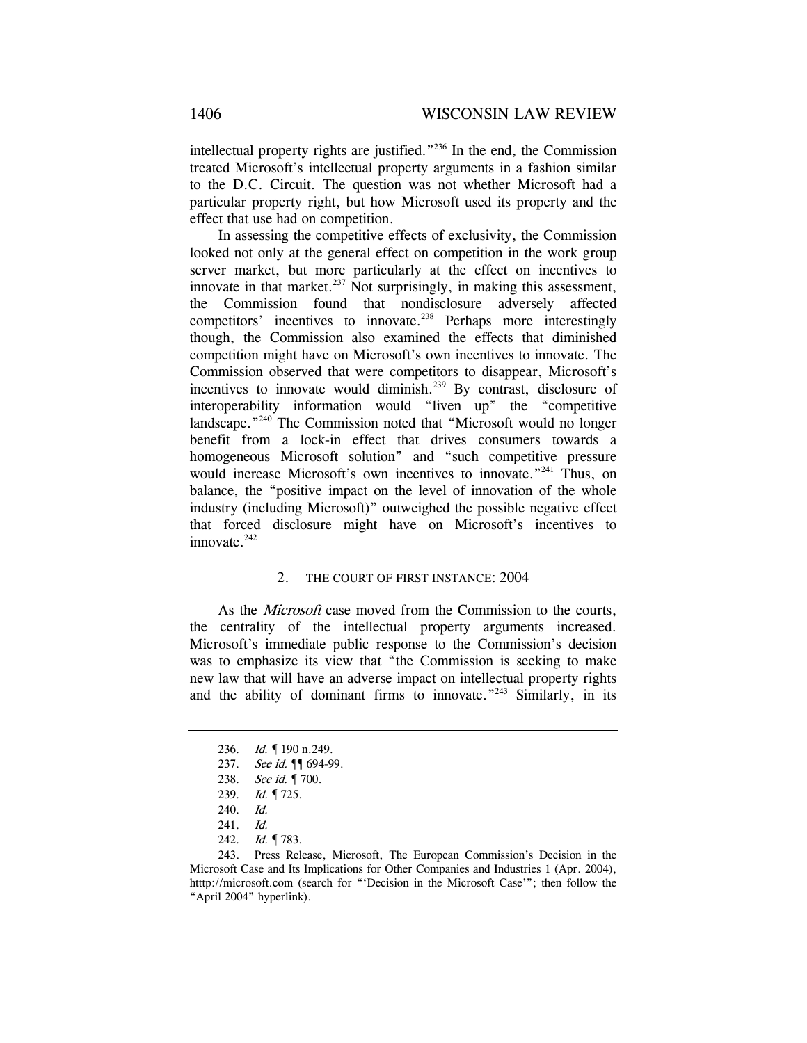intellectual property rights are justified."236 In the end, the Commission treated Microsoft's intellectual property arguments in a fashion similar to the D.C. Circuit. The question was not whether Microsoft had a particular property right, but how Microsoft used its property and the effect that use had on competition.

In assessing the competitive effects of exclusivity, the Commission looked not only at the general effect on competition in the work group server market, but more particularly at the effect on incentives to innovate in that market. $237$  Not surprisingly, in making this assessment, the Commission found that nondisclosure adversely affected competitors' incentives to innovate.<sup>238</sup> Perhaps more interestingly though, the Commission also examined the effects that diminished competition might have on Microsoft's own incentives to innovate. The Commission observed that were competitors to disappear, Microsoft's incentives to innovate would diminish.<sup>239</sup> By contrast, disclosure of interoperability information would "liven up" the "competitive landscape."<sup>240</sup> The Commission noted that "Microsoft would no longer benefit from a lock-in effect that drives consumers towards a homogeneous Microsoft solution" and "such competitive pressure would increase Microsoft's own incentives to innovate.<sup>"241</sup> Thus, on balance, the "positive impact on the level of innovation of the whole industry (including Microsoft)" outweighed the possible negative effect that forced disclosure might have on Microsoft's incentives to innovate. $242$ 

#### 2. THE COURT OF FIRST INSTANCE: 2004

As the *Microsoft* case moved from the Commission to the courts, the centrality of the intellectual property arguments increased. Microsoft's immediate public response to the Commission's decision was to emphasize its view that "the Commission is seeking to make new law that will have an adverse impact on intellectual property rights and the ability of dominant firms to innovate."<sup>243</sup> Similarly, in its

<sup>236.</sup> *Id.* 190 n.249.

<sup>237.</sup> See id. ¶ 694-99.

<sup>238.</sup> See id. ¶ 700.

<sup>239.</sup> Id. ¶ 725.

<sup>240.</sup> Id.

<sup>241.</sup> Id.

<sup>242.</sup> *Id.* 1783.

<sup>243.</sup> Press Release, Microsoft, The European Commission's Decision in the Microsoft Case and Its Implications for Other Companies and Industries 1 (Apr. 2004), htttp://microsoft.com (search for "'Decision in the Microsoft Case'"; then follow the "April 2004" hyperlink).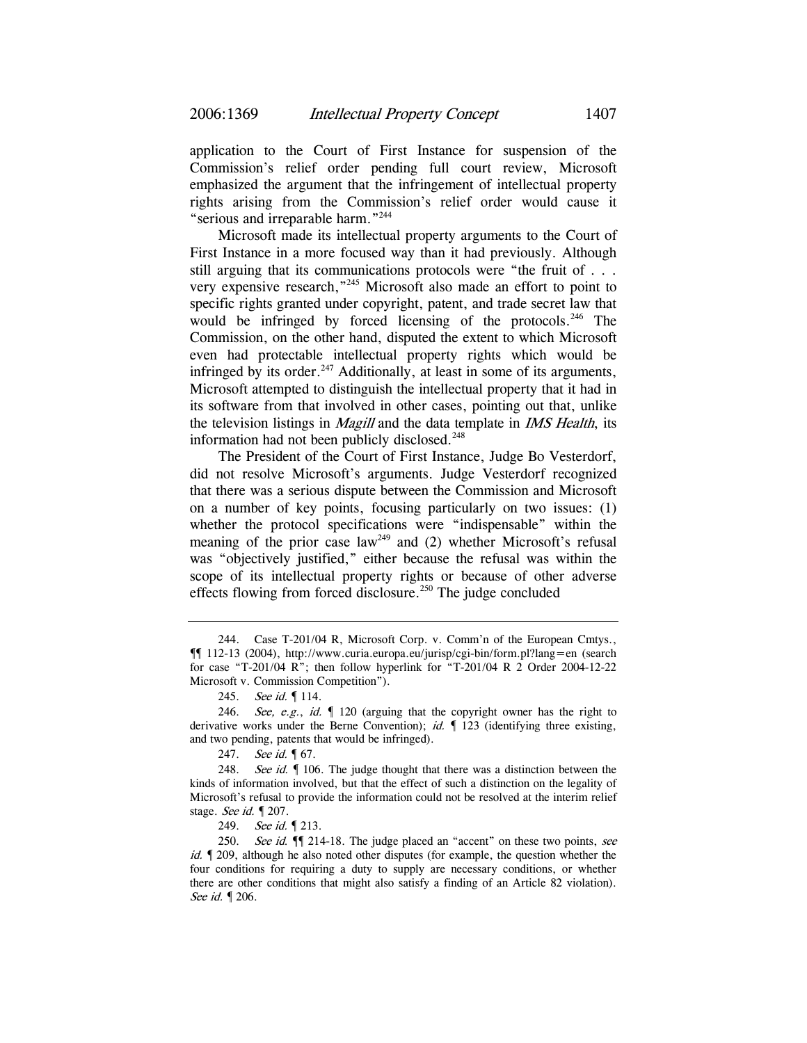application to the Court of First Instance for suspension of the Commission's relief order pending full court review, Microsoft emphasized the argument that the infringement of intellectual property rights arising from the Commission's relief order would cause it "serious and irreparable harm."<sup>244</sup>

Microsoft made its intellectual property arguments to the Court of First Instance in a more focused way than it had previously. Although still arguing that its communications protocols were "the fruit of . . . very expensive research,"245 Microsoft also made an effort to point to specific rights granted under copyright, patent, and trade secret law that would be infringed by forced licensing of the protocols.<sup>246</sup> The Commission, on the other hand, disputed the extent to which Microsoft even had protectable intellectual property rights which would be infringed by its order.<sup>247</sup> Additionally, at least in some of its arguments, Microsoft attempted to distinguish the intellectual property that it had in its software from that involved in other cases, pointing out that, unlike the television listings in *Magill* and the data template in *IMS Health*, its information had not been publicly disclosed. $248$ 

The President of the Court of First Instance, Judge Bo Vesterdorf, did not resolve Microsoft's arguments. Judge Vesterdorf recognized that there was a serious dispute between the Commission and Microsoft on a number of key points, focusing particularly on two issues: (1) whether the protocol specifications were "indispensable" within the meaning of the prior case law<sup>249</sup> and (2) whether Microsoft's refusal was "objectively justified," either because the refusal was within the scope of its intellectual property rights or because of other adverse effects flowing from forced disclosure.<sup>250</sup> The judge concluded

<sup>244.</sup> Case T-201/04 R, Microsoft Corp. v. Comm'n of the European Cmtys., ¶¶ 112-13 (2004), http://www.curia.europa.eu/jurisp/cgi-bin/form.pl?lang=en (search for case "T-201/04 R"; then follow hyperlink for "T-201/04 R 2 Order 2004-12-22 Microsoft v. Commission Competition").

<sup>245.</sup> See id. 114.

<sup>246.</sup> See, e.g., id.  $\blacksquare$  120 (arguing that the copyright owner has the right to derivative works under the Berne Convention); *id.*  $\int$  123 (identifying three existing, and two pending, patents that would be infringed).

<sup>247.</sup> See id. **[67.** 

<sup>248.</sup> See id. | 106. The judge thought that there was a distinction between the kinds of information involved, but that the effect of such a distinction on the legality of Microsoft's refusal to provide the information could not be resolved at the interim relief stage. See id. ¶ 207.

<sup>249.</sup> See id. 1 213.

<sup>250.</sup> See id.  $\P$  214-18. The judge placed an "accent" on these two points, see id.  $\llbracket$  209, although he also noted other disputes (for example, the question whether the four conditions for requiring a duty to supply are necessary conditions, or whether there are other conditions that might also satisfy a finding of an Article 82 violation). See id. ¶ 206.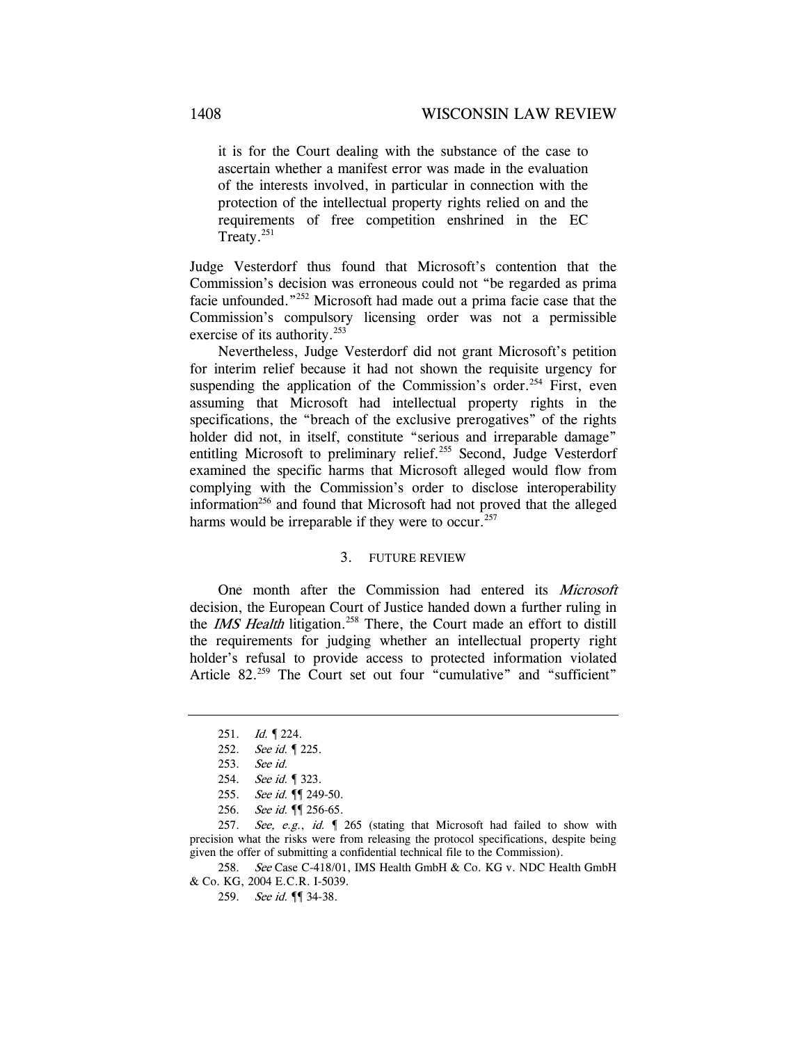it is for the Court dealing with the substance of the case to ascertain whether a manifest error was made in the evaluation of the interests involved, in particular in connection with the protection of the intellectual property rights relied on and the requirements of free competition enshrined in the EC Treaty.<sup>251</sup>

Judge Vesterdorf thus found that Microsoft's contention that the Commission's decision was erroneous could not "be regarded as prima facie unfounded."252 Microsoft had made out a prima facie case that the Commission's compulsory licensing order was not a permissible exercise of its authority.<sup>253</sup>

Nevertheless, Judge Vesterdorf did not grant Microsoft's petition for interim relief because it had not shown the requisite urgency for suspending the application of the Commission's order.<sup>254</sup> First, even assuming that Microsoft had intellectual property rights in the specifications, the "breach of the exclusive prerogatives" of the rights holder did not, in itself, constitute "serious and irreparable damage" entitling Microsoft to preliminary relief.<sup>255</sup> Second, Judge Vesterdorf examined the specific harms that Microsoft alleged would flow from complying with the Commission's order to disclose interoperability information<sup>256</sup> and found that Microsoft had not proved that the alleged harms would be irreparable if they were to occur.<sup>257</sup>

## 3. FUTURE REVIEW

One month after the Commission had entered its Microsoft decision, the European Court of Justice handed down a further ruling in the *IMS Health* litigation.<sup>258</sup> There, the Court made an effort to distill the requirements for judging whether an intellectual property right holder's refusal to provide access to protected information violated Article 82.<sup>259</sup> The Court set out four "cumulative" and "sufficient"

258. See Case C-418/01, IMS Health GmbH & Co. KG v. NDC Health GmbH & Co. KG, 2004 E.C.R. I-5039.

<sup>251.</sup> Id. ¶ 224.

<sup>252.</sup> See id. 1225.

<sup>253.</sup> See id.

<sup>254.</sup> See id. 1 323.

<sup>255.</sup> See id. ¶ 249-50.

<sup>256.</sup> See id. ¶ 256-65.

<sup>257.</sup> See, e.g., id. 1 265 (stating that Microsoft had failed to show with precision what the risks were from releasing the protocol specifications, despite being given the offer of submitting a confidential technical file to the Commission).

<sup>259.</sup> See id. **[**] 34-38.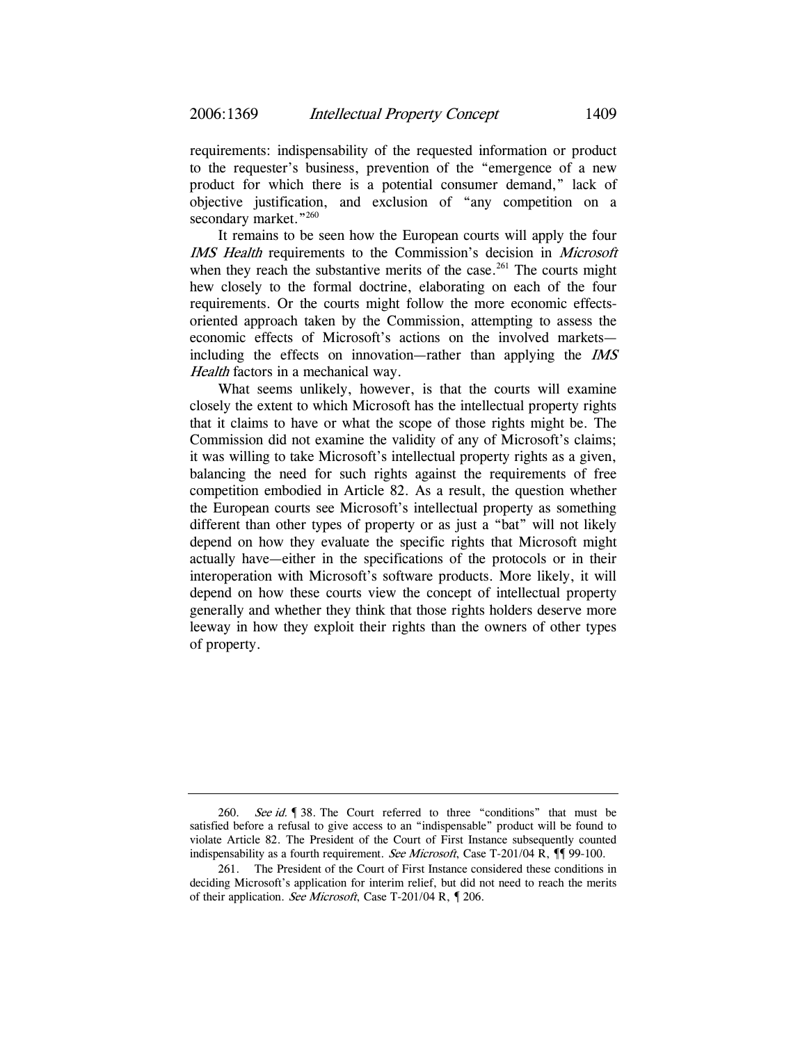requirements: indispensability of the requested information or product to the requester's business, prevention of the "emergence of a new product for which there is a potential consumer demand," lack of objective justification, and exclusion of "any competition on a secondary market."260

It remains to be seen how the European courts will apply the four IMS Health requirements to the Commission's decision in Microsoft when they reach the substantive merits of the case.<sup>261</sup> The courts might hew closely to the formal doctrine, elaborating on each of the four requirements. Or the courts might follow the more economic effectsoriented approach taken by the Commission, attempting to assess the economic effects of Microsoft's actions on the involved markets including the effects on innovation—rather than applying the IMS Health factors in a mechanical way.

What seems unlikely, however, is that the courts will examine closely the extent to which Microsoft has the intellectual property rights that it claims to have or what the scope of those rights might be. The Commission did not examine the validity of any of Microsoft's claims; it was willing to take Microsoft's intellectual property rights as a given, balancing the need for such rights against the requirements of free competition embodied in Article 82. As a result, the question whether the European courts see Microsoft's intellectual property as something different than other types of property or as just a "bat" will not likely depend on how they evaluate the specific rights that Microsoft might actually have—either in the specifications of the protocols or in their interoperation with Microsoft's software products. More likely, it will depend on how these courts view the concept of intellectual property generally and whether they think that those rights holders deserve more leeway in how they exploit their rights than the owners of other types of property.

<sup>260.</sup> See id. 938. The Court referred to three "conditions" that must be satisfied before a refusal to give access to an "indispensable" product will be found to violate Article 82. The President of the Court of First Instance subsequently counted indispensability as a fourth requirement. See Microsoft, Case T-201/04 R,  $\P$  99-100.

<sup>261.</sup> The President of the Court of First Instance considered these conditions in deciding Microsoft's application for interim relief, but did not need to reach the merits of their application. See Microsoft, Case T-201/04 R, ¶ 206.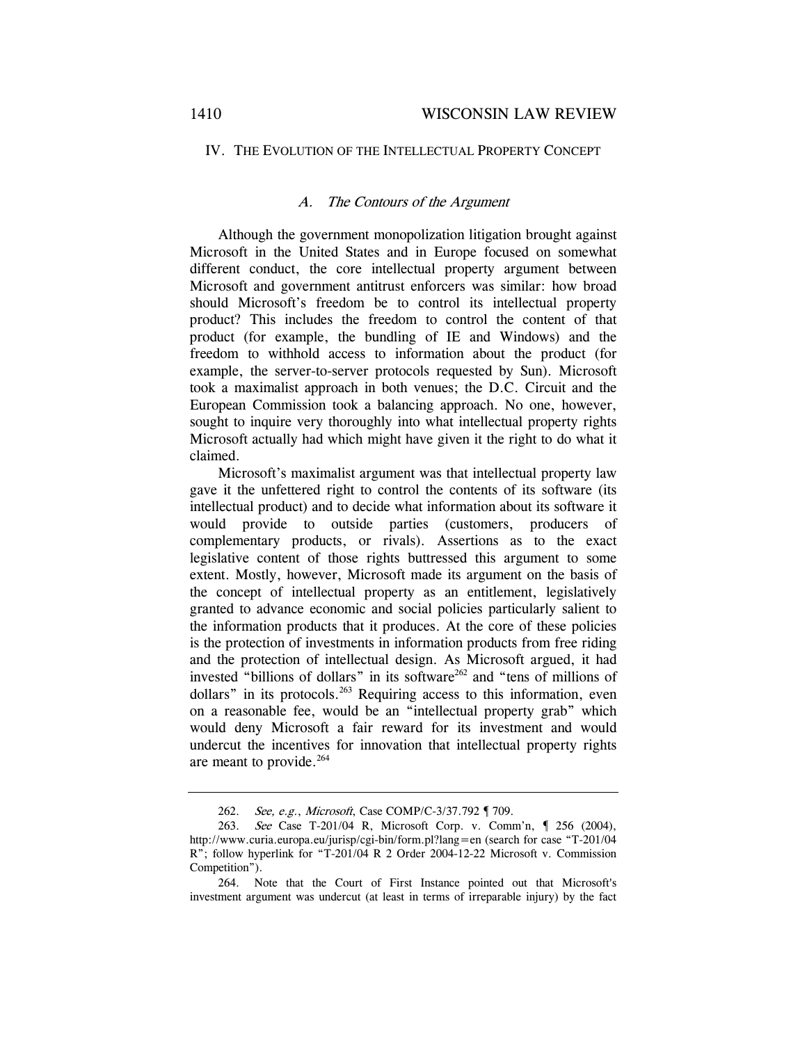## IV. THE EVOLUTION OF THE INTELLECTUAL PROPERTY CONCEPT

## A. The Contours of the Argument

Although the government monopolization litigation brought against Microsoft in the United States and in Europe focused on somewhat different conduct, the core intellectual property argument between Microsoft and government antitrust enforcers was similar: how broad should Microsoft's freedom be to control its intellectual property product? This includes the freedom to control the content of that product (for example, the bundling of IE and Windows) and the freedom to withhold access to information about the product (for example, the server-to-server protocols requested by Sun). Microsoft took a maximalist approach in both venues; the D.C. Circuit and the European Commission took a balancing approach. No one, however, sought to inquire very thoroughly into what intellectual property rights Microsoft actually had which might have given it the right to do what it claimed.

Microsoft's maximalist argument was that intellectual property law gave it the unfettered right to control the contents of its software (its intellectual product) and to decide what information about its software it would provide to outside parties (customers, producers of complementary products, or rivals). Assertions as to the exact legislative content of those rights buttressed this argument to some extent. Mostly, however, Microsoft made its argument on the basis of the concept of intellectual property as an entitlement, legislatively granted to advance economic and social policies particularly salient to the information products that it produces. At the core of these policies is the protection of investments in information products from free riding and the protection of intellectual design. As Microsoft argued, it had invested "billions of dollars" in its software<sup>262</sup> and "tens of millions of dollars" in its protocols.<sup>263</sup> Requiring access to this information, even on a reasonable fee, would be an "intellectual property grab" which would deny Microsoft a fair reward for its investment and would undercut the incentives for innovation that intellectual property rights are meant to provide.<sup>264</sup>

<sup>262.</sup> See, e.g., Microsoft, Case COMP/C-3/37.792 ¶ 709.

<sup>263.</sup> See Case T-201/04 R, Microsoft Corp. v. Comm'n, ¶ 256 (2004), http://www.curia.europa.eu/jurisp/cgi-bin/form.pl?lang=en (search for case "T-201/04 R"; follow hyperlink for "T-201/04 R 2 Order 2004-12-22 Microsoft v. Commission Competition").

<sup>264.</sup> Note that the Court of First Instance pointed out that Microsoft's investment argument was undercut (at least in terms of irreparable injury) by the fact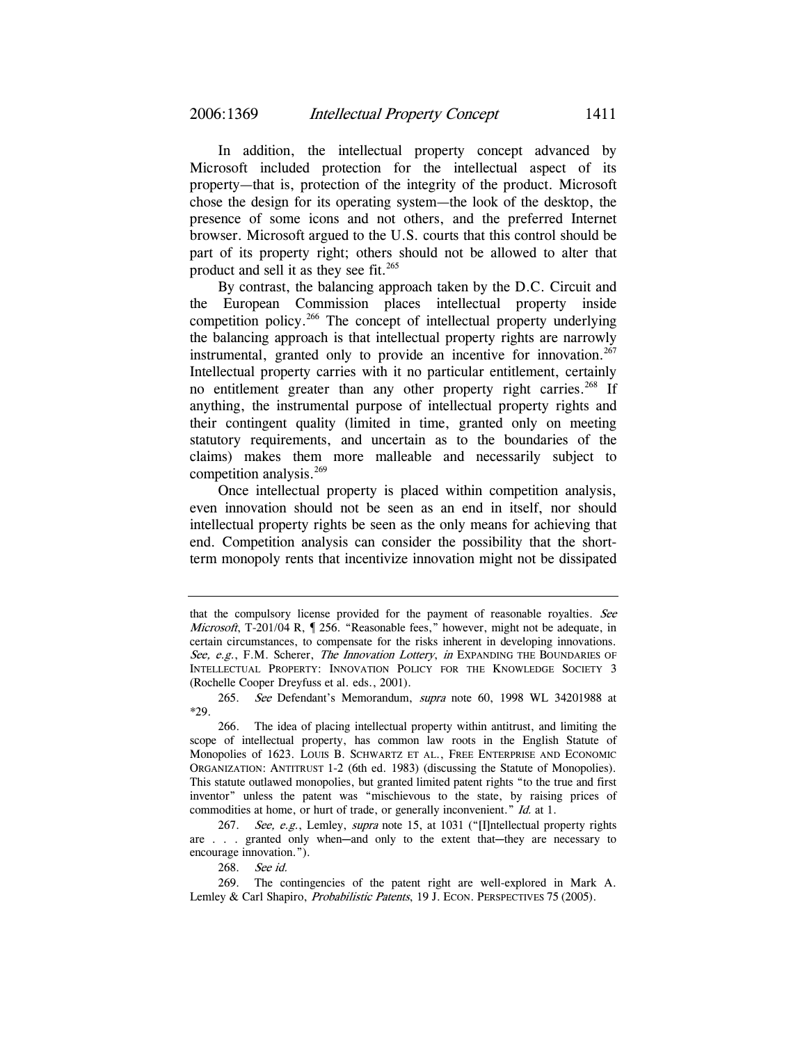In addition, the intellectual property concept advanced by Microsoft included protection for the intellectual aspect of its property—that is, protection of the integrity of the product. Microsoft chose the design for its operating system—the look of the desktop, the presence of some icons and not others, and the preferred Internet browser. Microsoft argued to the U.S. courts that this control should be part of its property right; others should not be allowed to alter that product and sell it as they see fit.<sup>265</sup>

By contrast, the balancing approach taken by the D.C. Circuit and the European Commission places intellectual property inside competition policy.266 The concept of intellectual property underlying the balancing approach is that intellectual property rights are narrowly instrumental, granted only to provide an incentive for innovation.<sup>267</sup> Intellectual property carries with it no particular entitlement, certainly no entitlement greater than any other property right carries.<sup>268</sup> If anything, the instrumental purpose of intellectual property rights and their contingent quality (limited in time, granted only on meeting statutory requirements, and uncertain as to the boundaries of the claims) makes them more malleable and necessarily subject to competition analysis.<sup>269</sup>

Once intellectual property is placed within competition analysis, even innovation should not be seen as an end in itself, nor should intellectual property rights be seen as the only means for achieving that end. Competition analysis can consider the possibility that the shortterm monopoly rents that incentivize innovation might not be dissipated

268. See id.

that the compulsory license provided for the payment of reasonable royalties. See Microsoft, T-201/04 R, ¶ 256. "Reasonable fees," however, might not be adequate, in certain circumstances, to compensate for the risks inherent in developing innovations. See, e.g., F.M. Scherer, The Innovation Lottery, in EXPANDING THE BOUNDARIES OF INTELLECTUAL PROPERTY: INNOVATION POLICY FOR THE KNOWLEDGE SOCIETY 3 (Rochelle Cooper Dreyfuss et al. eds., 2001).

<sup>265.</sup> See Defendant's Memorandum, supra note 60, 1998 WL 34201988 at \*29.

<sup>266.</sup> The idea of placing intellectual property within antitrust, and limiting the scope of intellectual property, has common law roots in the English Statute of Monopolies of 1623. LOUIS B. SCHWARTZ ET AL., FREE ENTERPRISE AND ECONOMIC ORGANIZATION: ANTITRUST 1-2 (6th ed. 1983) (discussing the Statute of Monopolies). This statute outlawed monopolies, but granted limited patent rights "to the true and first inventor" unless the patent was "mischievous to the state, by raising prices of commodities at home, or hurt of trade, or generally inconvenient." *Id.* at 1.

<sup>267.</sup> See, e.g., Lemley, supra note 15, at 1031 ("[I]ntellectual property rights are  $\ldots$  granted only when—and only to the extent that—they are necessary to encourage innovation.").

<sup>269.</sup> The contingencies of the patent right are well-explored in Mark A. Lemley & Carl Shapiro, *Probabilistic Patents*, 19 J. ECON. PERSPECTIVES 75 (2005).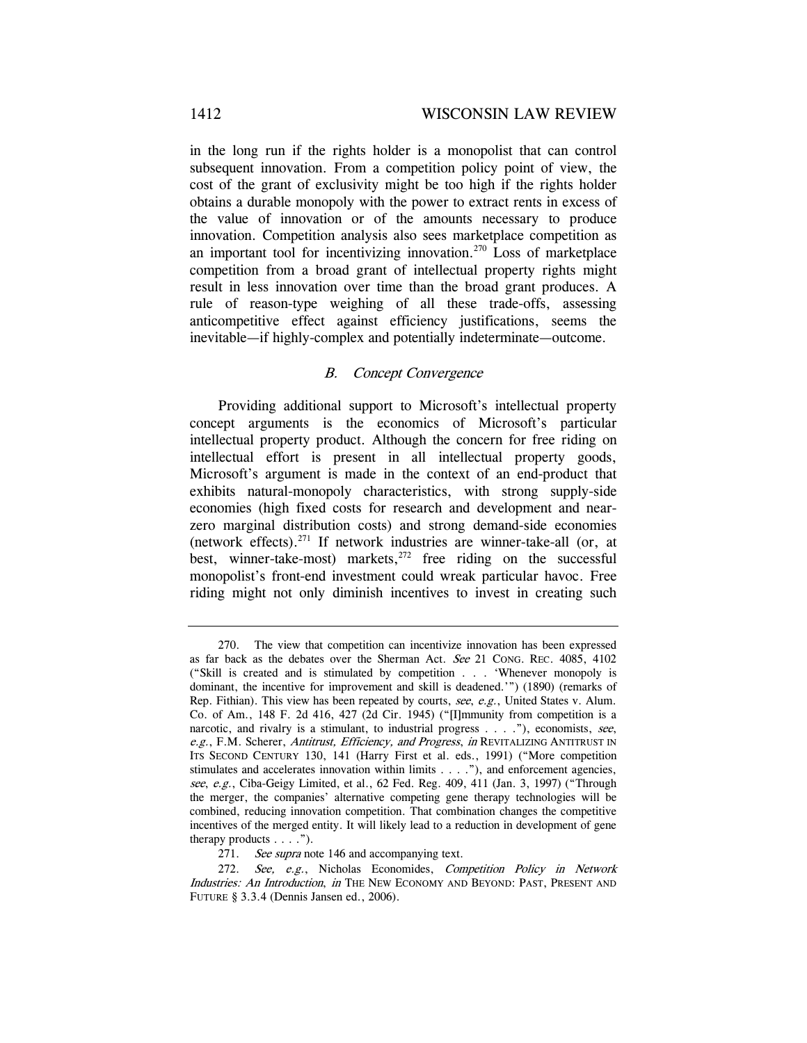in the long run if the rights holder is a monopolist that can control subsequent innovation. From a competition policy point of view, the cost of the grant of exclusivity might be too high if the rights holder obtains a durable monopoly with the power to extract rents in excess of the value of innovation or of the amounts necessary to produce innovation. Competition analysis also sees marketplace competition as an important tool for incentivizing innovation.<sup>270</sup> Loss of marketplace competition from a broad grant of intellectual property rights might result in less innovation over time than the broad grant produces. A rule of reason-type weighing of all these trade-offs, assessing anticompetitive effect against efficiency justifications, seems the inevitable—if highly-complex and potentially indeterminate—outcome.

## B. Concept Convergence

Providing additional support to Microsoft's intellectual property concept arguments is the economics of Microsoft's particular intellectual property product. Although the concern for free riding on intellectual effort is present in all intellectual property goods, Microsoft's argument is made in the context of an end-product that exhibits natural-monopoly characteristics, with strong supply-side economies (high fixed costs for research and development and nearzero marginal distribution costs) and strong demand-side economies (network effects). $271$  If network industries are winner-take-all (or, at best, winner-take-most) markets, $272$  free riding on the successful monopolist's front-end investment could wreak particular havoc. Free riding might not only diminish incentives to invest in creating such

<sup>270.</sup> The view that competition can incentivize innovation has been expressed as far back as the debates over the Sherman Act. See 21 CONG. REC. 4085, 4102 ("Skill is created and is stimulated by competition . . . 'Whenever monopoly is dominant, the incentive for improvement and skill is deadened.'") (1890) (remarks of Rep. Fithian). This view has been repeated by courts, see, e.g., United States v. Alum. Co. of Am., 148 F. 2d 416, 427 (2d Cir. 1945) ("[I]mmunity from competition is a narcotic, and rivalry is a stimulant, to industrial progress  $\dots$  ."), economists, see, e.g., F.M. Scherer, Antitrust, Efficiency, and Progress, in REVITALIZING ANTITRUST IN ITS SECOND CENTURY 130, 141 (Harry First et al. eds., 1991) ("More competition stimulates and accelerates innovation within limits . . . ."), and enforcement agencies, see, e.g., Ciba-Geigy Limited, et al., 62 Fed. Reg. 409, 411 (Jan. 3, 1997) ("Through the merger, the companies' alternative competing gene therapy technologies will be combined, reducing innovation competition. That combination changes the competitive incentives of the merged entity. It will likely lead to a reduction in development of gene therapy products  $\dots$  .").

<sup>271.</sup> See supra note 146 and accompanying text.

<sup>272.</sup> See, e.g., Nicholas Economides, Competition Policy in Network Industries: An Introduction, in THE NEW ECONOMY AND BEYOND: PAST, PRESENT AND FUTURE § 3.3.4 (Dennis Jansen ed., 2006).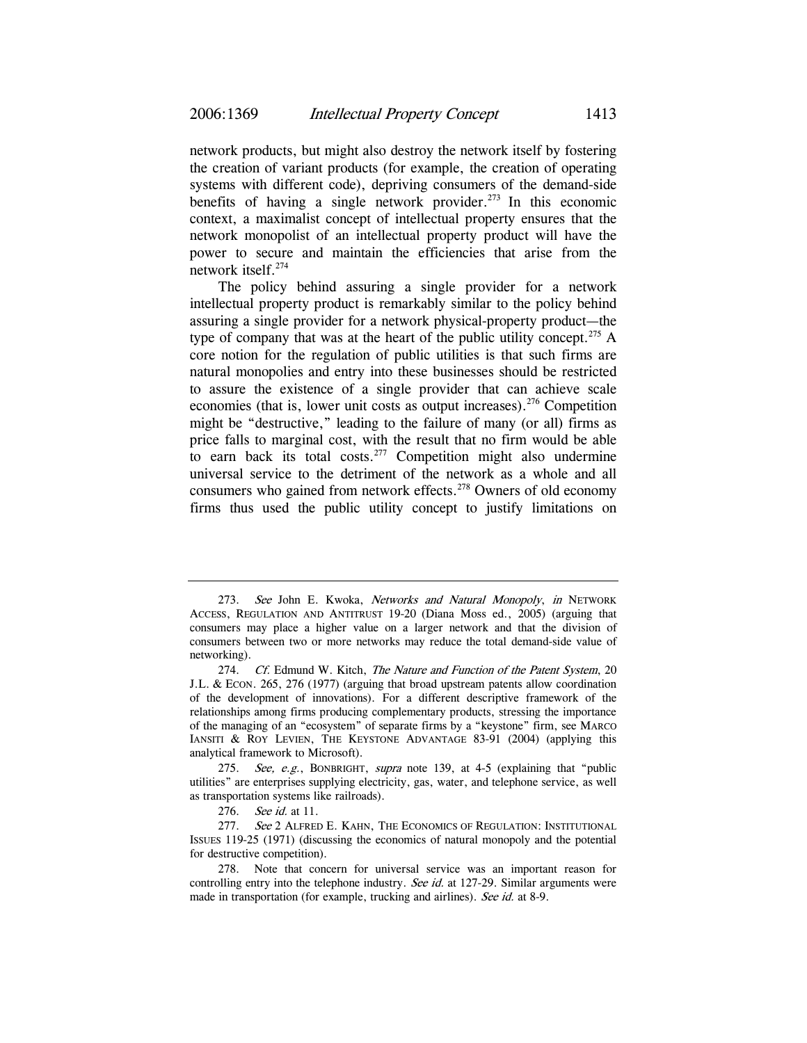network products, but might also destroy the network itself by fostering the creation of variant products (for example, the creation of operating systems with different code), depriving consumers of the demand-side benefits of having a single network provider.<sup>273</sup> In this economic context, a maximalist concept of intellectual property ensures that the network monopolist of an intellectual property product will have the power to secure and maintain the efficiencies that arise from the network itself.274

The policy behind assuring a single provider for a network intellectual property product is remarkably similar to the policy behind assuring a single provider for a network physical-property product—the type of company that was at the heart of the public utility concept.<sup>275</sup> A core notion for the regulation of public utilities is that such firms are natural monopolies and entry into these businesses should be restricted to assure the existence of a single provider that can achieve scale economies (that is, lower unit costs as output increases).<sup>276</sup> Competition might be "destructive," leading to the failure of many (or all) firms as price falls to marginal cost, with the result that no firm would be able to earn back its total costs.<sup>277</sup> Competition might also undermine universal service to the detriment of the network as a whole and all consumers who gained from network effects.<sup>278</sup> Owners of old economy firms thus used the public utility concept to justify limitations on

276. See id. at 11.

<sup>273.</sup> See John E. Kwoka, Networks and Natural Monopoly, in NETWORK ACCESS, REGULATION AND ANTITRUST 19-20 (Diana Moss ed., 2005) (arguing that consumers may place a higher value on a larger network and that the division of consumers between two or more networks may reduce the total demand-side value of networking).

<sup>274.</sup> Cf. Edmund W. Kitch, The Nature and Function of the Patent System, 20 J.L. & ECON. 265, 276 (1977) (arguing that broad upstream patents allow coordination of the development of innovations). For a different descriptive framework of the relationships among firms producing complementary products, stressing the importance of the managing of an "ecosystem" of separate firms by a "keystone" firm, see MARCO IANSITI & ROY LEVIEN, THE KEYSTONE ADVANTAGE 83-91 (2004) (applying this analytical framework to Microsoft).

<sup>275.</sup> See, e.g., BONBRIGHT, supra note 139, at 4-5 (explaining that "public utilities" are enterprises supplying electricity, gas, water, and telephone service, as well as transportation systems like railroads).

<sup>277.</sup> See 2 ALFRED E. KAHN, THE ECONOMICS OF REGULATION: INSTITUTIONAL ISSUES 119-25 (1971) (discussing the economics of natural monopoly and the potential for destructive competition).

<sup>278.</sup> Note that concern for universal service was an important reason for controlling entry into the telephone industry. See id. at 127-29. Similar arguments were made in transportation (for example, trucking and airlines). See id. at 8-9.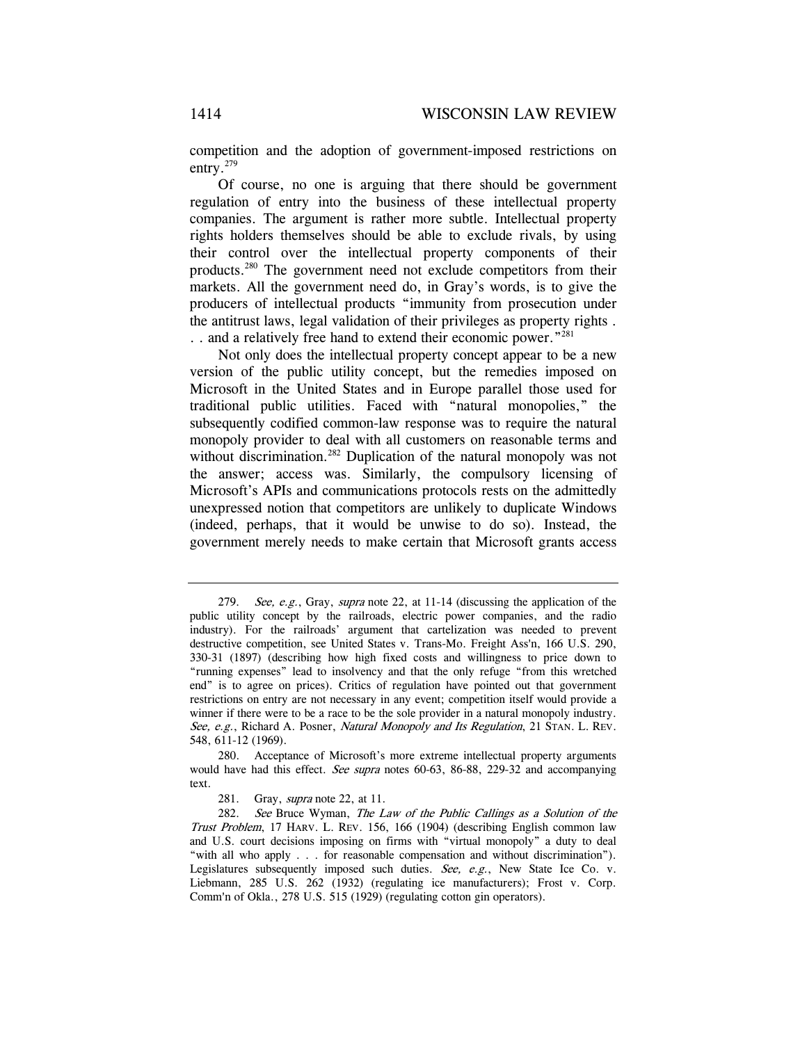competition and the adoption of government-imposed restrictions on entry.279

Of course, no one is arguing that there should be government regulation of entry into the business of these intellectual property companies. The argument is rather more subtle. Intellectual property rights holders themselves should be able to exclude rivals, by using their control over the intellectual property components of their products.280 The government need not exclude competitors from their markets. All the government need do, in Gray's words, is to give the producers of intellectual products "immunity from prosecution under the antitrust laws, legal validation of their privileges as property rights . .. and a relatively free hand to extend their economic power."<sup>281</sup>

Not only does the intellectual property concept appear to be a new version of the public utility concept, but the remedies imposed on Microsoft in the United States and in Europe parallel those used for traditional public utilities. Faced with "natural monopolies," the subsequently codified common-law response was to require the natural monopoly provider to deal with all customers on reasonable terms and without discrimination.<sup>282</sup> Duplication of the natural monopoly was not the answer; access was. Similarly, the compulsory licensing of Microsoft's APIs and communications protocols rests on the admittedly unexpressed notion that competitors are unlikely to duplicate Windows (indeed, perhaps, that it would be unwise to do so). Instead, the government merely needs to make certain that Microsoft grants access

<sup>279.</sup> See, e.g., Gray, supra note 22, at 11-14 (discussing the application of the public utility concept by the railroads, electric power companies, and the radio industry). For the railroads' argument that cartelization was needed to prevent destructive competition, see United States v. Trans-Mo. Freight Ass'n, 166 U.S. 290, 330-31 (1897) (describing how high fixed costs and willingness to price down to "running expenses" lead to insolvency and that the only refuge "from this wretched end" is to agree on prices). Critics of regulation have pointed out that government restrictions on entry are not necessary in any event; competition itself would provide a winner if there were to be a race to be the sole provider in a natural monopoly industry. See, e.g., Richard A. Posner, *Natural Monopoly and Its Regulation*, 21 STAN. L. REV. 548, 611-12 (1969).

<sup>280.</sup> Acceptance of Microsoft's more extreme intellectual property arguments would have had this effect. See supra notes 60-63, 86-88, 229-32 and accompanying text.

<sup>281.</sup> Gray, *supra* note 22, at 11.

<sup>282.</sup> See Bruce Wyman, The Law of the Public Callings as a Solution of the Trust Problem, 17 HARV. L. REV. 156, 166 (1904) (describing English common law and U.S. court decisions imposing on firms with "virtual monopoly" a duty to deal "with all who apply . . . for reasonable compensation and without discrimination"). Legislatures subsequently imposed such duties. See, e.g., New State Ice Co. v. Liebmann, 285 U.S. 262 (1932) (regulating ice manufacturers); Frost v. Corp. Comm'n of Okla., 278 U.S. 515 (1929) (regulating cotton gin operators).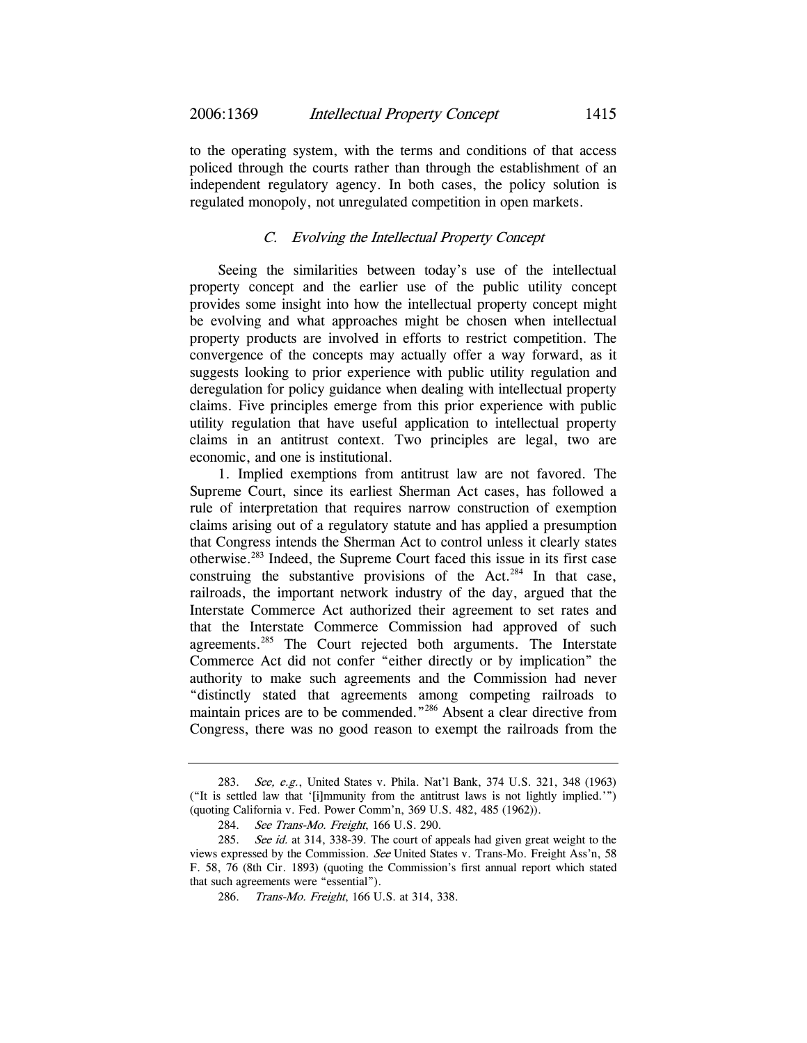to the operating system, with the terms and conditions of that access policed through the courts rather than through the establishment of an independent regulatory agency. In both cases, the policy solution is regulated monopoly, not unregulated competition in open markets.

## C. Evolving the Intellectual Property Concept

Seeing the similarities between today's use of the intellectual property concept and the earlier use of the public utility concept provides some insight into how the intellectual property concept might be evolving and what approaches might be chosen when intellectual property products are involved in efforts to restrict competition. The convergence of the concepts may actually offer a way forward, as it suggests looking to prior experience with public utility regulation and deregulation for policy guidance when dealing with intellectual property claims. Five principles emerge from this prior experience with public utility regulation that have useful application to intellectual property claims in an antitrust context. Two principles are legal, two are economic, and one is institutional.

1. Implied exemptions from antitrust law are not favored. The Supreme Court, since its earliest Sherman Act cases, has followed a rule of interpretation that requires narrow construction of exemption claims arising out of a regulatory statute and has applied a presumption that Congress intends the Sherman Act to control unless it clearly states otherwise.283 Indeed, the Supreme Court faced this issue in its first case construing the substantive provisions of the Act.<sup>284</sup> In that case, railroads, the important network industry of the day, argued that the Interstate Commerce Act authorized their agreement to set rates and that the Interstate Commerce Commission had approved of such agreements.<sup>285</sup> The Court rejected both arguments. The Interstate Commerce Act did not confer "either directly or by implication" the authority to make such agreements and the Commission had never "distinctly stated that agreements among competing railroads to maintain prices are to be commended."286 Absent a clear directive from Congress, there was no good reason to exempt the railroads from the

<sup>283.</sup> See, e.g., United States v. Phila. Nat'l Bank, 374 U.S. 321, 348 (1963) ("It is settled law that '[i]mmunity from the antitrust laws is not lightly implied.'") (quoting California v. Fed. Power Comm'n, 369 U.S. 482, 485 (1962)).

<sup>284.</sup> See Trans-Mo. Freight, 166 U.S. 290.

<sup>285.</sup> See id. at 314, 338-39. The court of appeals had given great weight to the views expressed by the Commission. See United States v. Trans-Mo. Freight Ass'n, 58 F. 58, 76 (8th Cir. 1893) (quoting the Commission's first annual report which stated that such agreements were "essential").

<sup>286.</sup> Trans-Mo. Freight, 166 U.S. at 314, 338.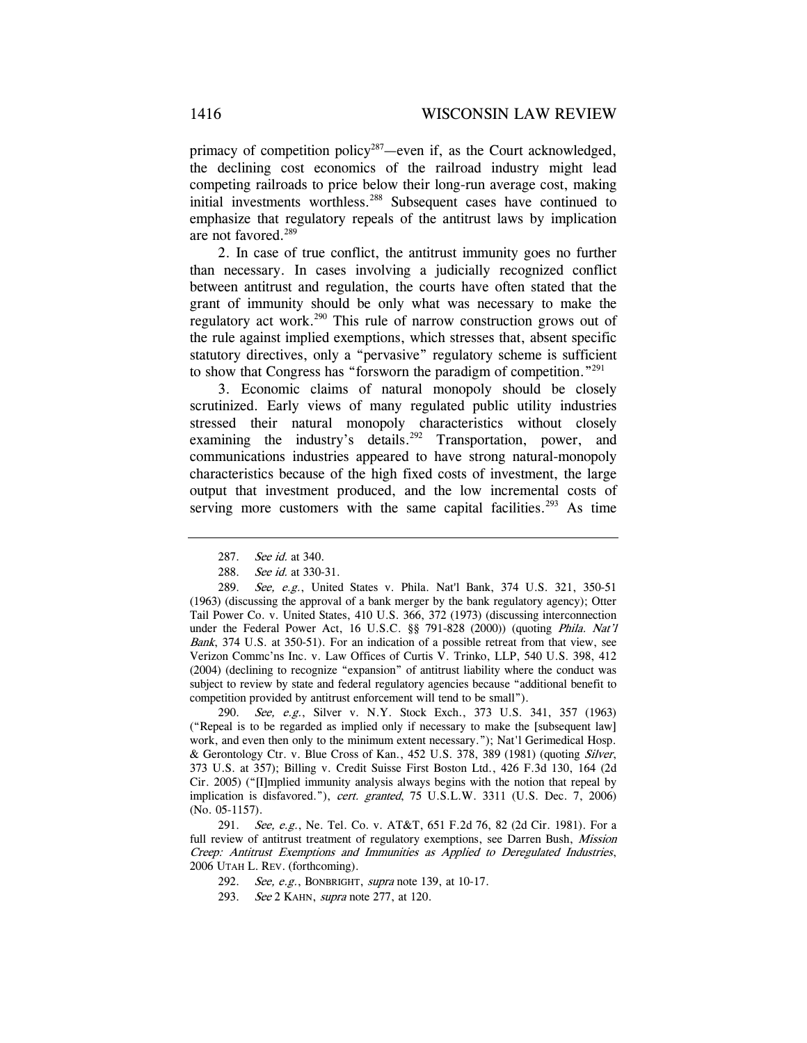primacy of competition policy<sup>287</sup>—even if, as the Court acknowledged, the declining cost economics of the railroad industry might lead competing railroads to price below their long-run average cost, making initial investments worthless.288 Subsequent cases have continued to emphasize that regulatory repeals of the antitrust laws by implication are not favored.<sup>289</sup>

2. In case of true conflict, the antitrust immunity goes no further than necessary. In cases involving a judicially recognized conflict between antitrust and regulation, the courts have often stated that the grant of immunity should be only what was necessary to make the regulatory act work.<sup>290</sup> This rule of narrow construction grows out of the rule against implied exemptions, which stresses that, absent specific statutory directives, only a "pervasive" regulatory scheme is sufficient to show that Congress has "forsworn the paradigm of competition."291

3. Economic claims of natural monopoly should be closely scrutinized. Early views of many regulated public utility industries stressed their natural monopoly characteristics without closely examining the industry's details.<sup>292</sup> Transportation, power, and communications industries appeared to have strong natural-monopoly characteristics because of the high fixed costs of investment, the large output that investment produced, and the low incremental costs of serving more customers with the same capital facilities.<sup>293</sup> As time

290. See, e.g., Silver v. N.Y. Stock Exch., 373 U.S. 341, 357 (1963) ("Repeal is to be regarded as implied only if necessary to make the [subsequent law] work, and even then only to the minimum extent necessary."); Nat'l Gerimedical Hosp. & Gerontology Ctr. v. Blue Cross of Kan., 452 U.S. 378, 389 (1981) (quoting Silver, 373 U.S. at 357); Billing v. Credit Suisse First Boston Ltd., 426 F.3d 130, 164 (2d Cir. 2005) ("[I]mplied immunity analysis always begins with the notion that repeal by implication is disfavored."), cert. granted, 75 U.S.L.W. 3311 (U.S. Dec. 7, 2006) (No. 05-1157).

291. See, e.g., Ne. Tel. Co. v. AT&T, 651 F.2d 76, 82 (2d Cir. 1981). For a full review of antitrust treatment of regulatory exemptions, see Darren Bush, Mission Creep: Antitrust Exemptions and Immunities as Applied to Deregulated Industries, 2006 UTAH L. REV. (forthcoming).

292. See, e.g., BONBRIGHT, supra note 139, at 10-17.

<sup>287.</sup> See id. at 340.

<sup>288.</sup> See id. at 330-31.

<sup>289.</sup> See, e.g., United States v. Phila. Nat'l Bank, 374 U.S. 321, 350-51 (1963) (discussing the approval of a bank merger by the bank regulatory agency); Otter Tail Power Co. v. United States, 410 U.S. 366, 372 (1973) (discussing interconnection under the Federal Power Act, 16 U.S.C. §§ 791-828 (2000)) (quoting Phila. Nat'l Bank, 374 U.S. at 350-51). For an indication of a possible retreat from that view, see Verizon Commc'ns Inc. v. Law Offices of Curtis V. Trinko, LLP, 540 U.S. 398, 412 (2004) (declining to recognize "expansion" of antitrust liability where the conduct was subject to review by state and federal regulatory agencies because "additional benefit to competition provided by antitrust enforcement will tend to be small").

<sup>293.</sup> See 2 KAHN, supra note 277, at 120.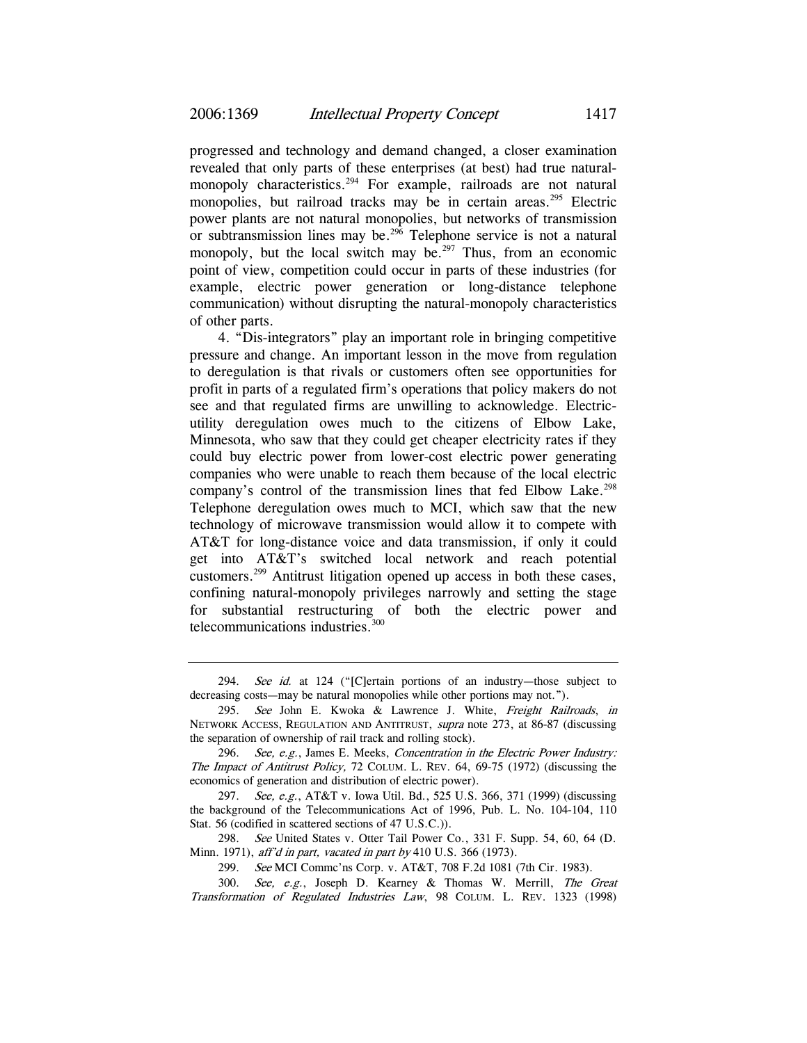progressed and technology and demand changed, a closer examination revealed that only parts of these enterprises (at best) had true naturalmonopoly characteristics.<sup>294</sup> For example, railroads are not natural monopolies, but railroad tracks may be in certain areas.<sup>295</sup> Electric power plants are not natural monopolies, but networks of transmission or subtransmission lines may be.<sup>296</sup> Telephone service is not a natural monopoly, but the local switch may be.<sup>297</sup> Thus, from an economic point of view, competition could occur in parts of these industries (for example, electric power generation or long-distance telephone communication) without disrupting the natural-monopoly characteristics of other parts.

4. "Dis-integrators" play an important role in bringing competitive pressure and change. An important lesson in the move from regulation to deregulation is that rivals or customers often see opportunities for profit in parts of a regulated firm's operations that policy makers do not see and that regulated firms are unwilling to acknowledge. Electricutility deregulation owes much to the citizens of Elbow Lake, Minnesota, who saw that they could get cheaper electricity rates if they could buy electric power from lower-cost electric power generating companies who were unable to reach them because of the local electric company's control of the transmission lines that fed Elbow Lake.<sup>298</sup> Telephone deregulation owes much to MCI, which saw that the new technology of microwave transmission would allow it to compete with AT&T for long-distance voice and data transmission, if only it could get into AT&T's switched local network and reach potential customers.299 Antitrust litigation opened up access in both these cases, confining natural-monopoly privileges narrowly and setting the stage for substantial restructuring of both the electric power and telecommunications industries.300

<sup>294.</sup> See id. at 124 ("[C]ertain portions of an industry-those subject to decreasing costs—may be natural monopolies while other portions may not.").

<sup>295.</sup> See John E. Kwoka & Lawrence J. White, Freight Railroads, in NETWORK ACCESS, REGULATION AND ANTITRUST, supra note 273, at 86-87 (discussing the separation of ownership of rail track and rolling stock).

<sup>296.</sup> See, e.g., James E. Meeks, Concentration in the Electric Power Industry: The Impact of Antitrust Policy, 72 COLUM. L. REV. 64, 69-75 (1972) (discussing the economics of generation and distribution of electric power).

<sup>297.</sup> See, e.g., AT&T v. Iowa Util. Bd., 525 U.S. 366, 371 (1999) (discussing the background of the Telecommunications Act of 1996, Pub. L. No. 104-104, 110 Stat. 56 (codified in scattered sections of 47 U.S.C.)).

<sup>298.</sup> See United States v. Otter Tail Power Co., 331 F. Supp. 54, 60, 64 (D. Minn. 1971), aff'd in part, vacated in part by 410 U.S. 366 (1973).

<sup>299.</sup> See MCI Commc'ns Corp. v. AT&T, 708 F.2d 1081 (7th Cir. 1983).

<sup>300.</sup> See, e.g., Joseph D. Kearney & Thomas W. Merrill, The Great Transformation of Regulated Industries Law, 98 COLUM. L. REV. 1323 (1998)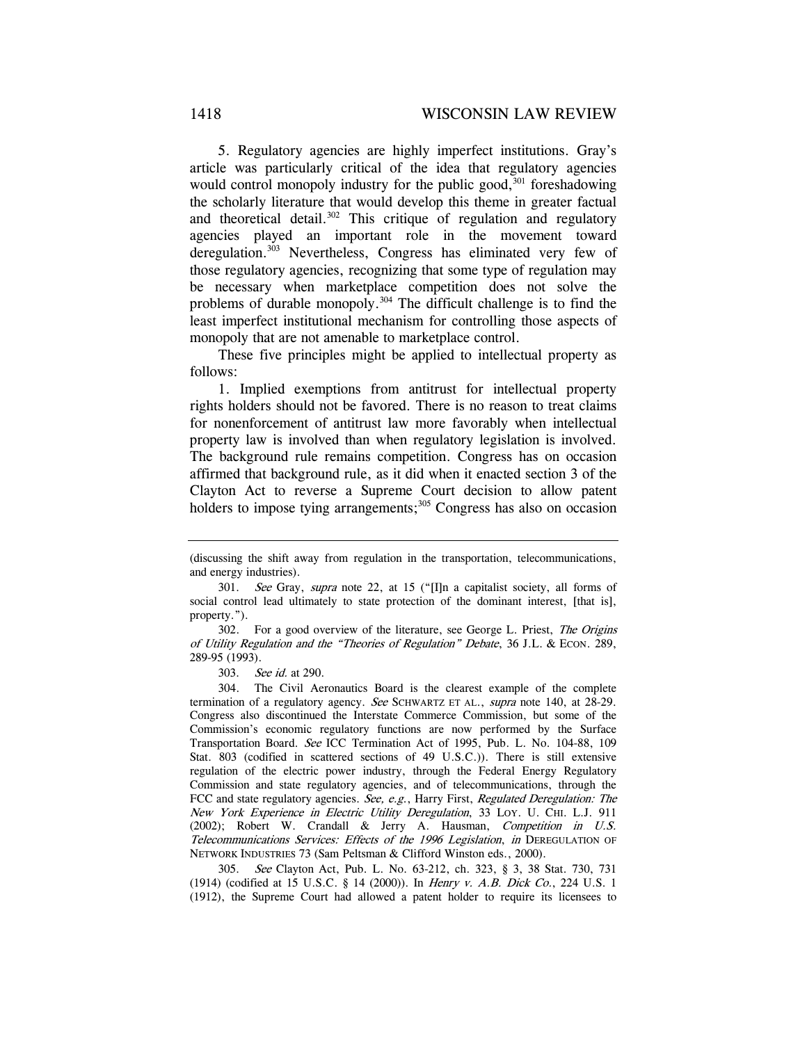5. Regulatory agencies are highly imperfect institutions. Gray's article was particularly critical of the idea that regulatory agencies would control monopoly industry for the public good, $301$  foreshadowing the scholarly literature that would develop this theme in greater factual and theoretical detail.<sup>302</sup> This critique of regulation and regulatory agencies played an important role in the movement toward deregulation.<sup>303</sup> Nevertheless, Congress has eliminated very few of those regulatory agencies, recognizing that some type of regulation may be necessary when marketplace competition does not solve the problems of durable monopoly.<sup>304</sup> The difficult challenge is to find the least imperfect institutional mechanism for controlling those aspects of monopoly that are not amenable to marketplace control.

These five principles might be applied to intellectual property as follows:

1. Implied exemptions from antitrust for intellectual property rights holders should not be favored. There is no reason to treat claims for nonenforcement of antitrust law more favorably when intellectual property law is involved than when regulatory legislation is involved. The background rule remains competition. Congress has on occasion affirmed that background rule, as it did when it enacted section 3 of the Clayton Act to reverse a Supreme Court decision to allow patent holders to impose tying arrangements;<sup>305</sup> Congress has also on occasion

302. For a good overview of the literature, see George L. Priest, The Origins of Utility Regulation and the "Theories of Regulation" Debate, 36 J.L. & ECON. 289, 289-95 (1993).

303. See id. at 290.

304. The Civil Aeronautics Board is the clearest example of the complete termination of a regulatory agency. See SCHWARTZ ET AL., supra note 140, at 28-29. Congress also discontinued the Interstate Commerce Commission, but some of the Commission's economic regulatory functions are now performed by the Surface Transportation Board. See ICC Termination Act of 1995, Pub. L. No. 104-88, 109 Stat. 803 (codified in scattered sections of 49 U.S.C.)). There is still extensive regulation of the electric power industry, through the Federal Energy Regulatory Commission and state regulatory agencies, and of telecommunications, through the FCC and state regulatory agencies. See, e.g., Harry First, Regulated Deregulation: The New York Experience in Electric Utility Deregulation, 33 LOY. U. CHI. L.J. 911  $(2002)$ ; Robert W. Crandall & Jerry A. Hausman, Competition in U.S. Telecommunications Services: Effects of the 1996 Legislation, in DEREGULATION OF NETWORK INDUSTRIES 73 (Sam Peltsman & Clifford Winston eds., 2000).

305. See Clayton Act, Pub. L. No. 63-212, ch. 323, § 3, 38 Stat. 730, 731 (1914) (codified at 15 U.S.C. § 14 (2000)). In Henry v. A.B. Dick Co., 224 U.S. 1 (1912), the Supreme Court had allowed a patent holder to require its licensees to

<sup>(</sup>discussing the shift away from regulation in the transportation, telecommunications, and energy industries).

<sup>301.</sup> See Gray, supra note 22, at 15 ("[I]n a capitalist society, all forms of social control lead ultimately to state protection of the dominant interest, [that is], property.").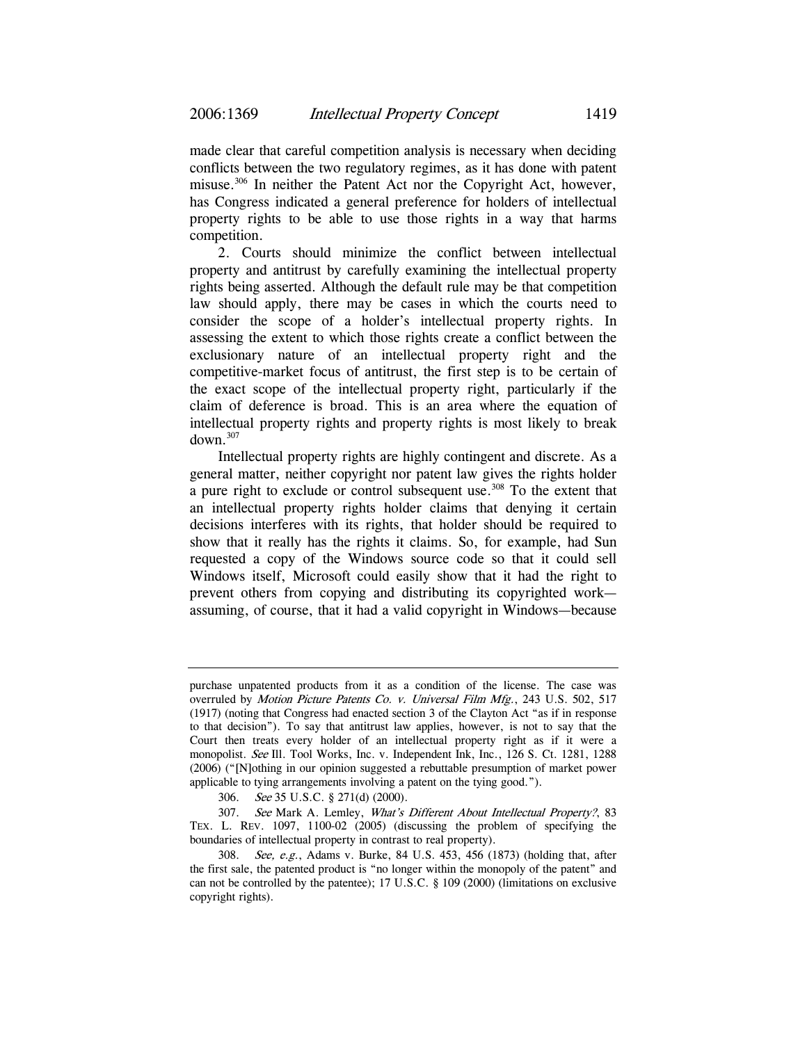made clear that careful competition analysis is necessary when deciding conflicts between the two regulatory regimes, as it has done with patent misuse.306 In neither the Patent Act nor the Copyright Act, however, has Congress indicated a general preference for holders of intellectual property rights to be able to use those rights in a way that harms competition.

2. Courts should minimize the conflict between intellectual property and antitrust by carefully examining the intellectual property rights being asserted. Although the default rule may be that competition law should apply, there may be cases in which the courts need to consider the scope of a holder's intellectual property rights. In assessing the extent to which those rights create a conflict between the exclusionary nature of an intellectual property right and the competitive-market focus of antitrust, the first step is to be certain of the exact scope of the intellectual property right, particularly if the claim of deference is broad. This is an area where the equation of intellectual property rights and property rights is most likely to break  $down<sup>307</sup>$ 

Intellectual property rights are highly contingent and discrete. As a general matter, neither copyright nor patent law gives the rights holder a pure right to exclude or control subsequent use.<sup>308</sup> To the extent that an intellectual property rights holder claims that denying it certain decisions interferes with its rights, that holder should be required to show that it really has the rights it claims. So, for example, had Sun requested a copy of the Windows source code so that it could sell Windows itself, Microsoft could easily show that it had the right to prevent others from copying and distributing its copyrighted work assuming, of course, that it had a valid copyright in Windows—because

purchase unpatented products from it as a condition of the license. The case was overruled by *Motion Picture Patents Co. v. Universal Film Mfg.*, 243 U.S. 502, 517 (1917) (noting that Congress had enacted section 3 of the Clayton Act "as if in response to that decision"). To say that antitrust law applies, however, is not to say that the Court then treats every holder of an intellectual property right as if it were a monopolist. See Ill. Tool Works, Inc. v. Independent Ink, Inc., 126 S. Ct. 1281, 1288 (2006) ("[N]othing in our opinion suggested a rebuttable presumption of market power applicable to tying arrangements involving a patent on the tying good.").

<sup>306.</sup> See 35 U.S.C. § 271(d) (2000).

<sup>307.</sup> See Mark A. Lemley, What's Different About Intellectual Property?, 83 TEX. L. REV. 1097, 1100-02 (2005) (discussing the problem of specifying the boundaries of intellectual property in contrast to real property).

<sup>308.</sup> See, e.g., Adams v. Burke, 84 U.S. 453, 456 (1873) (holding that, after the first sale, the patented product is "no longer within the monopoly of the patent" and can not be controlled by the patentee); 17 U.S.C. § 109 (2000) (limitations on exclusive copyright rights).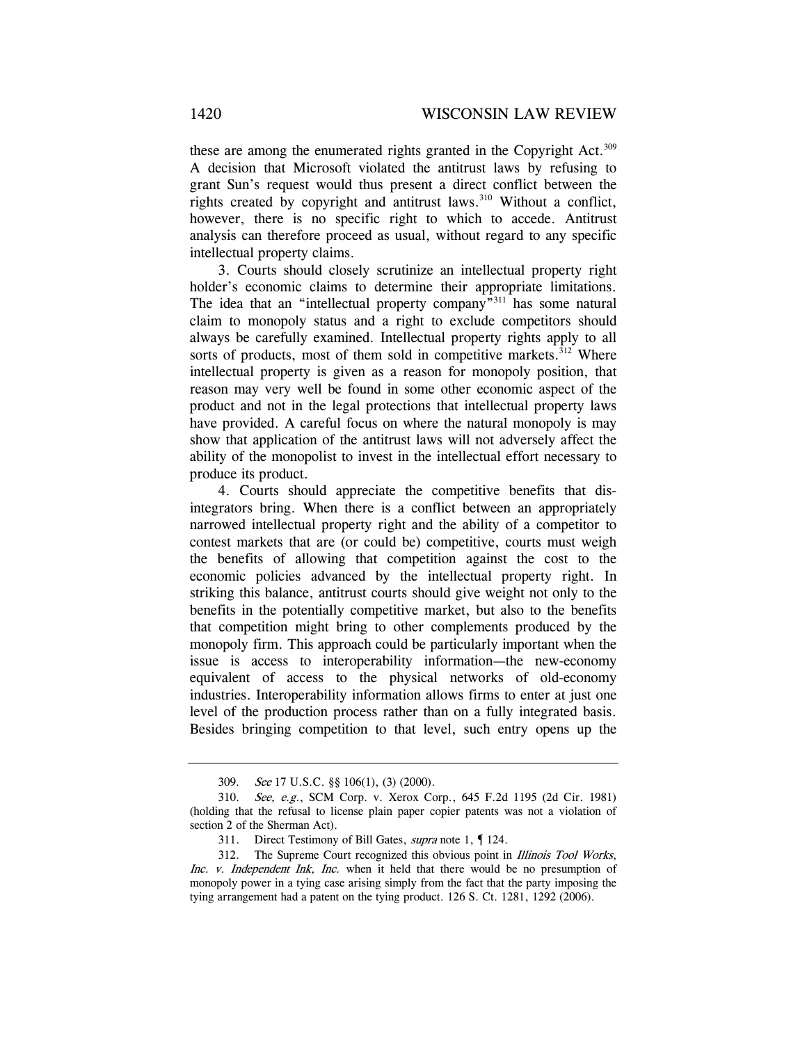these are among the enumerated rights granted in the Copyright Act.<sup>309</sup> A decision that Microsoft violated the antitrust laws by refusing to grant Sun's request would thus present a direct conflict between the rights created by copyright and antitrust laws.<sup>310</sup> Without a conflict, however, there is no specific right to which to accede. Antitrust analysis can therefore proceed as usual, without regard to any specific intellectual property claims.

3. Courts should closely scrutinize an intellectual property right holder's economic claims to determine their appropriate limitations. The idea that an "intellectual property company"<sup>311</sup> has some natural claim to monopoly status and a right to exclude competitors should always be carefully examined. Intellectual property rights apply to all sorts of products, most of them sold in competitive markets.<sup>312</sup> Where intellectual property is given as a reason for monopoly position, that reason may very well be found in some other economic aspect of the product and not in the legal protections that intellectual property laws have provided. A careful focus on where the natural monopoly is may show that application of the antitrust laws will not adversely affect the ability of the monopolist to invest in the intellectual effort necessary to produce its product.

4. Courts should appreciate the competitive benefits that disintegrators bring. When there is a conflict between an appropriately narrowed intellectual property right and the ability of a competitor to contest markets that are (or could be) competitive, courts must weigh the benefits of allowing that competition against the cost to the economic policies advanced by the intellectual property right. In striking this balance, antitrust courts should give weight not only to the benefits in the potentially competitive market, but also to the benefits that competition might bring to other complements produced by the monopoly firm. This approach could be particularly important when the issue is access to interoperability information—the new-economy equivalent of access to the physical networks of old-economy industries. Interoperability information allows firms to enter at just one level of the production process rather than on a fully integrated basis. Besides bringing competition to that level, such entry opens up the

<sup>309.</sup> See 17 U.S.C. §§ 106(1), (3) (2000).

<sup>310.</sup> See, e.g., SCM Corp. v. Xerox Corp., 645 F.2d 1195 (2d Cir. 1981) (holding that the refusal to license plain paper copier patents was not a violation of section 2 of the Sherman Act).

<sup>311.</sup> Direct Testimony of Bill Gates, *supra* note 1, 124.

<sup>312.</sup> The Supreme Court recognized this obvious point in Illinois Tool Works, Inc. v. Independent Ink, Inc. when it held that there would be no presumption of monopoly power in a tying case arising simply from the fact that the party imposing the tying arrangement had a patent on the tying product. 126 S. Ct. 1281, 1292 (2006).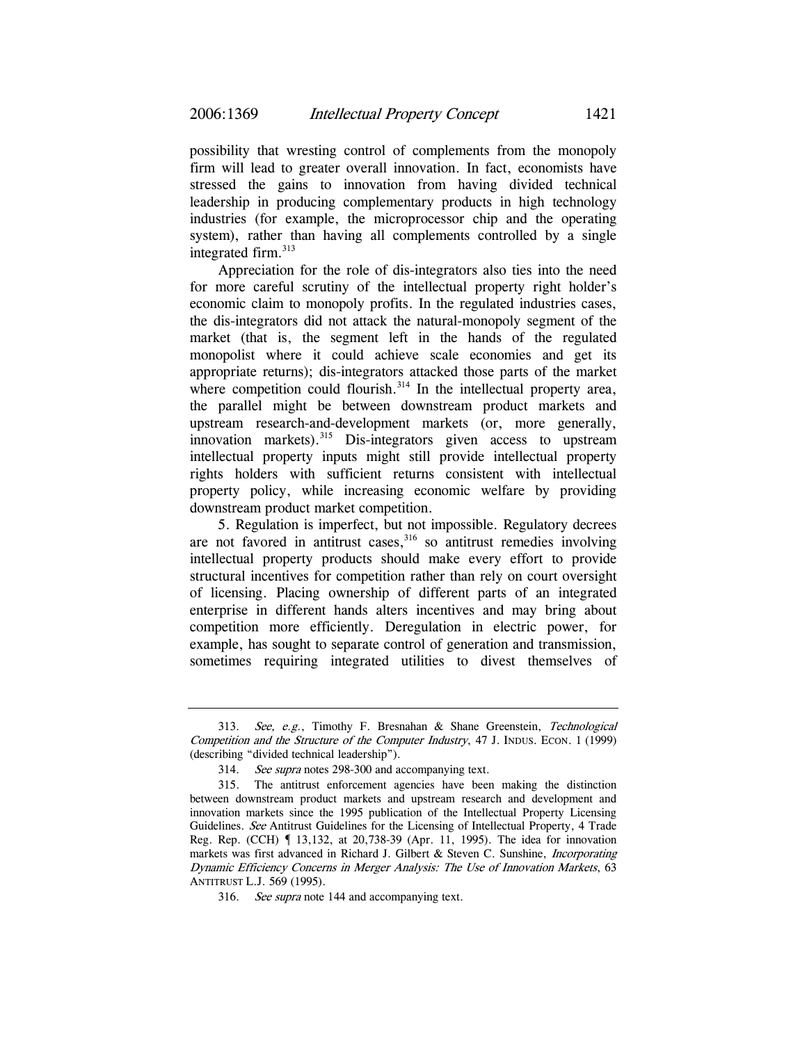possibility that wresting control of complements from the monopoly firm will lead to greater overall innovation. In fact, economists have stressed the gains to innovation from having divided technical leadership in producing complementary products in high technology industries (for example, the microprocessor chip and the operating system), rather than having all complements controlled by a single integrated firm.<sup>313</sup>

Appreciation for the role of dis-integrators also ties into the need for more careful scrutiny of the intellectual property right holder's economic claim to monopoly profits. In the regulated industries cases, the dis-integrators did not attack the natural-monopoly segment of the market (that is, the segment left in the hands of the regulated monopolist where it could achieve scale economies and get its appropriate returns); dis-integrators attacked those parts of the market where competition could flourish.<sup>314</sup> In the intellectual property area, the parallel might be between downstream product markets and upstream research-and-development markets (or, more generally, innovation markets).<sup>315</sup> Dis-integrators given access to upstream intellectual property inputs might still provide intellectual property rights holders with sufficient returns consistent with intellectual property policy, while increasing economic welfare by providing downstream product market competition.

5. Regulation is imperfect, but not impossible. Regulatory decrees are not favored in antitrust cases,<sup>316</sup> so antitrust remedies involving intellectual property products should make every effort to provide structural incentives for competition rather than rely on court oversight of licensing. Placing ownership of different parts of an integrated enterprise in different hands alters incentives and may bring about competition more efficiently. Deregulation in electric power, for example, has sought to separate control of generation and transmission, sometimes requiring integrated utilities to divest themselves of

<sup>313.</sup> See, e.g., Timothy F. Bresnahan & Shane Greenstein, Technological Competition and the Structure of the Computer Industry, 47 J. INDUS. ECON. 1 (1999) (describing "divided technical leadership").

<sup>314.</sup> See supra notes 298-300 and accompanying text.

<sup>315.</sup> The antitrust enforcement agencies have been making the distinction between downstream product markets and upstream research and development and innovation markets since the 1995 publication of the Intellectual Property Licensing Guidelines. See Antitrust Guidelines for the Licensing of Intellectual Property, 4 Trade Reg. Rep. (CCH) ¶ 13,132, at 20,738-39 (Apr. 11, 1995). The idea for innovation markets was first advanced in Richard J. Gilbert & Steven C. Sunshine, *Incorporating* Dynamic Efficiency Concerns in Merger Analysis: The Use of Innovation Markets, 63 ANTITRUST L.J. 569 (1995).

<sup>316.</sup> See supra note 144 and accompanying text.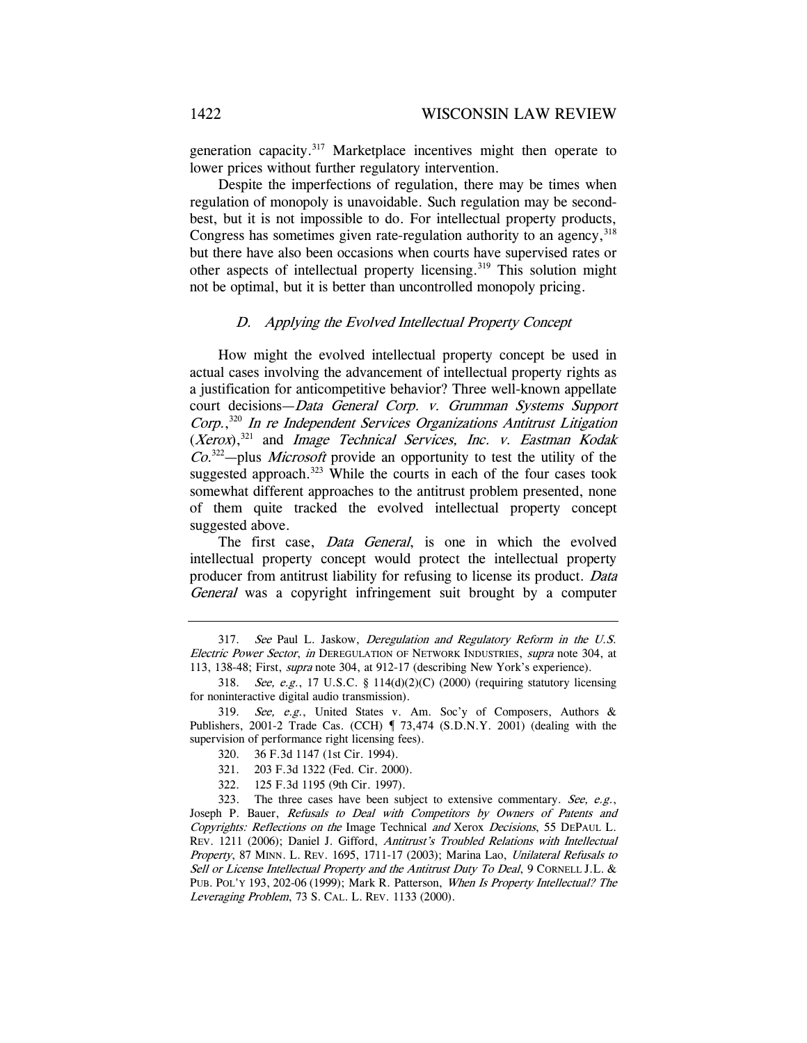generation capacity.<sup>317</sup> Marketplace incentives might then operate to lower prices without further regulatory intervention.

Despite the imperfections of regulation, there may be times when regulation of monopoly is unavoidable. Such regulation may be secondbest, but it is not impossible to do. For intellectual property products, Congress has sometimes given rate-regulation authority to an agency, 318 but there have also been occasions when courts have supervised rates or other aspects of intellectual property licensing.<sup>319</sup> This solution might not be optimal, but it is better than uncontrolled monopoly pricing.

## D. Applying the Evolved Intellectual Property Concept

How might the evolved intellectual property concept be used in actual cases involving the advancement of intellectual property rights as a justification for anticompetitive behavior? Three well-known appellate court decisions—Data General Corp. v. Grumman Systems Support Corp., <sup>320</sup> In re Independent Services Organizations Antitrust Litigation  $(Xerox)$ ,<sup>321</sup> and *Image Technical Services*, *Inc. v. Eastman Kodak*  $Co^{322}$ -plus *Microsoft* provide an opportunity to test the utility of the suggested approach.<sup>323</sup> While the courts in each of the four cases took somewhat different approaches to the antitrust problem presented, none of them quite tracked the evolved intellectual property concept suggested above.

The first case, *Data General*, is one in which the evolved intellectual property concept would protect the intellectual property producer from antitrust liability for refusing to license its product. Data General was a copyright infringement suit brought by a computer

<sup>317.</sup> See Paul L. Jaskow, Deregulation and Regulatory Reform in the U.S. Electric Power Sector, in DEREGULATION OF NETWORK INDUSTRIES, supra note 304, at 113, 138-48; First, *supra* note 304, at 912-17 (describing New York's experience).

<sup>318.</sup> See, e.g., 17 U.S.C. § 114(d)(2)(C) (2000) (requiring statutory licensing for noninteractive digital audio transmission).

<sup>319.</sup> See, e.g., United States v. Am. Soc'y of Composers, Authors & Publishers, 2001-2 Trade Cas. (CCH)  $\parallel$  73,474 (S.D.N.Y. 2001) (dealing with the supervision of performance right licensing fees).

<sup>320. 36</sup> F.3d 1147 (1st Cir. 1994).

<sup>321. 203</sup> F.3d 1322 (Fed. Cir. 2000).

<sup>322. 125</sup> F.3d 1195 (9th Cir. 1997).

<sup>323.</sup> The three cases have been subject to extensive commentary. See, e.g., Joseph P. Bauer, Refusals to Deal with Competitors by Owners of Patents and Copyrights: Reflections on the Image Technical and Xerox Decisions, 55 DEPAUL L. REV. 1211 (2006); Daniel J. Gifford, Antitrust's Troubled Relations with Intellectual Property, 87 MINN. L. REV. 1695, 1711-17 (2003); Marina Lao, Unilateral Refusals to Sell or License Intellectual Property and the Antitrust Duty To Deal, 9 CORNELL J.L. & PUB. POL'Y 193, 202-06 (1999); Mark R. Patterson, When Is Property Intellectual? The Leveraging Problem, 73 S. CAL. L. REV. 1133 (2000).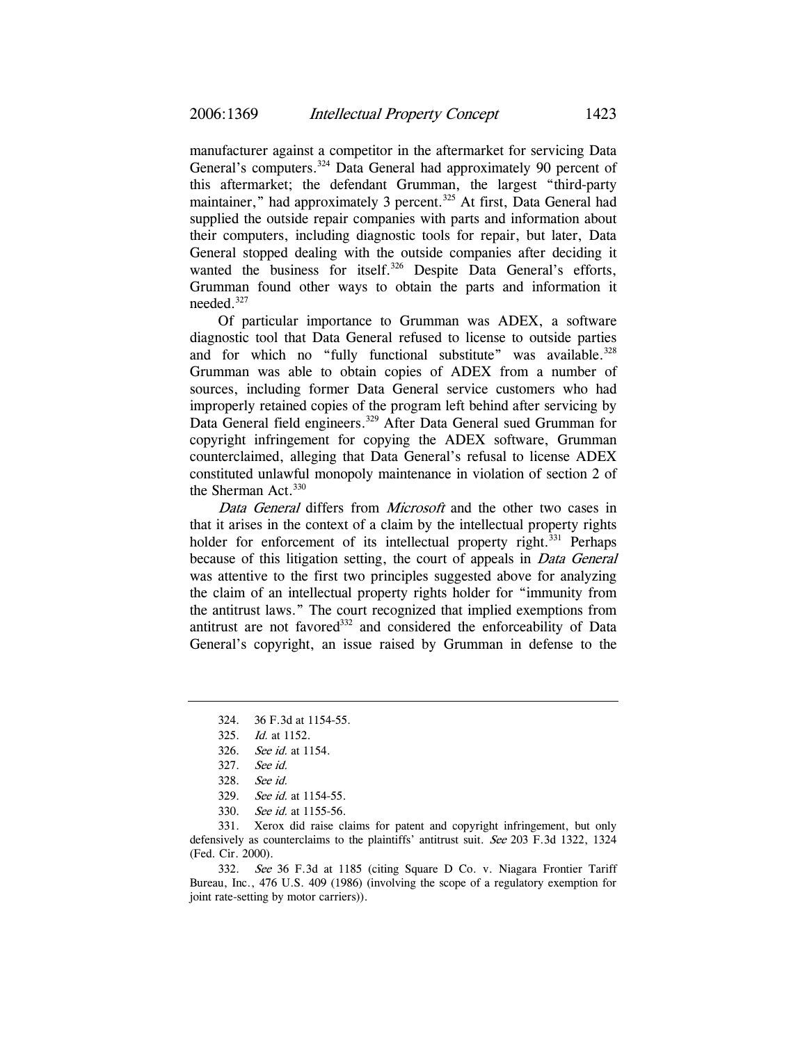manufacturer against a competitor in the aftermarket for servicing Data General's computers.<sup>324</sup> Data General had approximately 90 percent of this aftermarket; the defendant Grumman, the largest "third-party maintainer," had approximately 3 percent.<sup>325</sup> At first, Data General had supplied the outside repair companies with parts and information about their computers, including diagnostic tools for repair, but later, Data General stopped dealing with the outside companies after deciding it wanted the business for itself.<sup>326</sup> Despite Data General's efforts, Grumman found other ways to obtain the parts and information it needed.327

Of particular importance to Grumman was ADEX, a software diagnostic tool that Data General refused to license to outside parties and for which no "fully functional substitute" was available.<sup>328</sup> Grumman was able to obtain copies of ADEX from a number of sources, including former Data General service customers who had improperly retained copies of the program left behind after servicing by Data General field engineers.<sup>329</sup> After Data General sued Grumman for copyright infringement for copying the ADEX software, Grumman counterclaimed, alleging that Data General's refusal to license ADEX constituted unlawful monopoly maintenance in violation of section 2 of the Sherman Act. $330$ 

Data General differs from Microsoft and the other two cases in that it arises in the context of a claim by the intellectual property rights holder for enforcement of its intellectual property right.<sup>331</sup> Perhaps because of this litigation setting, the court of appeals in *Data General* was attentive to the first two principles suggested above for analyzing the claim of an intellectual property rights holder for "immunity from the antitrust laws." The court recognized that implied exemptions from antitrust are not favored<sup>332</sup> and considered the enforceability of Data General's copyright, an issue raised by Grumman in defense to the

331. Xerox did raise claims for patent and copyright infringement, but only defensively as counterclaims to the plaintiffs' antitrust suit. See 203 F.3d 1322, 1324 (Fed. Cir. 2000).

332. See 36 F.3d at 1185 (citing Square D Co. v. Niagara Frontier Tariff Bureau, Inc., 476 U.S. 409 (1986) (involving the scope of a regulatory exemption for joint rate-setting by motor carriers)).

<sup>324. 36</sup> F.3d at 1154-55.

<sup>325.</sup> Id. at 1152.

<sup>326.</sup> See id. at 1154.

<sup>327.</sup> See id.

<sup>328.</sup> See id.

<sup>329.</sup> See id. at 1154-55.

<sup>330.</sup> See id. at 1155-56.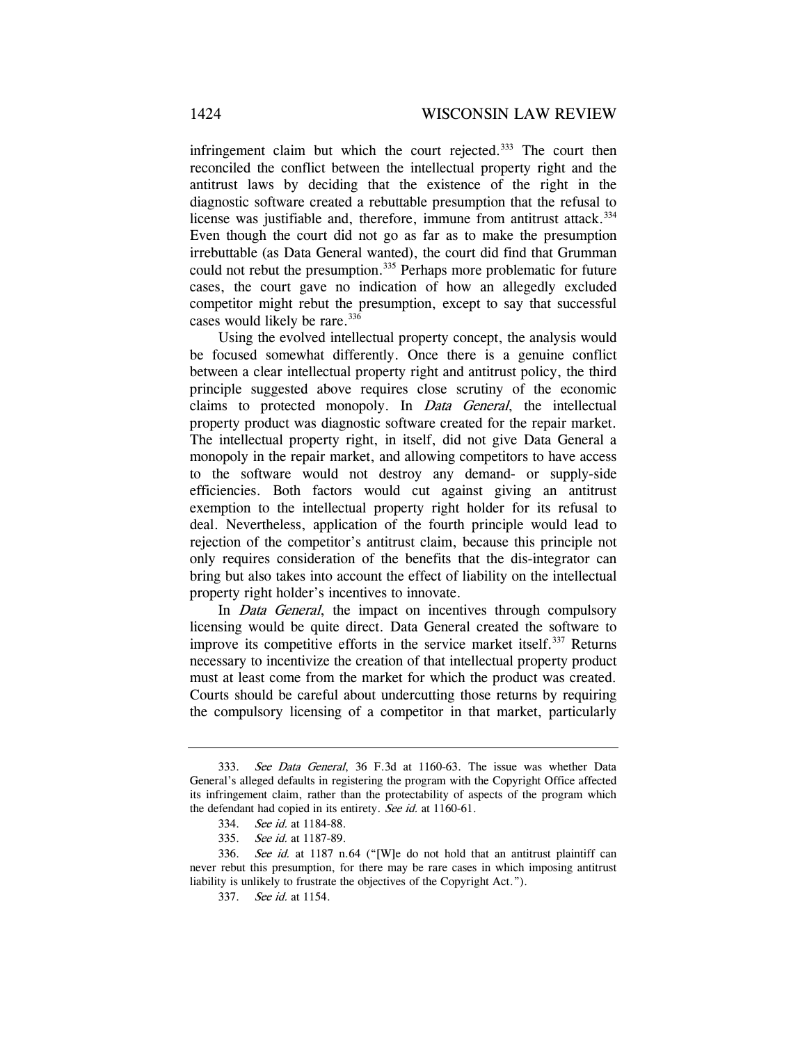infringement claim but which the court rejected.<sup>333</sup> The court then reconciled the conflict between the intellectual property right and the antitrust laws by deciding that the existence of the right in the diagnostic software created a rebuttable presumption that the refusal to license was justifiable and, therefore, immune from antitrust attack.<sup>334</sup> Even though the court did not go as far as to make the presumption irrebuttable (as Data General wanted), the court did find that Grumman could not rebut the presumption.<sup>335</sup> Perhaps more problematic for future cases, the court gave no indication of how an allegedly excluded competitor might rebut the presumption, except to say that successful cases would likely be rare.<sup>336</sup>

Using the evolved intellectual property concept, the analysis would be focused somewhat differently. Once there is a genuine conflict between a clear intellectual property right and antitrust policy, the third principle suggested above requires close scrutiny of the economic claims to protected monopoly. In *Data General*, the intellectual property product was diagnostic software created for the repair market. The intellectual property right, in itself, did not give Data General a monopoly in the repair market, and allowing competitors to have access to the software would not destroy any demand- or supply-side efficiencies. Both factors would cut against giving an antitrust exemption to the intellectual property right holder for its refusal to deal. Nevertheless, application of the fourth principle would lead to rejection of the competitor's antitrust claim, because this principle not only requires consideration of the benefits that the dis-integrator can bring but also takes into account the effect of liability on the intellectual property right holder's incentives to innovate.

In *Data General*, the impact on incentives through compulsory licensing would be quite direct. Data General created the software to improve its competitive efforts in the service market itself.<sup>337</sup> Returns necessary to incentivize the creation of that intellectual property product must at least come from the market for which the product was created. Courts should be careful about undercutting those returns by requiring the compulsory licensing of a competitor in that market, particularly

<sup>333.</sup> See Data General, 36 F.3d at 1160-63. The issue was whether Data General's alleged defaults in registering the program with the Copyright Office affected its infringement claim, rather than the protectability of aspects of the program which the defendant had copied in its entirety. See id. at 1160-61.

<sup>334.</sup> See id. at 1184-88.

<sup>335.</sup> See id. at 1187-89.

<sup>336.</sup> See id. at 1187 n.64 ("[W]e do not hold that an antitrust plaintiff can never rebut this presumption, for there may be rare cases in which imposing antitrust liability is unlikely to frustrate the objectives of the Copyright Act.").

<sup>337.</sup> See id. at 1154.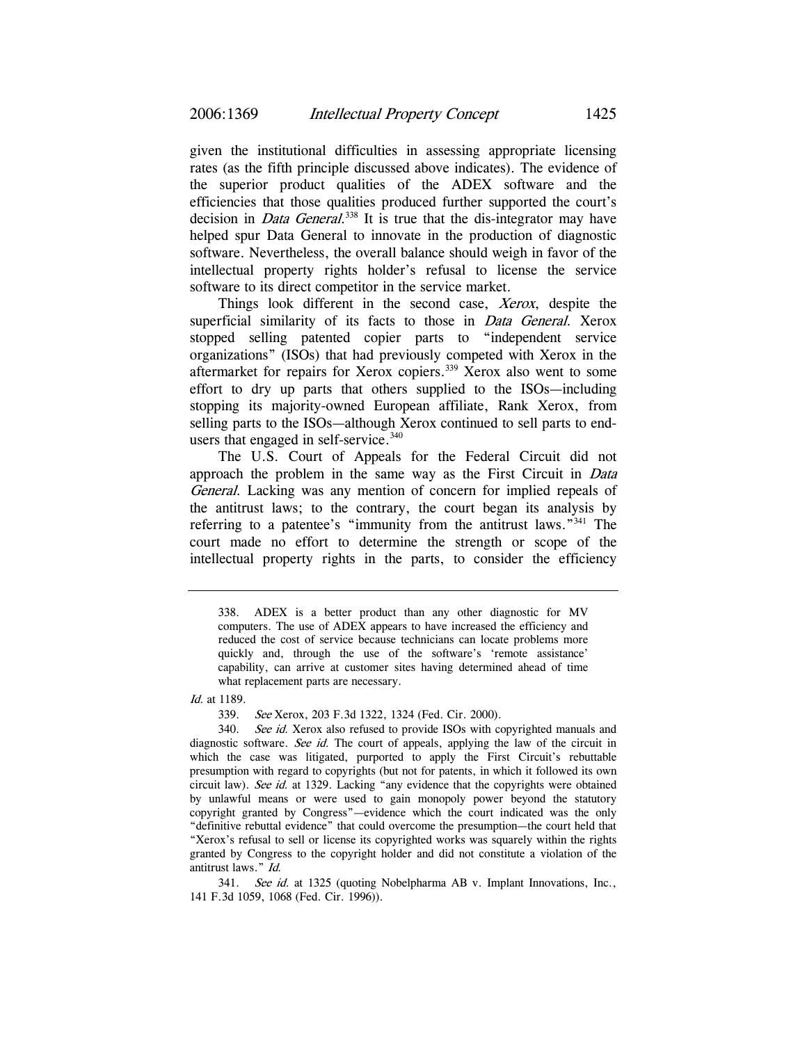given the institutional difficulties in assessing appropriate licensing rates (as the fifth principle discussed above indicates). The evidence of the superior product qualities of the ADEX software and the efficiencies that those qualities produced further supported the court's decision in *Data General*.<sup>338</sup> It is true that the dis-integrator may have helped spur Data General to innovate in the production of diagnostic software. Nevertheless, the overall balance should weigh in favor of the intellectual property rights holder's refusal to license the service software to its direct competitor in the service market.

Things look different in the second case, Xerox, despite the superficial similarity of its facts to those in *Data General*. Xerox stopped selling patented copier parts to "independent service organizations" (ISOs) that had previously competed with Xerox in the aftermarket for repairs for Xerox copiers.339 Xerox also went to some effort to dry up parts that others supplied to the ISOs—including stopping its majority-owned European affiliate, Rank Xerox, from selling parts to the ISOs—although Xerox continued to sell parts to endusers that engaged in self-service.<sup>340</sup>

The U.S. Court of Appeals for the Federal Circuit did not approach the problem in the same way as the First Circuit in Data General. Lacking was any mention of concern for implied repeals of the antitrust laws; to the contrary, the court began its analysis by referring to a patentee's "immunity from the antitrust laws."341 The court made no effort to determine the strength or scope of the intellectual property rights in the parts, to consider the efficiency

Id. at 1189.

339. See Xerox, 203 F.3d 1322, 1324 (Fed. Cir. 2000).

341. See id. at 1325 (quoting Nobelpharma AB v. Implant Innovations, Inc., 141 F.3d 1059, 1068 (Fed. Cir. 1996)).

<sup>338.</sup> ADEX is a better product than any other diagnostic for MV computers. The use of ADEX appears to have increased the efficiency and reduced the cost of service because technicians can locate problems more quickly and, through the use of the software's 'remote assistance' capability, can arrive at customer sites having determined ahead of time what replacement parts are necessary.

<sup>340.</sup> See id. Xerox also refused to provide ISOs with copyrighted manuals and diagnostic software. See id. The court of appeals, applying the law of the circuit in which the case was litigated, purported to apply the First Circuit's rebuttable presumption with regard to copyrights (but not for patents, in which it followed its own circuit law). See id. at 1329. Lacking "any evidence that the copyrights were obtained by unlawful means or were used to gain monopoly power beyond the statutory copyright granted by Congress"—evidence which the court indicated was the only "definitive rebuttal evidence" that could overcome the presumption—the court held that "Xerox's refusal to sell or license its copyrighted works was squarely within the rights granted by Congress to the copyright holder and did not constitute a violation of the antitrust laws." Id.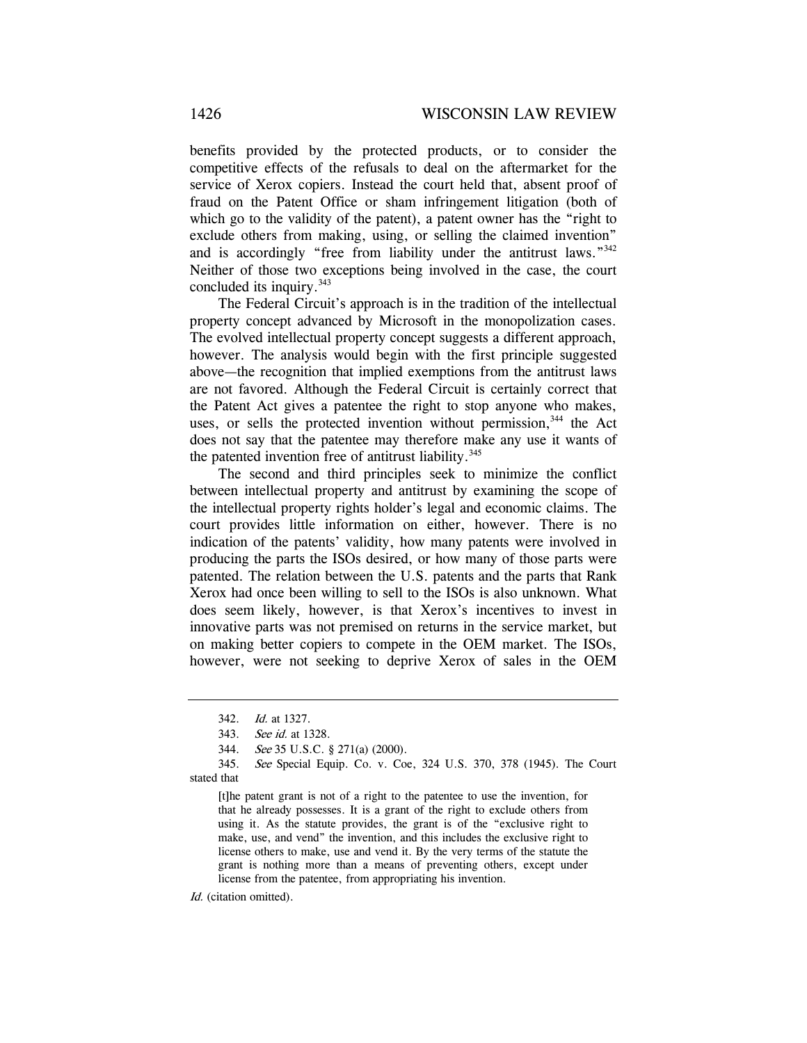benefits provided by the protected products, or to consider the competitive effects of the refusals to deal on the aftermarket for the service of Xerox copiers. Instead the court held that, absent proof of fraud on the Patent Office or sham infringement litigation (both of which go to the validity of the patent), a patent owner has the "right to exclude others from making, using, or selling the claimed invention" and is accordingly "free from liability under the antitrust laws."<sup>342</sup> Neither of those two exceptions being involved in the case, the court concluded its inquiry.<sup>343</sup>

The Federal Circuit's approach is in the tradition of the intellectual property concept advanced by Microsoft in the monopolization cases. The evolved intellectual property concept suggests a different approach, however. The analysis would begin with the first principle suggested above—the recognition that implied exemptions from the antitrust laws are not favored. Although the Federal Circuit is certainly correct that the Patent Act gives a patentee the right to stop anyone who makes, uses, or sells the protected invention without permission,<sup>344</sup> the Act does not say that the patentee may therefore make any use it wants of the patented invention free of antitrust liability. $345$ 

The second and third principles seek to minimize the conflict between intellectual property and antitrust by examining the scope of the intellectual property rights holder's legal and economic claims. The court provides little information on either, however. There is no indication of the patents' validity, how many patents were involved in producing the parts the ISOs desired, or how many of those parts were patented. The relation between the U.S. patents and the parts that Rank Xerox had once been willing to sell to the ISOs is also unknown. What does seem likely, however, is that Xerox's incentives to invest in innovative parts was not premised on returns in the service market, but on making better copiers to compete in the OEM market. The ISOs, however, were not seeking to deprive Xerox of sales in the OEM

[t]he patent grant is not of a right to the patentee to use the invention, for that he already possesses. It is a grant of the right to exclude others from using it. As the statute provides, the grant is of the "exclusive right to make, use, and vend" the invention, and this includes the exclusive right to license others to make, use and vend it. By the very terms of the statute the grant is nothing more than a means of preventing others, except under license from the patentee, from appropriating his invention.

Id. (citation omitted).

<sup>342.</sup> Id. at 1327.

<sup>343.</sup> See id. at 1328.

<sup>344.</sup> See 35 U.S.C. § 271(a) (2000).

<sup>345.</sup> See Special Equip. Co. v. Coe, 324 U.S. 370, 378 (1945). The Court stated that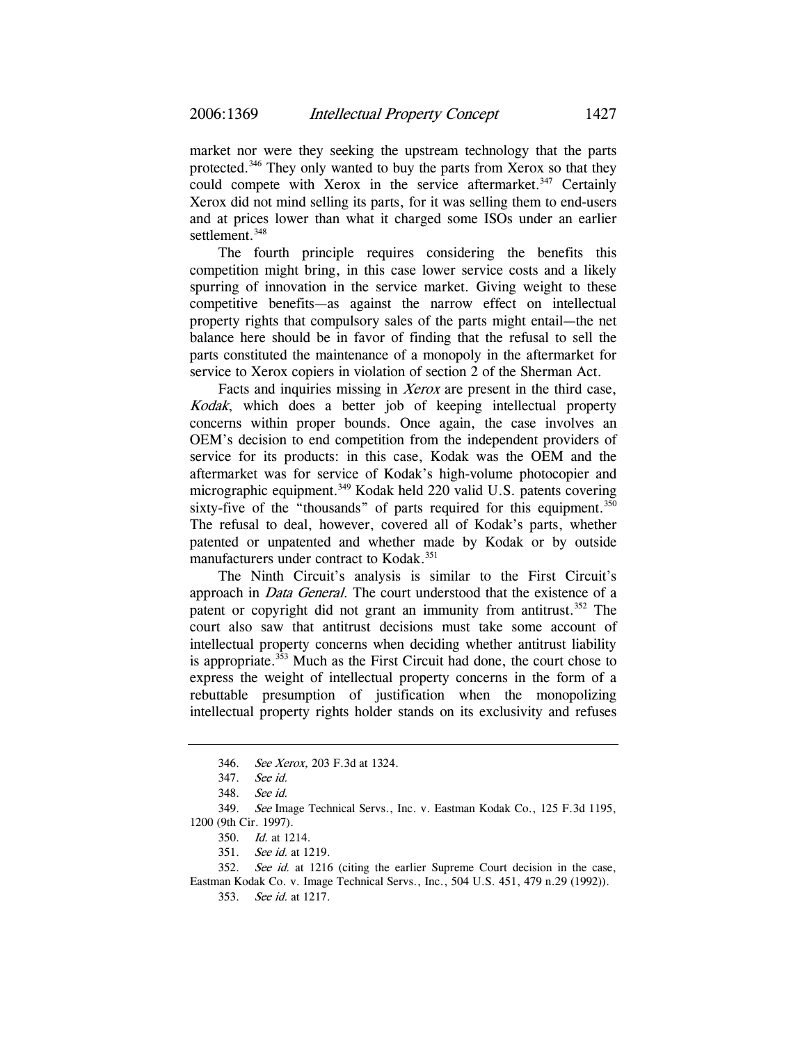market nor were they seeking the upstream technology that the parts protected.<sup>346</sup> They only wanted to buy the parts from Xerox so that they could compete with Xerox in the service aftermarket.<sup>347</sup> Certainly Xerox did not mind selling its parts, for it was selling them to end-users and at prices lower than what it charged some ISOs under an earlier settlement.<sup>348</sup>

The fourth principle requires considering the benefits this competition might bring, in this case lower service costs and a likely spurring of innovation in the service market. Giving weight to these competitive benefits—as against the narrow effect on intellectual property rights that compulsory sales of the parts might entail—the net balance here should be in favor of finding that the refusal to sell the parts constituted the maintenance of a monopoly in the aftermarket for service to Xerox copiers in violation of section 2 of the Sherman Act.

Facts and inquiries missing in *Xerox* are present in the third case, Kodak, which does a better job of keeping intellectual property concerns within proper bounds. Once again, the case involves an OEM's decision to end competition from the independent providers of service for its products: in this case, Kodak was the OEM and the aftermarket was for service of Kodak's high-volume photocopier and micrographic equipment.<sup>349</sup> Kodak held 220 valid U.S. patents covering sixty-five of the "thousands" of parts required for this equipment. $350$ The refusal to deal, however, covered all of Kodak's parts, whether patented or unpatented and whether made by Kodak or by outside manufacturers under contract to Kodak.<sup>351</sup>

The Ninth Circuit's analysis is similar to the First Circuit's approach in *Data General*. The court understood that the existence of a patent or copyright did not grant an immunity from antitrust.<sup>352</sup> The court also saw that antitrust decisions must take some account of intellectual property concerns when deciding whether antitrust liability is appropriate. $353$  Much as the First Circuit had done, the court chose to express the weight of intellectual property concerns in the form of a rebuttable presumption of justification when the monopolizing intellectual property rights holder stands on its exclusivity and refuses

<sup>346.</sup> See Xerox, 203 F.3d at 1324.

<sup>347.</sup> See id.

<sup>348.</sup> See id.

<sup>349.</sup> See Image Technical Servs., Inc. v. Eastman Kodak Co., 125 F.3d 1195, 1200 (9th Cir. 1997).

<sup>350.</sup> Id. at 1214.

<sup>351.</sup> See id. at 1219.

<sup>352.</sup> See id. at 1216 (citing the earlier Supreme Court decision in the case,

Eastman Kodak Co. v. Image Technical Servs., Inc., 504 U.S. 451, 479 n.29 (1992)). 353. See id. at 1217.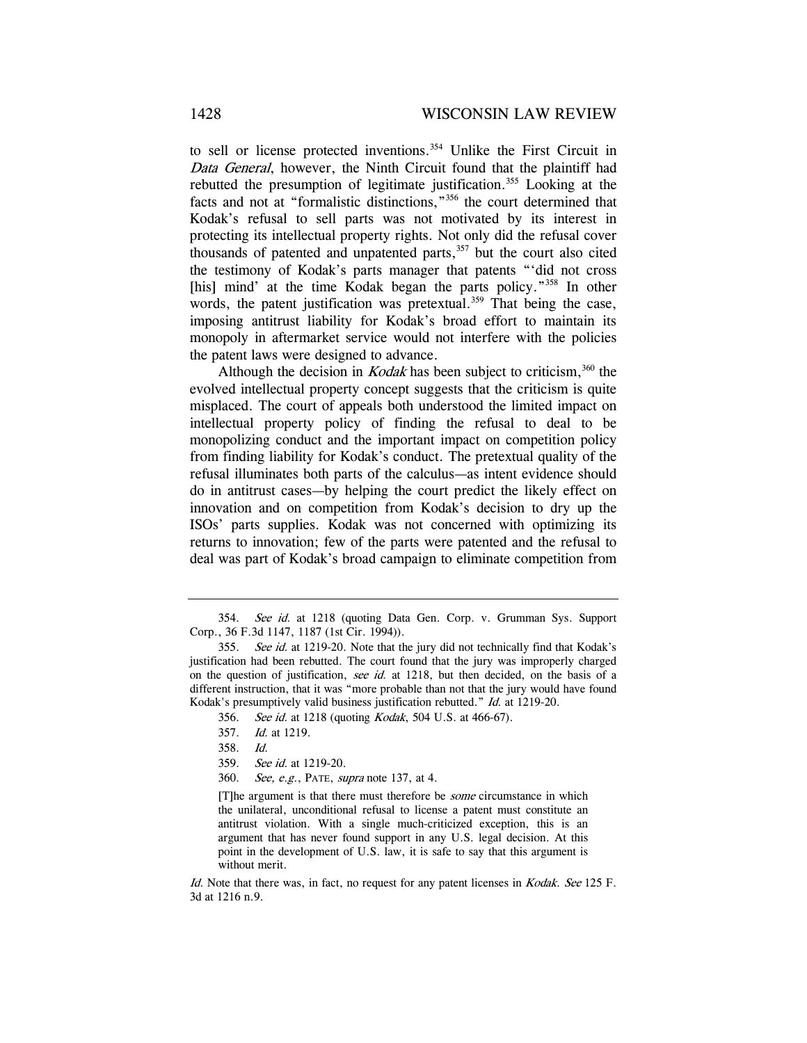to sell or license protected inventions.<sup>354</sup> Unlike the First Circuit in Data General, however, the Ninth Circuit found that the plaintiff had rebutted the presumption of legitimate justification.355 Looking at the facts and not at "formalistic distinctions,"356 the court determined that Kodak's refusal to sell parts was not motivated by its interest in protecting its intellectual property rights. Not only did the refusal cover thousands of patented and unpatented parts, $357$  but the court also cited the testimony of Kodak's parts manager that patents "'did not cross [his] mind' at the time Kodak began the parts policy."<sup>358</sup> In other words, the patent justification was pretextual.<sup>359</sup> That being the case, imposing antitrust liability for Kodak's broad effort to maintain its monopoly in aftermarket service would not interfere with the policies the patent laws were designed to advance.

Although the decision in *Kodak* has been subject to criticism,  $360$  the evolved intellectual property concept suggests that the criticism is quite misplaced. The court of appeals both understood the limited impact on intellectual property policy of finding the refusal to deal to be monopolizing conduct and the important impact on competition policy from finding liability for Kodak's conduct. The pretextual quality of the refusal illuminates both parts of the calculus—as intent evidence should do in antitrust cases—by helping the court predict the likely effect on innovation and on competition from Kodak's decision to dry up the ISOs' parts supplies. Kodak was not concerned with optimizing its returns to innovation; few of the parts were patented and the refusal to deal was part of Kodak's broad campaign to eliminate competition from

[T]he argument is that there must therefore be some circumstance in which the unilateral, unconditional refusal to license a patent must constitute an antitrust violation. With a single much-criticized exception, this is an argument that has never found support in any U.S. legal decision. At this point in the development of U.S. law, it is safe to say that this argument is without merit.

Id. Note that there was, in fact, no request for any patent licenses in *Kodak. See* 125 F. 3d at 1216 n.9.

<sup>354.</sup> See id. at 1218 (quoting Data Gen. Corp. v. Grumman Sys. Support Corp., 36 F.3d 1147, 1187 (1st Cir. 1994)).

<sup>355.</sup> See id. at 1219-20. Note that the jury did not technically find that Kodak's justification had been rebutted. The court found that the jury was improperly charged on the question of justification, see id. at  $1218$ , but then decided, on the basis of a different instruction, that it was "more probable than not that the jury would have found Kodak's presumptively valid business justification rebutted." Id. at 1219-20.

<sup>356.</sup> See id. at 1218 (quoting Kodak, 504 U.S. at 466-67).

<sup>357.</sup> Id. at 1219.

<sup>358.</sup> Id.

<sup>359.</sup> See id. at 1219-20.

<sup>360.</sup> See, e.g., PATE, supra note 137, at 4.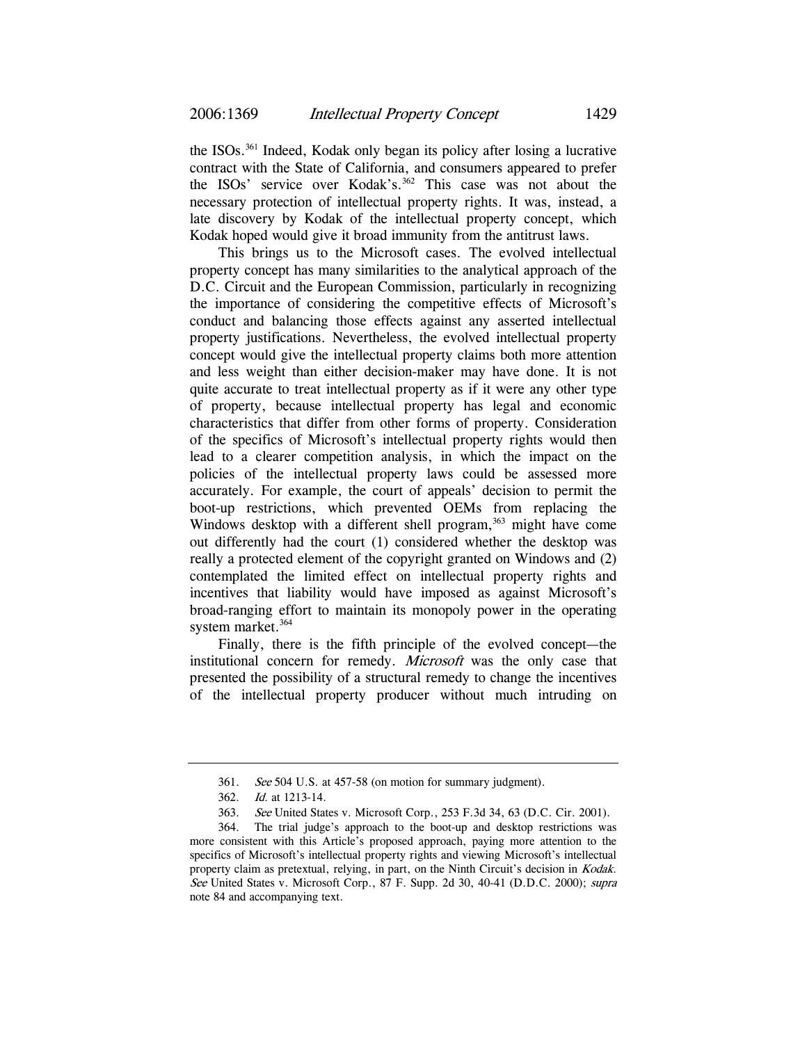the ISOs.361 Indeed, Kodak only began its policy after losing a lucrative contract with the State of California, and consumers appeared to prefer the ISOs' service over Kodak's.<sup>362</sup> This case was not about the necessary protection of intellectual property rights. It was, instead, a late discovery by Kodak of the intellectual property concept, which Kodak hoped would give it broad immunity from the antitrust laws.

This brings us to the Microsoft cases. The evolved intellectual property concept has many similarities to the analytical approach of the D.C. Circuit and the European Commission, particularly in recognizing the importance of considering the competitive effects of Microsoft's conduct and balancing those effects against any asserted intellectual property justifications. Nevertheless, the evolved intellectual property concept would give the intellectual property claims both more attention and less weight than either decision-maker may have done. It is not quite accurate to treat intellectual property as if it were any other type of property, because intellectual property has legal and economic characteristics that differ from other forms of property. Consideration of the specifics of Microsoft's intellectual property rights would then lead to a clearer competition analysis, in which the impact on the policies of the intellectual property laws could be assessed more accurately. For example, the court of appeals' decision to permit the boot-up restrictions, which prevented OEMs from replacing the Windows desktop with a different shell program,  $363$  might have come out differently had the court (1) considered whether the desktop was really a protected element of the copyright granted on Windows and (2) contemplated the limited effect on intellectual property rights and incentives that liability would have imposed as against Microsoft's broad-ranging effort to maintain its monopoly power in the operating system market.<sup>364</sup>

Finally, there is the fifth principle of the evolved concept—the institutional concern for remedy. Microsoft was the only case that presented the possibility of a structural remedy to change the incentives of the intellectual property producer without much intruding on

<sup>361.</sup> See 504 U.S. at 457-58 (on motion for summary judgment).

<sup>362.</sup> Id. at 1213-14.

<sup>363.</sup> See United States v. Microsoft Corp., 253 F.3d 34, 63 (D.C. Cir. 2001).

<sup>364.</sup> The trial judge's approach to the boot-up and desktop restrictions was more consistent with this Article's proposed approach, paying more attention to the specifics of Microsoft's intellectual property rights and viewing Microsoft's intellectual property claim as pretextual, relying, in part, on the Ninth Circuit's decision in *Kodak*. See United States v. Microsoft Corp., 87 F. Supp. 2d 30, 40-41 (D.D.C. 2000); supra note 84 and accompanying text.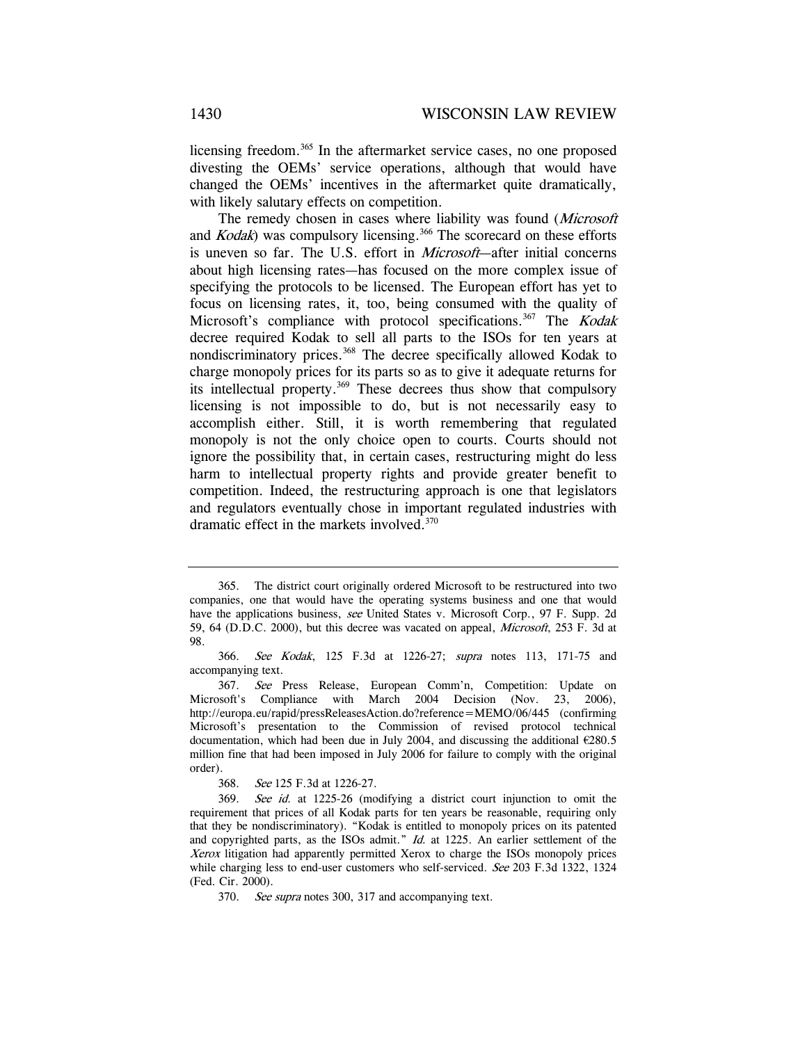licensing freedom.<sup>365</sup> In the aftermarket service cases, no one proposed divesting the OEMs' service operations, although that would have changed the OEMs' incentives in the aftermarket quite dramatically, with likely salutary effects on competition.

The remedy chosen in cases where liability was found (Microsoft and  $Kodak$ ) was compulsory licensing.<sup>366</sup> The scorecard on these efforts is uneven so far. The U.S. effort in Microsoft—after initial concerns about high licensing rates—has focused on the more complex issue of specifying the protocols to be licensed. The European effort has yet to focus on licensing rates, it, too, being consumed with the quality of Microsoft's compliance with protocol specifications.<sup>367</sup> The Kodak decree required Kodak to sell all parts to the ISOs for ten years at nondiscriminatory prices.368 The decree specifically allowed Kodak to charge monopoly prices for its parts so as to give it adequate returns for its intellectual property.<sup>369</sup> These decrees thus show that compulsory licensing is not impossible to do, but is not necessarily easy to accomplish either. Still, it is worth remembering that regulated monopoly is not the only choice open to courts. Courts should not ignore the possibility that, in certain cases, restructuring might do less harm to intellectual property rights and provide greater benefit to competition. Indeed, the restructuring approach is one that legislators and regulators eventually chose in important regulated industries with dramatic effect in the markets involved.<sup>370</sup>

<sup>365.</sup> The district court originally ordered Microsoft to be restructured into two companies, one that would have the operating systems business and one that would have the applications business, see United States v. Microsoft Corp., 97 F. Supp. 2d 59, 64 (D.D.C. 2000), but this decree was vacated on appeal, Microsoft, 253 F. 3d at 98.

<sup>366.</sup> See Kodak, 125 F.3d at 1226-27; supra notes 113, 171-75 and accompanying text.

<sup>367.</sup> See Press Release, European Comm'n, Competition: Update on Microsoft's Compliance with March 2004 Decision (Nov. 23, 2006), http://europa.eu/rapid/pressReleasesAction.do?reference=MEMO/06/445 (confirming Microsoft's presentation to the Commission of revised protocol technical documentation, which had been due in July 2004, and discussing the additional €280.5 million fine that had been imposed in July 2006 for failure to comply with the original order).

<sup>368.</sup> See 125 F.3d at 1226-27.

<sup>369.</sup> See id. at 1225-26 (modifying a district court injunction to omit the requirement that prices of all Kodak parts for ten years be reasonable, requiring only that they be nondiscriminatory). "Kodak is entitled to monopoly prices on its patented and copyrighted parts, as the ISOs admit." Id. at 1225. An earlier settlement of the Xerox litigation had apparently permitted Xerox to charge the ISOs monopoly prices while charging less to end-user customers who self-serviced. See 203 F.3d 1322, 1324 (Fed. Cir. 2000).

<sup>370.</sup> See supra notes 300, 317 and accompanying text.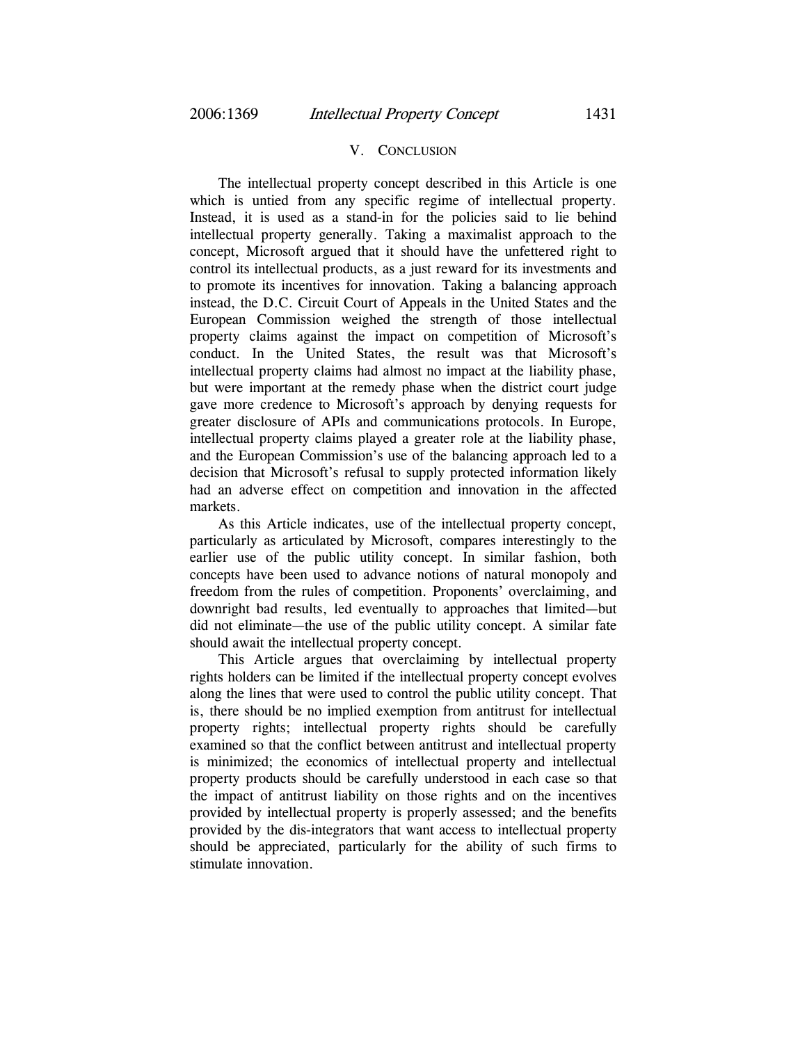### V. CONCLUSION

The intellectual property concept described in this Article is one which is untied from any specific regime of intellectual property. Instead, it is used as a stand-in for the policies said to lie behind intellectual property generally. Taking a maximalist approach to the concept, Microsoft argued that it should have the unfettered right to control its intellectual products, as a just reward for its investments and to promote its incentives for innovation. Taking a balancing approach instead, the D.C. Circuit Court of Appeals in the United States and the European Commission weighed the strength of those intellectual property claims against the impact on competition of Microsoft's conduct. In the United States, the result was that Microsoft's intellectual property claims had almost no impact at the liability phase, but were important at the remedy phase when the district court judge gave more credence to Microsoft's approach by denying requests for greater disclosure of APIs and communications protocols. In Europe, intellectual property claims played a greater role at the liability phase, and the European Commission's use of the balancing approach led to a decision that Microsoft's refusal to supply protected information likely had an adverse effect on competition and innovation in the affected markets.

As this Article indicates, use of the intellectual property concept, particularly as articulated by Microsoft, compares interestingly to the earlier use of the public utility concept. In similar fashion, both concepts have been used to advance notions of natural monopoly and freedom from the rules of competition. Proponents' overclaiming, and downright bad results, led eventually to approaches that limited—but did not eliminate—the use of the public utility concept. A similar fate should await the intellectual property concept.

This Article argues that overclaiming by intellectual property rights holders can be limited if the intellectual property concept evolves along the lines that were used to control the public utility concept. That is, there should be no implied exemption from antitrust for intellectual property rights; intellectual property rights should be carefully examined so that the conflict between antitrust and intellectual property is minimized; the economics of intellectual property and intellectual property products should be carefully understood in each case so that the impact of antitrust liability on those rights and on the incentives provided by intellectual property is properly assessed; and the benefits provided by the dis-integrators that want access to intellectual property should be appreciated, particularly for the ability of such firms to stimulate innovation.